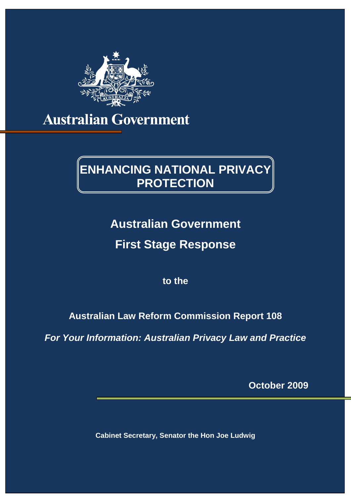

# **Australian Government**

# **ENHANCING NATIONAL PRIVACY PROTECTION**

**Australian Government**

# **First Stage Response**

**to the**

**Australian Law Reform Commission Report 108**

*For Your Information: Australian Privacy Law and Practice*

**October 2009**

**Cabinet Secretary, Senator the Hon Joe Ludwig**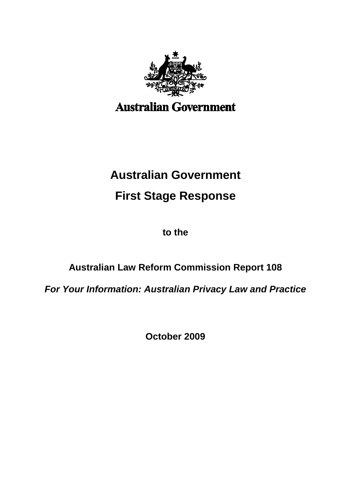

# **Australian Government First Stage Response**

**to the**

## **Australian Law Reform Commission Report 108**

*For Your Information: Australian Privacy Law and Practice*

**October 2009**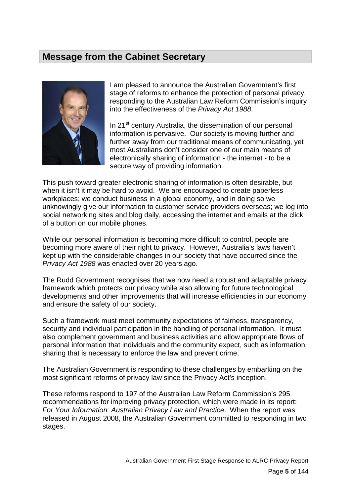### <span id="page-4-0"></span>**Message from the Cabinet Secretary**



I am pleased to announce the Australian Government's first stage of reforms to enhance the protection of personal privacy, responding to the Australian Law Reform Commission's inquiry into the effectiveness of the *Privacy Act 1988*.

In 21<sup>st</sup> century Australia, the dissemination of our personal information is pervasive. Our society is moving further and further away from our traditional means of communicating, yet most Australians don't consider one of our main means of electronically sharing of information - the internet - to be a secure way of providing information.

This push toward greater electronic sharing of information is often desirable, but when it isn't it may be hard to avoid. We are encouraged to create paperless workplaces; we conduct business in a global economy, and in doing so we unknowingly give our information to customer service providers overseas; we log into social networking sites and blog daily, accessing the internet and emails at the click of a button on our mobile phones.

While our personal information is becoming more difficult to control, people are becoming more aware of their right to privacy. However, Australia's laws haven't kept up with the considerable changes in our society that have occurred since the *Privacy Act 1988* was enacted over 20 years ago.

The Rudd Government recognises that we now need a robust and adaptable privacy framework which protects our privacy while also allowing for future technological developments and other improvements that will increase efficiencies in our economy and ensure the safety of our society.

Such a framework must meet community expectations of fairness, transparency, security and individual participation in the handling of personal information. It must also complement government and business activities and allow appropriate flows of personal information that individuals and the community expect, such as information sharing that is necessary to enforce the law and prevent crime.

The Australian Government is responding to these challenges by embarking on the most significant reforms of privacy law since the Privacy Act's inception.

These reforms respond to 197 of the Australian Law Reform Commission's 295 recommendations for improving privacy protection, which were made in its report: *For Your Information: Australian Privacy Law and Practice*. When the report was released in August 2008, the Australian Government committed to responding in two stages.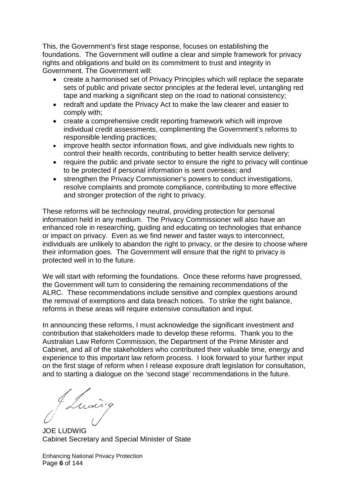This, the Government's first stage response, focuses on establishing the foundations. The Government will outline a clear and simple framework for privacy rights and obligations and build on its commitment to trust and integrity in Government. The Government will:

- create a harmonised set of Privacy Principles which will replace the separate sets of public and private sector principles at the federal level, untangling red tape and marking a significant step on the road to national consistency;
- redraft and update the Privacy Act to make the law clearer and easier to comply with;
- create a comprehensive credit reporting framework which will improve individual credit assessments, complimenting the Government's reforms to responsible lending practices;
- improve health sector information flows, and give individuals new rights to control their health records, contributing to better health service delivery;
- require the public and private sector to ensure the right to privacy will continue to be protected if personal information is sent overseas; and
- strengthen the Privacy Commissioner's powers to conduct investigations, resolve complaints and promote compliance, contributing to more effective and stronger protection of the right to privacy.

These reforms will be technology neutral, providing protection for personal information held in any medium. The Privacy Commissioner will also have an enhanced role in researching, guiding and educating on technologies that enhance or impact on privacy. Even as we find newer and faster ways to interconnect, individuals are unlikely to abandon the right to privacy, or the desire to choose where their information goes. The Government will ensure that the right to privacy is protected well in to the future.

We will start with reforming the foundations. Once these reforms have progressed, the Government will turn to considering the remaining recommendations of the ALRC. These recommendations include sensitive and complex questions around the removal of exemptions and data breach notices. To strike the right balance, reforms in these areas will require extensive consultation and input.

In announcing these reforms, I must acknowledge the significant investment and contribution that stakeholders made to develop these reforms. Thank you to the Australian Law Reform Commission, the Department of the Prime Minister and Cabinet, and all of the stakeholders who contributed their valuable time, energy and experience to this important law reform process. I look forward to your further input on the first stage of reform when I release exposure draft legislation for consultation, and to starting a dialogue on the 'second stage' recommendations in the future.

J Lusing

JOE LUDWIG Cabinet Secretary and Special Minister of State

Enhancing National Privacy Protection Page **6** of 144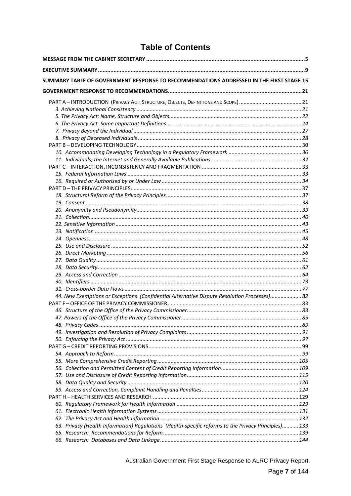### **Table of Contents**

| SUMMARY TABLE OF GOVERNMENT RESPONSE TO RECOMMENDATIONS ADDRESSED IN THE FIRST STAGE 15              |  |
|------------------------------------------------------------------------------------------------------|--|
|                                                                                                      |  |
|                                                                                                      |  |
|                                                                                                      |  |
|                                                                                                      |  |
|                                                                                                      |  |
|                                                                                                      |  |
|                                                                                                      |  |
|                                                                                                      |  |
|                                                                                                      |  |
|                                                                                                      |  |
|                                                                                                      |  |
|                                                                                                      |  |
|                                                                                                      |  |
|                                                                                                      |  |
|                                                                                                      |  |
|                                                                                                      |  |
|                                                                                                      |  |
|                                                                                                      |  |
|                                                                                                      |  |
|                                                                                                      |  |
|                                                                                                      |  |
|                                                                                                      |  |
|                                                                                                      |  |
|                                                                                                      |  |
|                                                                                                      |  |
|                                                                                                      |  |
|                                                                                                      |  |
|                                                                                                      |  |
| 44. New Exemptions or Exceptions (Confidential Alternative Dispute Resolution Processes) 82          |  |
|                                                                                                      |  |
|                                                                                                      |  |
|                                                                                                      |  |
|                                                                                                      |  |
|                                                                                                      |  |
|                                                                                                      |  |
|                                                                                                      |  |
|                                                                                                      |  |
|                                                                                                      |  |
|                                                                                                      |  |
|                                                                                                      |  |
|                                                                                                      |  |
|                                                                                                      |  |
|                                                                                                      |  |
|                                                                                                      |  |
|                                                                                                      |  |
|                                                                                                      |  |
| 63. Privacy (Health Information) Regulations (Health-specific reforms to the Privacy Principles) 133 |  |
|                                                                                                      |  |
|                                                                                                      |  |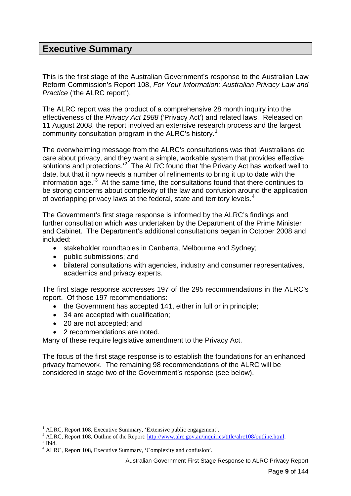### <span id="page-8-0"></span>**Executive Summary**

This is the first stage of the Australian Government's response to the Australian Law Reform Commission's Report 108, *For Your Information: Australian Privacy Law and Practice* ('the ALRC report').

The ALRC report was the product of a comprehensive 28 month inquiry into the effectiveness of the *Privacy Act 1988* ('Privacy Act') and related laws. Released on 11 August 2008, the report involved an extensive research process and the largest community consultation program in the ALRC's history.<sup>[1](#page-8-1)</sup>

The overwhelming message from the ALRC's consultations was that 'Australians do care about privacy, and they want a simple, workable system that provides effective solutions and protections.<sup>[2](#page-8-2)</sup> The ALRC found that 'the Privacy Act has worked well to date, but that it now needs a number of refinements to bring it up to date with the information age.<sup>[3](#page-8-3)</sup> At the same time, the consultations found that there continues to be strong concerns about complexity of the law and confusion around the application of overlapping privacy laws at the federal, state and territory levels.<sup>[4](#page-8-4)</sup>

The Government's first stage response is informed by the ALRC's findings and further consultation which was undertaken by the Department of the Prime Minister and Cabinet. The Department's additional consultations began in October 2008 and included:

- stakeholder roundtables in Canberra, Melbourne and Sydney;
- public submissions; and
- bilateral consultations with agencies, industry and consumer representatives, academics and privacy experts.

The first stage response addresses 197 of the 295 recommendations in the ALRC's report. Of those 197 recommendations:

- the Government has accepted 141, either in full or in principle;
- 34 are accepted with qualification;
- 20 are not accepted; and
- 2 recommendations are noted.

Many of these require legislative amendment to the Privacy Act.

The focus of the first stage response is to establish the foundations for an enhanced privacy framework. The remaining 98 recommendations of the ALRC will be considered in stage two of the Government's response (see below).

<span id="page-8-1"></span> <sup>1</sup> ALRC, Report 108, Executive Summary, 'Extensive public engagement'.

<span id="page-8-2"></span><sup>&</sup>lt;sup>2</sup> ALRC, Report 108, Outline of the Report:  $\frac{http://www.alrc.gov.au/inquiries/title/alc108/outline.html}{3}$ .

<span id="page-8-3"></span>

<span id="page-8-4"></span><sup>4</sup> ALRC, Report 108, Executive Summary, 'Complexity and confusion'.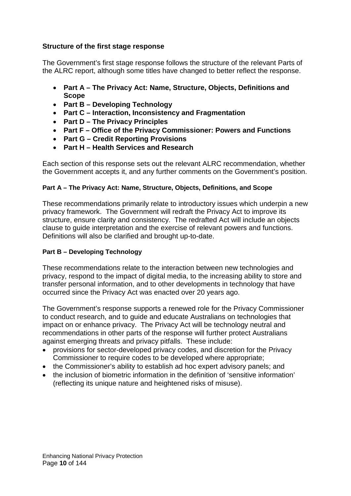#### **Structure of the first stage response**

The Government's first stage response follows the structure of the relevant Parts of the ALRC report, although some titles have changed to better reflect the response.

- **Part A – The Privacy Act: Name, Structure, Objects, Definitions and Scope**
- **Part B – Developing Technology**
- **Part C – Interaction, Inconsistency and Fragmentation**
- **Part D – The Privacy Principles**
- **Part F – Office of the Privacy Commissioner: Powers and Functions**
- **Part G – Credit Reporting Provisions**
- **Part H – Health Services and Research**

Each section of this response sets out the relevant ALRC recommendation, whether the Government accepts it, and any further comments on the Government's position.

#### **Part A – The Privacy Act: Name, Structure, Objects, Definitions, and Scope**

These recommendations primarily relate to introductory issues which underpin a new privacy framework. The Government will redraft the Privacy Act to improve its structure, ensure clarity and consistency. The redrafted Act will include an objects clause to guide interpretation and the exercise of relevant powers and functions. Definitions will also be clarified and brought up-to-date.

#### **Part B – Developing Technology**

These recommendations relate to the interaction between new technologies and privacy, respond to the impact of digital media, to the increasing ability to store and transfer personal information, and to other developments in technology that have occurred since the Privacy Act was enacted over 20 years ago.

The Government's response supports a renewed role for the Privacy Commissioner to conduct research, and to guide and educate Australians on technologies that impact on or enhance privacy. The Privacy Act will be technology neutral and recommendations in other parts of the response will further protect Australians against emerging threats and privacy pitfalls. These include:

- provisions for sector-developed privacy codes, and discretion for the Privacy Commissioner to require codes to be developed where appropriate;
- the Commissioner's ability to establish ad hoc expert advisory panels; and
- the inclusion of biometric information in the definition of 'sensitive information' (reflecting its unique nature and heightened risks of misuse).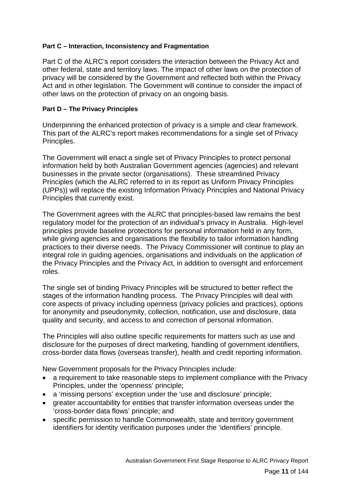#### **Part C – Interaction, Inconsistency and Fragmentation**

Part C of the ALRC's report considers the interaction between the Privacy Act and other federal, state and territory laws. The impact of other laws on the protection of privacy will be considered by the Government and reflected both within the Privacy Act and in other legislation. The Government will continue to consider the impact of other laws on the protection of privacy on an ongoing basis.

#### **Part D – The Privacy Principles**

Underpinning the enhanced protection of privacy is a simple and clear framework. This part of the ALRC's report makes recommendations for a single set of Privacy Principles.

The Government will enact a single set of Privacy Principles to protect personal information held by both Australian Government agencies (agencies) and relevant businesses in the private sector (organisations). These streamlined Privacy Principles (which the ALRC referred to in its report as Uniform Privacy Principles (UPPs)) will replace the existing Information Privacy Principles and National Privacy Principles that currently exist.

The Government agrees with the ALRC that principles-based law remains the best regulatory model for the protection of an individual's privacy in Australia. High-level principles provide baseline protections for personal information held in any form, while giving agencies and organisations the flexibility to tailor information handling practices to their diverse needs. The Privacy Commissioner will continue to play an integral role in guiding agencies, organisations and individuals on the application of the Privacy Principles and the Privacy Act, in addition to oversight and enforcement roles.

The single set of binding Privacy Principles will be structured to better reflect the stages of the information handling process. The Privacy Principles will deal with core aspects of privacy including openness (privacy policies and practices), options for anonymity and pseudonymity, collection, notification, use and disclosure, data quality and security, and access to and correction of personal information.

The Principles will also outline specific requirements for matters such as use and disclosure for the purposes of direct marketing, handling of government identifiers, cross-border data flows (overseas transfer), health and credit reporting information.

New Government proposals for the Privacy Principles include:

- a requirement to take reasonable steps to implement compliance with the Privacy Principles, under the 'openness' principle;
- a 'missing persons' exception under the 'use and disclosure' principle;
- greater accountability for entities that transfer information overseas under the 'cross-border data flows' principle; and
- specific permission to handle Commonwealth, state and territory government identifiers for identity verification purposes under the 'identifiers' principle.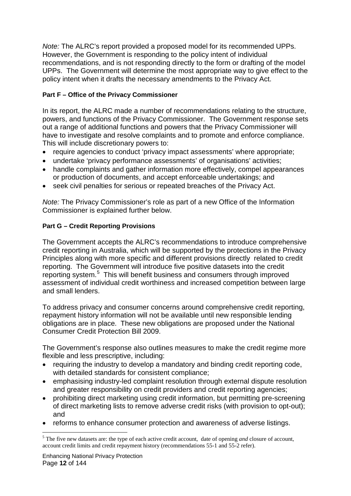*Note:* The ALRC's report provided a proposed model for its recommended UPPs. However, the Government is responding to the policy intent of individual recommendations, and is not responding directly to the form or drafting of the model UPPs. The Government will determine the most appropriate way to give effect to the policy intent when it drafts the necessary amendments to the Privacy Act.

### **Part F – Office of the Privacy Commissioner**

In its report, the ALRC made a number of recommendations relating to the structure, powers, and functions of the Privacy Commissioner. The Government response sets out a range of additional functions and powers that the Privacy Commissioner will have to investigate and resolve complaints and to promote and enforce compliance. This will include discretionary powers to:

- require agencies to conduct 'privacy impact assessments' where appropriate;
- undertake 'privacy performance assessments' of organisations' activities;
- handle complaints and gather information more effectively, compel appearances or production of documents, and accept enforceable undertakings; and
- seek civil penalties for serious or repeated breaches of the Privacy Act.

*Note:* The Privacy Commissioner's role as part of a new Office of the Information Commissioner is explained further below.

### **Part G – Credit Reporting Provisions**

The Government accepts the ALRC's recommendations to introduce comprehensive credit reporting in Australia, which will be supported by the protections in the Privacy Principles along with more specific and different provisions directly related to credit reporting. The Government will introduce five positive datasets into the credit reporting system.<sup>[5](#page-11-0)</sup> This will benefit business and consumers through improved assessment of individual credit worthiness and increased competition between large and small lenders.

To address privacy and consumer concerns around comprehensive credit reporting, repayment history information will not be available until new responsible lending obligations are in place. These new obligations are proposed under the National Consumer Credit Protection Bill 2009.

The Government's response also outlines measures to make the credit regime more flexible and less prescriptive, including:

- requiring the industry to develop a mandatory and binding credit reporting code, with detailed standards for consistent compliance;
- emphasising industry-led complaint resolution through external dispute resolution and greater responsibility on credit providers and credit reporting agencies;
- prohibiting direct marketing using credit information, but permitting pre-screening of direct marketing lists to remove adverse credit risks (with provision to opt-out); and
- reforms to enhance consumer protection and awareness of adverse listings.

<span id="page-11-0"></span> <sup>5</sup> The five new datasets are: the type of each active credit account, date of opening *and* closure of account, account credit limits and credit repayment history (recommendations 55-1 and 55-2 refer).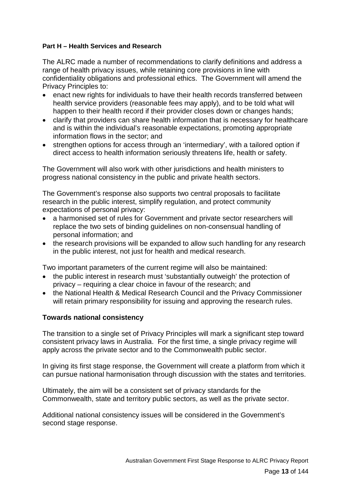#### **Part H – Health Services and Research**

The ALRC made a number of recommendations to clarify definitions and address a range of health privacy issues, while retaining core provisions in line with confidentiality obligations and professional ethics. The Government will amend the Privacy Principles to:

- enact new rights for individuals to have their health records transferred between health service providers (reasonable fees may apply), and to be told what will happen to their health record if their provider closes down or changes hands;
- clarify that providers can share health information that is necessary for healthcare and is within the individual's reasonable expectations, promoting appropriate information flows in the sector; and
- strengthen options for access through an 'intermediary', with a tailored option if direct access to health information seriously threatens life, health or safety.

The Government will also work with other jurisdictions and health ministers to progress national consistency in the public and private health sectors.

The Government's response also supports two central proposals to facilitate research in the public interest, simplify regulation, and protect community expectations of personal privacy:

- a harmonised set of rules for Government and private sector researchers will replace the two sets of binding guidelines on non-consensual handling of personal information; and
- the research provisions will be expanded to allow such handling for any research in the public interest, not just for health and medical research.

Two important parameters of the current regime will also be maintained:

- the public interest in research must 'substantially outweigh' the protection of privacy – requiring a clear choice in favour of the research; and
- the National Health & Medical Research Council and the Privacy Commissioner will retain primary responsibility for issuing and approving the research rules.

#### **Towards national consistency**

The transition to a single set of Privacy Principles will mark a significant step toward consistent privacy laws in Australia. For the first time, a single privacy regime will apply across the private sector and to the Commonwealth public sector.

In giving its first stage response, the Government will create a platform from which it can pursue national harmonisation through discussion with the states and territories.

Ultimately, the aim will be a consistent set of privacy standards for the Commonwealth, state and territory public sectors, as well as the private sector.

Additional national consistency issues will be considered in the Government's second stage response.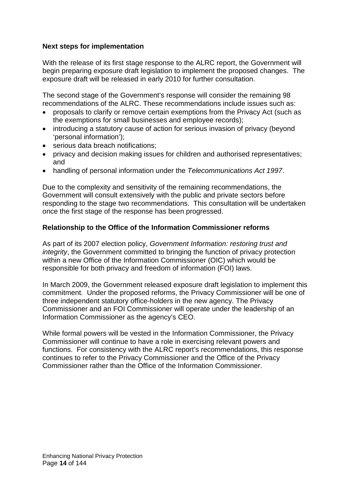#### **Next steps for implementation**

With the release of its first stage response to the ALRC report, the Government will begin preparing exposure draft legislation to implement the proposed changes. The exposure draft will be released in early 2010 for further consultation.

The second stage of the Government's response will consider the remaining 98 recommendations of the ALRC. These recommendations include issues such as:

- proposals to clarify or remove certain exemptions from the Privacy Act (such as the exemptions for small businesses and employee records);
- introducing a statutory cause of action for serious invasion of privacy (beyond 'personal information');
- serious data breach notifications:
- privacy and decision making issues for children and authorised representatives: and
- handling of personal information under the *Telecommunications Act 1997*.

Due to the complexity and sensitivity of the remaining recommendations, the Government will consult extensively with the public and private sectors before responding to the stage two recommendations. This consultation will be undertaken once the first stage of the response has been progressed.

#### **Relationship to the Office of the Information Commissioner reforms**

As part of its 2007 election policy, *Government Information: restoring trust and integrity*, the Government committed to bringing the function of privacy protection within a new Office of the Information Commissioner (OIC) which would be responsible for both privacy and freedom of information (FOI) laws.

In March 2009, the Government released exposure draft legislation to implement this commitment. Under the proposed reforms, the Privacy Commissioner will be one of three independent statutory office-holders in the new agency. The Privacy Commissioner and an FOI Commissioner will operate under the leadership of an Information Commissioner as the agency's CEO.

While formal powers will be vested in the Information Commissioner, the Privacy Commissioner will continue to have a role in exercising relevant powers and functions. For consistency with the ALRC report's recommendations, this response continues to refer to the Privacy Commissioner and the Office of the Privacy Commissioner rather than the Office of the Information Commissioner.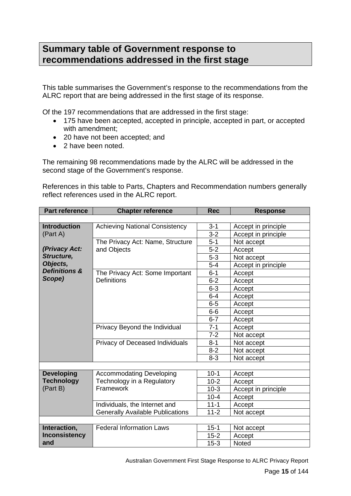### <span id="page-14-0"></span>**Summary table of Government response to recommendations addressed in the first stage**

This table summarises the Government's response to the recommendations from the ALRC report that are being addressed in the first stage of its response.

Of the 197 recommendations that are addressed in the first stage:

- 175 have been accepted, accepted in principle, accepted in part, or accepted with amendment;
- 20 have not been accepted; and
- 2 have been noted.

The remaining 98 recommendations made by the ALRC will be addressed in the second stage of the Government's response.

References in this table to Parts, Chapters and Recommendation numbers generally reflect references used in the ALRC report.

| <b>Part reference</b>           | <b>Chapter reference</b>                | <b>Rec</b> | <b>Response</b>     |
|---------------------------------|-----------------------------------------|------------|---------------------|
|                                 |                                         |            |                     |
| <b>Introduction</b><br>(Part A) | <b>Achieving National Consistency</b>   | $3 - 1$    | Accept in principle |
|                                 |                                         | $3 - 2$    | Accept in principle |
|                                 | The Privacy Act: Name, Structure        | $5 - 1$    | Not accept          |
| (Privacy Act:                   | and Objects                             | $5-2$      | Accept              |
| Structure,                      |                                         | $5-3$      | Not accept          |
| Objects,                        |                                         | $5-4$      | Accept in principle |
| <b>Definitions &amp;</b>        | The Privacy Act: Some Important         | $6 - 1$    | Accept              |
| Scope)                          | <b>Definitions</b>                      | $6 - 2$    | Accept              |
|                                 |                                         | $6 - 3$    | Accept              |
|                                 |                                         | $6 - 4$    | Accept              |
|                                 |                                         | $6-5$      | Accept              |
|                                 |                                         | $6-6$      | Accept              |
|                                 |                                         | $6 - 7$    | Accept              |
|                                 | Privacy Beyond the Individual           | $7 - 1$    | Accept              |
|                                 |                                         | $7 - 2$    | Not accept          |
|                                 | Privacy of Deceased Individuals         | $8 - 1$    | Not accept          |
|                                 |                                         | $8 - 2$    | Not accept          |
|                                 |                                         | $8 - 3$    | Not accept          |
|                                 |                                         |            |                     |
| <b>Developing</b>               | <b>Accommodating Developing</b>         | $10-1$     | Accept              |
| <b>Technology</b>               | Technology in a Regulatory              | $10 - 2$   | Accept              |
| (Part B)                        | Framework                               | $10-3$     | Accept in principle |
|                                 |                                         | $10 - 4$   | Accept              |
|                                 | Individuals, the Internet and           | $11 - 1$   | Accept              |
|                                 | <b>Generally Available Publications</b> | $11 - 2$   | Not accept          |
|                                 |                                         |            |                     |
| Interaction,                    | <b>Federal Information Laws</b>         | $15 - 1$   | Not accept          |
| <b>Inconsistency</b>            |                                         | $15 - 2$   | Accept              |
| and                             |                                         | $15 - 3$   | <b>Noted</b>        |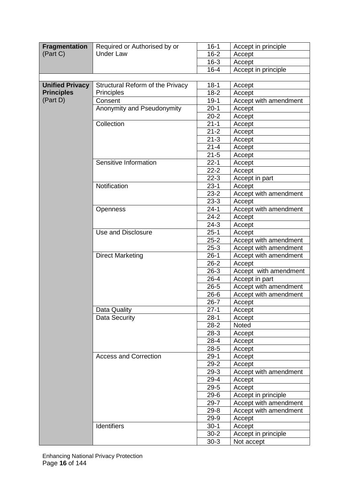| <b>Fragmentation</b>   | Required or Authorised by or     | $16 - 1$ | Accept in principle   |
|------------------------|----------------------------------|----------|-----------------------|
| (Part C)               | <b>Under Law</b>                 | $16 - 2$ | Accept                |
|                        |                                  | $16 - 3$ | Accept                |
|                        |                                  | $16 - 4$ | Accept in principle   |
|                        |                                  |          |                       |
| <b>Unified Privacy</b> | Structural Reform of the Privacy | $18-1$   | Accept                |
| <b>Principles</b>      | Principles                       | $18-2$   | Accept                |
| (Part D)               | Consent                          | $19-1$   | Accept with amendment |
|                        | Anonymity and Pseudonymity       | $20 - 1$ | Accept                |
|                        |                                  | $20 - 2$ | Accept                |
|                        | Collection                       | $21 - 1$ | Accept                |
|                        |                                  | $21 - 2$ | Accept                |
|                        |                                  | $21 - 3$ | Accept                |
|                        |                                  | $21 - 4$ | Accept                |
|                        |                                  | $21 - 5$ | Accept                |
|                        | Sensitive Information            | $22 - 1$ | Accept                |
|                        |                                  | $22 - 2$ | Accept                |
|                        |                                  | $22-3$   | Accept in part        |
|                        | Notification                     | $23-1$   | Accept                |
|                        |                                  | $23 - 2$ | Accept with amendment |
|                        |                                  | $23 - 3$ | Accept                |
|                        | Openness                         | $24 - 1$ | Accept with amendment |
|                        |                                  | $24 - 2$ | Accept                |
|                        |                                  | $24-3$   | Accept                |
|                        | Use and Disclosure               | $25 - 1$ | Accept                |
|                        |                                  | $25 - 2$ | Accept with amendment |
|                        |                                  | $25 - 3$ | Accept with amendment |
|                        | <b>Direct Marketing</b>          | $26-1$   | Accept with amendment |
|                        |                                  | $26 - 2$ | Accept                |
|                        |                                  | $26-3$   | Accept with amendment |
|                        |                                  | $26 - 4$ | Accept in part        |
|                        |                                  | $26 - 5$ | Accept with amendment |
|                        |                                  | $26 - 6$ | Accept with amendment |
|                        |                                  | $26 - 7$ | Accept                |
|                        | Data Quality                     | $27 - 1$ | Accept                |
|                        | Data Security                    | $28-1$   | Accept                |
|                        |                                  | $28 - 2$ | Noted                 |
|                        |                                  | $28-3$   | Accept                |
|                        |                                  | $28 - 4$ | Accept                |
|                        |                                  | $28 - 5$ | Accept                |
|                        | <b>Access and Correction</b>     | $29-1$   | Accept                |
|                        |                                  | $29 - 2$ | Accept                |
|                        |                                  | $29-3$   | Accept with amendment |
|                        |                                  | $29 - 4$ | Accept                |
|                        |                                  | $29 - 5$ | Accept                |
|                        |                                  | $29-6$   | Accept in principle   |
|                        |                                  | $29 - 7$ | Accept with amendment |
|                        |                                  | $29 - 8$ | Accept with amendment |
|                        |                                  | 29-9     | Accept                |
|                        | Identifiers                      | $30 - 1$ | Accept                |
|                        |                                  | $30 - 2$ | Accept in principle   |
|                        |                                  | $30-3$   | Not accept            |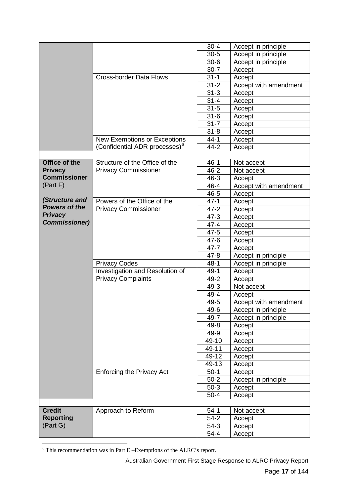|                      |                                           | $30 - 4$<br>$30-5$ | Accept in principle   |
|----------------------|-------------------------------------------|--------------------|-----------------------|
|                      |                                           |                    | Accept in principle   |
|                      |                                           | $30-6$             | Accept in principle   |
|                      |                                           | $30 - 7$           | Accept                |
|                      | <b>Cross-border Data Flows</b>            | $31 - 1$           | Accept                |
|                      |                                           | $31 - 2$           | Accept with amendment |
|                      |                                           | $31 - 3$           | Accept                |
|                      |                                           | $31 - 4$           | Accept                |
|                      |                                           | $31 - 5$           | Accept                |
|                      |                                           | $31 - 6$           | Accept                |
|                      |                                           | $31 - 7$           | Accept                |
|                      |                                           | $31 - 8$           | Accept                |
|                      | New Exemptions or Exceptions              | $44 - 1$           | Accept                |
|                      | (Confidential ADR processes) <sup>6</sup> | $44 - 2$           | Accept                |
|                      |                                           |                    |                       |
| Office of the        | Structure of the Office of the            | $46 - 1$           | Not accept            |
| <b>Privacy</b>       | <b>Privacy Commissioner</b>               | $46 - 2$           | Not accept            |
| <b>Commissioner</b>  |                                           | $46 - 3$           | Accept                |
| (Part F)             |                                           | $46 - 4$           | Accept with amendment |
|                      |                                           | $46 - 5$           | Accept                |
| (Structure and       | Powers of the Office of the               | $47 - 1$           | Accept                |
| <b>Powers of the</b> | <b>Privacy Commissioner</b>               | $47 - 2$           | Accept                |
| <b>Privacy</b>       |                                           | $47 - 3$           | Accept                |
| <b>Commissioner)</b> |                                           | $47 - 4$           | Accept                |
|                      |                                           | $47 - 5$           | Accept                |
|                      |                                           | $47 - 6$           | Accept                |
|                      |                                           | $47 - 7$           | Accept                |
|                      |                                           | $47 - 8$           | Accept in principle   |
|                      | <b>Privacy Codes</b>                      | $48 - 1$           | Accept in principle   |
|                      | Investigation and Resolution of           | $49 - 1$           | Accept                |
|                      | <b>Privacy Complaints</b>                 | 49-2               | Accept                |
|                      |                                           | $49-3$             | Not accept            |
|                      |                                           | 49-4               | Accept                |
|                      |                                           | 49-5               | Accept with amendment |
|                      |                                           | 49-6               | Accept in principle   |
|                      |                                           | 49-7               | Accept in principle   |
|                      |                                           | 49-8               | Accept                |
|                      |                                           | 49-9               | Accept                |
|                      |                                           | 49-10              | Accept                |
|                      |                                           | 49-11              |                       |
|                      |                                           | 49-12              | Accept                |
|                      |                                           |                    | Accept                |
|                      |                                           | 49-13<br>$50-1$    | Accept                |
|                      | <b>Enforcing the Privacy Act</b>          | $50 - 2$           | Accept                |
|                      |                                           |                    | Accept in principle   |
|                      |                                           | $50-3$             | Accept                |
|                      |                                           | $50 - 4$           | Accept                |
|                      |                                           |                    |                       |
| <b>Credit</b>        | Approach to Reform                        | $54-1$             | Not accept            |
| <b>Reporting</b>     |                                           | $54-2$             | Accept                |
| (Part G)             |                                           | $54-3$             | Accept                |
|                      |                                           | $54 - 4$           | Accept                |

<span id="page-16-0"></span> $\overline{6}$ This recommendation was in Part E –Exemptions of the ALRC's report.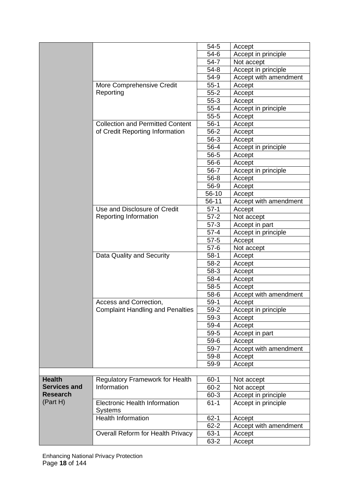|                     |                                                        | $54 - 5$  | Accept                |
|---------------------|--------------------------------------------------------|-----------|-----------------------|
|                     |                                                        | $54-6$    | Accept in principle   |
|                     |                                                        | $54 - 7$  | Not accept            |
|                     |                                                        | $54 - 8$  | Accept in principle   |
|                     |                                                        | 54-9      | Accept with amendment |
|                     | More Comprehensive Credit                              | $55-1$    | Accept                |
|                     | Reporting                                              | $55 - 2$  | Accept                |
|                     |                                                        | $55-3$    | Accept                |
|                     |                                                        | $55 - 4$  | Accept in principle   |
|                     |                                                        | $55 - 5$  | Accept                |
|                     | <b>Collection and Permitted Content</b>                | $56-1$    | Accept                |
|                     | of Credit Reporting Information                        | $56-2$    | Accept                |
|                     |                                                        | $56-3$    | Accept                |
|                     |                                                        | $56 - 4$  | Accept in principle   |
|                     |                                                        | $56 - 5$  | Accept                |
|                     |                                                        | $56-6$    | Accept                |
|                     |                                                        | $56 - 7$  | Accept in principle   |
|                     |                                                        | $56 - 8$  | Accept                |
|                     |                                                        | 56-9      | Accept                |
|                     |                                                        | 56-10     | Accept                |
|                     |                                                        | $56 - 11$ | Accept with amendment |
|                     | Use and Disclosure of Credit                           | $57-1$    | Accept                |
|                     | <b>Reporting Information</b>                           | $57-2$    | Not accept            |
|                     |                                                        | $57-3$    | Accept in part        |
|                     |                                                        | $57 - 4$  | Accept in principle   |
|                     |                                                        | $57 - 5$  | Accept                |
|                     |                                                        | $57-6$    | Not accept            |
|                     | Data Quality and Security                              | $58-1$    | Accept                |
|                     |                                                        | $58-2$    | Accept                |
|                     |                                                        | $58-3$    | Accept                |
|                     |                                                        | 58-4      | Accept                |
|                     |                                                        | $58 - 5$  | Accept                |
|                     |                                                        | 58-6      | Accept with amendment |
|                     | Access and Correction,                                 | $59-1$    | Accept                |
|                     | <b>Complaint Handling and Penalties</b>                | $59-2$    | Accept in principle   |
|                     |                                                        | $59-3$    | Accept                |
|                     |                                                        | $59-4$    | Accept                |
|                     |                                                        | $59-5$    | Accept in part        |
|                     |                                                        | 59-6      | Accept                |
|                     |                                                        | $59 - 7$  | Accept with amendment |
|                     |                                                        | $59 - 8$  | Accept                |
|                     |                                                        | 59-9      | Accept                |
|                     |                                                        |           |                       |
| <b>Health</b>       | <b>Regulatory Framework for Health</b>                 | $60 - 1$  | Not accept            |
| <b>Services and</b> | Information                                            | $60 - 2$  | Not accept            |
| <b>Research</b>     |                                                        | $60 - 3$  | Accept in principle   |
| (Part H)            | <b>Electronic Health Information</b><br><b>Systems</b> | $61 - 1$  | Accept in principle   |
|                     | <b>Health Information</b>                              | $62 - 1$  | Accept                |
|                     |                                                        | $62 - 2$  | Accept with amendment |
|                     | Overall Reform for Health Privacy                      | $63-1$    | Accept                |
|                     |                                                        | $63 - 2$  | Accept                |
|                     |                                                        |           |                       |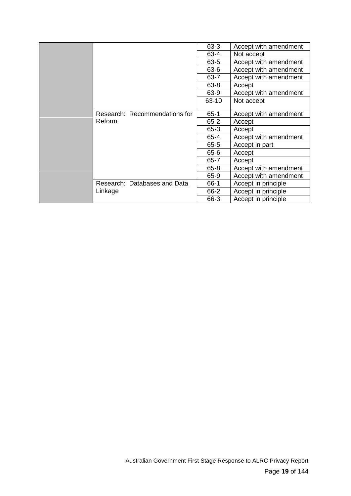|  |                               | $63 - 3$ | Accept with amendment |
|--|-------------------------------|----------|-----------------------|
|  |                               | $63 - 4$ | Not accept            |
|  |                               | $63 - 5$ | Accept with amendment |
|  |                               | 63-6     | Accept with amendment |
|  |                               | $63 - 7$ | Accept with amendment |
|  |                               | $63 - 8$ | Accept                |
|  |                               | 63-9     | Accept with amendment |
|  |                               | 63-10    | Not accept            |
|  |                               |          |                       |
|  | Research: Recommendations for | $65-1$   | Accept with amendment |
|  | Reform                        | $65 - 2$ | Accept                |
|  |                               | $65 - 3$ | Accept                |
|  |                               | $65 - 4$ | Accept with amendment |
|  |                               | $65 - 5$ | Accept in part        |
|  |                               | $65 - 6$ | Accept                |
|  |                               | $65 - 7$ | Accept                |
|  |                               | $65 - 8$ | Accept with amendment |
|  |                               | $65-9$   | Accept with amendment |
|  | Research: Databases and Data  | 66-1     | Accept in principle   |
|  | Linkage                       | 66-2     | Accept in principle   |
|  |                               | 66-3     | Accept in principle   |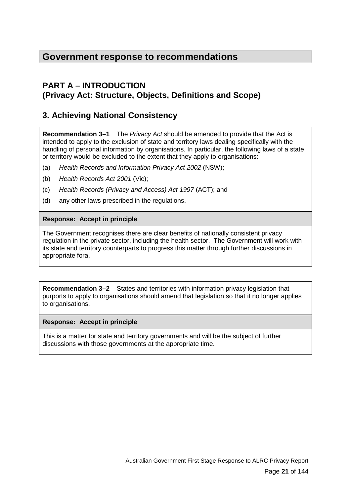### <span id="page-20-0"></span>**Government response to recommendations**

### <span id="page-20-1"></span>**PART A – INTRODUCTION (Privacy Act: Structure, Objects, Definitions and Scope)**

### <span id="page-20-2"></span>**3. Achieving National Consistency**

**Recommendation 3–1** The *Privacy Act* should be amended to provide that the Act is intended to apply to the exclusion of state and territory laws dealing specifically with the handling of personal information by organisations. In particular, the following laws of a state or territory would be excluded to the extent that they apply to organisations:

- (a) *Health Records and Information Privacy Act 2002* (NSW);
- (b) *Health Records Act 2001* (Vic);
- (c) *Health Records (Privacy and Access) Act 1997* (ACT); and
- (d) any other laws prescribed in the regulations.

#### **Response: Accept in principle**

The Government recognises there are clear benefits of nationally consistent privacy regulation in the private sector, including the health sector. The Government will work with its state and territory counterparts to progress this matter through further discussions in appropriate fora.

**Recommendation 3–2** States and territories with information privacy legislation that purports to apply to organisations should amend that legislation so that it no longer applies to organisations.

#### **Response: Accept in principle**

This is a matter for state and territory governments and will be the subject of further discussions with those governments at the appropriate time.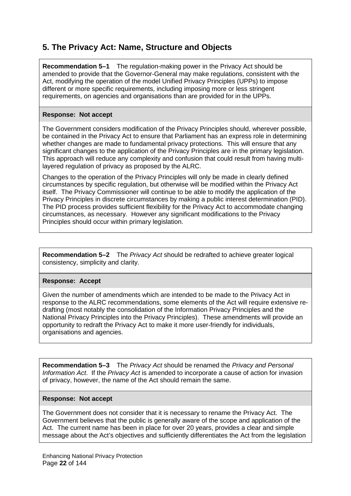### <span id="page-21-0"></span>**5. The Privacy Act: Name, Structure and Objects**

**Recommendation 5–1** The regulation-making power in the Privacy Act should be amended to provide that the Governor-General may make regulations, consistent with the Act, modifying the operation of the model Unified Privacy Principles (UPPs) to impose different or more specific requirements, including imposing more or less stringent requirements, on agencies and organisations than are provided for in the UPPs.

#### **Response: Not accept**

The Government considers modification of the Privacy Principles should, wherever possible, be contained in the Privacy Act to ensure that Parliament has an express role in determining whether changes are made to fundamental privacy protections. This will ensure that any significant changes to the application of the Privacy Principles are in the primary legislation. This approach will reduce any complexity and confusion that could result from having multilayered regulation of privacy as proposed by the ALRC.

Changes to the operation of the Privacy Principles will only be made in clearly defined circumstances by specific regulation, but otherwise will be modified within the Privacy Act itself. The Privacy Commissioner will continue to be able to modify the application of the Privacy Principles in discrete circumstances by making a public interest determination (PID). The PID process provides sufficient flexibility for the Privacy Act to accommodate changing circumstances, as necessary. However any significant modifications to the Privacy Principles should occur within primary legislation.

**Recommendation 5–2** The *Privacy Act* should be redrafted to achieve greater logical consistency, simplicity and clarity.

#### **Response: Accept**

Given the number of amendments which are intended to be made to the Privacy Act in response to the ALRC recommendations, some elements of the Act will require extensive redrafting (most notably the consolidation of the Information Privacy Principles and the National Privacy Principles into the Privacy Principles). These amendments will provide an opportunity to redraft the Privacy Act to make it more user-friendly for individuals, organisations and agencies.

**Recommendation 5–3** The *Privacy Act* should be renamed the *Privacy and Personal Information Act*. If the *Privacy Act* is amended to incorporate a cause of action for invasion of privacy, however, the name of the Act should remain the same.

#### **Response: Not accept**

The Government does not consider that it is necessary to rename the Privacy Act. The Government believes that the public is generally aware of the scope and application of the Act. The current name has been in place for over 20 years, provides a clear and simple message about the Act's objectives and sufficiently differentiates the Act from the legislation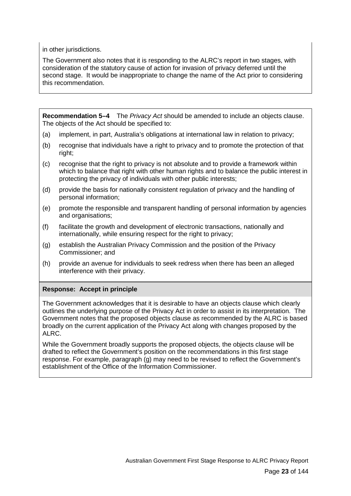in other jurisdictions.

The Government also notes that it is responding to the ALRC's report in two stages, with consideration of the statutory cause of action for invasion of privacy deferred until the second stage. It would be inappropriate to change the name of the Act prior to considering this recommendation.

**Recommendation 5–4** The *Privacy Act* should be amended to include an objects clause. The objects of the Act should be specified to:

- (a) implement, in part, Australia's obligations at international law in relation to privacy;
- (b) recognise that individuals have a right to privacy and to promote the protection of that right;
- (c) recognise that the right to privacy is not absolute and to provide a framework within which to balance that right with other human rights and to balance the public interest in protecting the privacy of individuals with other public interests;
- (d) provide the basis for nationally consistent regulation of privacy and the handling of personal information;
- (e) promote the responsible and transparent handling of personal information by agencies and organisations;
- (f) facilitate the growth and development of electronic transactions, nationally and internationally, while ensuring respect for the right to privacy;
- (g) establish the Australian Privacy Commission and the position of the Privacy Commissioner; and
- (h) provide an avenue for individuals to seek redress when there has been an alleged interference with their privacy.

#### **Response: Accept in principle**

The Government acknowledges that it is desirable to have an objects clause which clearly outlines the underlying purpose of the Privacy Act in order to assist in its interpretation. The Government notes that the proposed objects clause as recommended by the ALRC is based broadly on the current application of the Privacy Act along with changes proposed by the ALRC.

While the Government broadly supports the proposed objects, the objects clause will be drafted to reflect the Government's position on the recommendations in this first stage response. For example, paragraph (g) may need to be revised to reflect the Government's establishment of the Office of the Information Commissioner.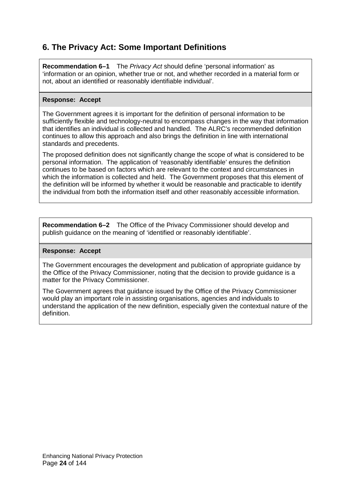### <span id="page-23-0"></span>**6. The Privacy Act: Some Important Definitions**

**Recommendation 6–1** The *Privacy Act* should define 'personal information' as 'information or an opinion, whether true or not, and whether recorded in a material form or not, about an identified or reasonably identifiable individual'.

#### **Response: Accept**

The Government agrees it is important for the definition of personal information to be sufficiently flexible and technology-neutral to encompass changes in the way that information that identifies an individual is collected and handled. The ALRC's recommended definition continues to allow this approach and also brings the definition in line with international standards and precedents.

The proposed definition does not significantly change the scope of what is considered to be personal information. The application of 'reasonably identifiable' ensures the definition continues to be based on factors which are relevant to the context and circumstances in which the information is collected and held. The Government proposes that this element of the definition will be informed by whether it would be reasonable and practicable to identify the individual from both the information itself and other reasonably accessible information.

**Recommendation 6–2** The Office of the Privacy Commissioner should develop and publish guidance on the meaning of 'identified or reasonably identifiable'.

#### **Response: Accept**

The Government encourages the development and publication of appropriate guidance by the Office of the Privacy Commissioner, noting that the decision to provide guidance is a matter for the Privacy Commissioner.

The Government agrees that guidance issued by the Office of the Privacy Commissioner would play an important role in assisting organisations, agencies and individuals to understand the application of the new definition, especially given the contextual nature of the definition.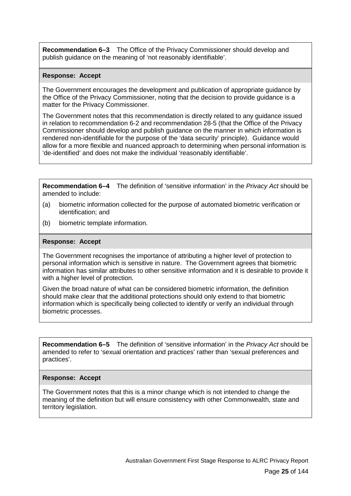**Recommendation 6–3** The Office of the Privacy Commissioner should develop and publish guidance on the meaning of 'not reasonably identifiable'.

#### **Response: Accept**

The Government encourages the development and publication of appropriate guidance by the Office of the Privacy Commissioner, noting that the decision to provide guidance is a matter for the Privacy Commissioner.

The Government notes that this recommendation is directly related to any guidance issued in relation to recommendation 6-2 and recommendation 28-5 (that the Office of the Privacy Commissioner should develop and publish guidance on the manner in which information is rendered non-identifiable for the purpose of the 'data security' principle). Guidance would allow for a more flexible and nuanced approach to determining when personal information is 'de-identified' and does not make the individual 'reasonably identifiable'.

**Recommendation 6–4** The definition of 'sensitive information' in the *Privacy Act* should be amended to include:

- (a) biometric information collected for the purpose of automated biometric verification or identification; and
- (b) biometric template information.

#### **Response: Accept**

The Government recognises the importance of attributing a higher level of protection to personal information which is sensitive in nature. The Government agrees that biometric information has similar attributes to other sensitive information and it is desirable to provide it with a higher level of protection.

Given the broad nature of what can be considered biometric information, the definition should make clear that the additional protections should only extend to that biometric information which is specifically being collected to identify or verify an individual through biometric processes.

**Recommendation 6–5** The definition of 'sensitive information' in the *Privacy Act* should be amended to refer to 'sexual orientation and practices' rather than 'sexual preferences and practices'.

#### **Response: Accept**

The Government notes that this is a minor change which is not intended to change the meaning of the definition but will ensure consistency with other Commonwealth, state and territory legislation.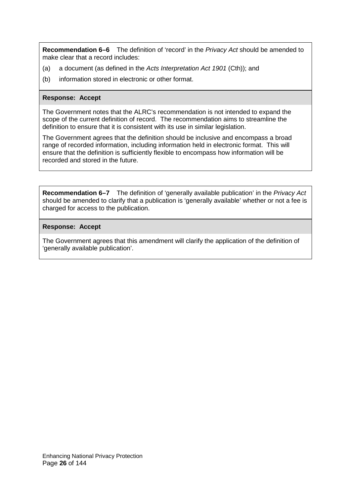**Recommendation 6–6** The definition of 'record' in the *Privacy Act* should be amended to make clear that a record includes:

- (a) a document (as defined in the *Acts Interpretation Act 1901* (Cth)); and
- (b) information stored in electronic or other format.

#### **Response: Accept**

The Government notes that the ALRC's recommendation is not intended to expand the scope of the current definition of record. The recommendation aims to streamline the definition to ensure that it is consistent with its use in similar legislation.

The Government agrees that the definition should be inclusive and encompass a broad range of recorded information, including information held in electronic format. This will ensure that the definition is sufficiently flexible to encompass how information will be recorded and stored in the future.

**Recommendation 6–7** The definition of 'generally available publication' in the *Privacy Act* should be amended to clarify that a publication is 'generally available' whether or not a fee is charged for access to the publication.

#### **Response: Accept**

The Government agrees that this amendment will clarify the application of the definition of 'generally available publication'.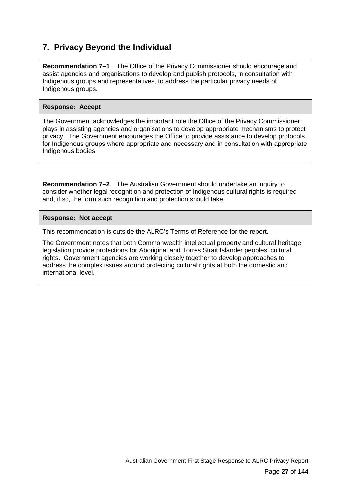### <span id="page-26-0"></span>**7. Privacy Beyond the Individual**

**Recommendation 7–1** The Office of the Privacy Commissioner should encourage and assist agencies and organisations to develop and publish protocols, in consultation with Indigenous groups and representatives, to address the particular privacy needs of Indigenous groups.

#### **Response: Accept**

The Government acknowledges the important role the Office of the Privacy Commissioner plays in assisting agencies and organisations to develop appropriate mechanisms to protect privacy. The Government encourages the Office to provide assistance to develop protocols for Indigenous groups where appropriate and necessary and in consultation with appropriate Indigenous bodies.

**Recommendation 7–2** The Australian Government should undertake an inquiry to consider whether legal recognition and protection of Indigenous cultural rights is required and, if so, the form such recognition and protection should take.

#### **Response: Not accept**

This recommendation is outside the ALRC's Terms of Reference for the report.

The Government notes that both Commonwealth intellectual property and cultural heritage legislation provide protections for Aboriginal and Torres Strait Islander peoples' cultural rights. Government agencies are working closely together to develop approaches to address the complex issues around protecting cultural rights at both the domestic and international level.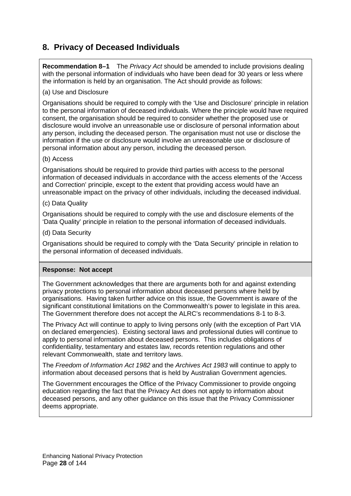### <span id="page-27-0"></span>**8. Privacy of Deceased Individuals**

**Recommendation 8–1** The *Privacy Act* should be amended to include provisions dealing with the personal information of individuals who have been dead for 30 years or less where the information is held by an organisation. The Act should provide as follows:

#### (a) Use and Disclosure

Organisations should be required to comply with the 'Use and Disclosure' principle in relation to the personal information of deceased individuals. Where the principle would have required consent, the organisation should be required to consider whether the proposed use or disclosure would involve an unreasonable use or disclosure of personal information about any person, including the deceased person. The organisation must not use or disclose the information if the use or disclosure would involve an unreasonable use or disclosure of personal information about any person, including the deceased person.

#### (b) Access

Organisations should be required to provide third parties with access to the personal information of deceased individuals in accordance with the access elements of the 'Access and Correction' principle, except to the extent that providing access would have an unreasonable impact on the privacy of other individuals, including the deceased individual.

#### (c) Data Quality

Organisations should be required to comply with the use and disclosure elements of the 'Data Quality' principle in relation to the personal information of deceased individuals.

#### (d) Data Security

Organisations should be required to comply with the 'Data Security' principle in relation to the personal information of deceased individuals.

#### **Response: Not accept**

The Government acknowledges that there are arguments both for and against extending privacy protections to personal information about deceased persons where held by organisations. Having taken further advice on this issue, the Government is aware of the significant constitutional limitations on the Commonwealth's power to legislate in this area. The Government therefore does not accept the ALRC's recommendations 8-1 to 8-3.

The Privacy Act will continue to apply to living persons only (with the exception of Part VIA on declared emergencies). Existing sectoral laws and professional duties will continue to apply to personal information about deceased persons. This includes obligations of confidentiality, testamentary and estates law, records retention regulations and other relevant Commonwealth, state and territory laws.

The *Freedom of Information Act 1982* and the *Archives Act 1983* will continue to apply to information about deceased persons that is held by Australian Government agencies.

The Government encourages the Office of the Privacy Commissioner to provide ongoing education regarding the fact that the Privacy Act does not apply to information about deceased persons, and any other guidance on this issue that the Privacy Commissioner deems appropriate.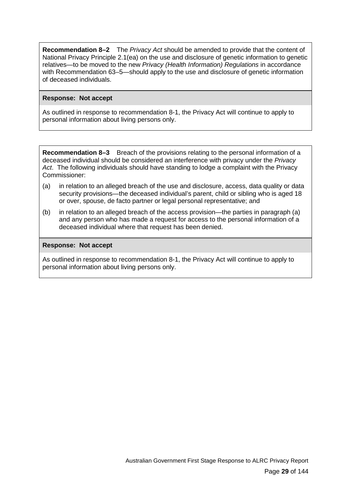**Recommendation 8–2** The *Privacy Act* should be amended to provide that the content of National Privacy Principle 2.1(ea) on the use and disclosure of genetic information to genetic relatives—to be moved to the new *Privacy (Health Information) Regulations* in accordance with Recommendation 63–5—should apply to the use and disclosure of genetic information of deceased individuals.

#### **Response: Not accept**

As outlined in response to recommendation 8-1, the Privacy Act will continue to apply to personal information about living persons only.

**Recommendation 8–3** Breach of the provisions relating to the personal information of a deceased individual should be considered an interference with privacy under the *Privacy Act*. The following individuals should have standing to lodge a complaint with the Privacy Commissioner:

- (a) in relation to an alleged breach of the use and disclosure, access, data quality or data security provisions—the deceased individual's parent, child or sibling who is aged 18 or over, spouse, de facto partner or legal personal representative; and
- (b) in relation to an alleged breach of the access provision—the parties in paragraph (a) and any person who has made a request for access to the personal information of a deceased individual where that request has been denied.

#### **Response: Not accept**

As outlined in response to recommendation 8-1, the Privacy Act will continue to apply to personal information about living persons only.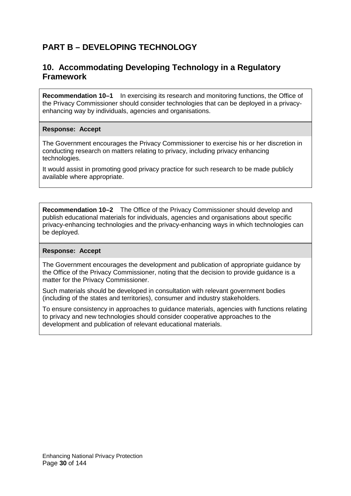### <span id="page-29-0"></span>**PART B – DEVELOPING TECHNOLOGY**

### <span id="page-29-1"></span>**10. Accommodating Developing Technology in a Regulatory Framework**

**Recommendation 10–1** In exercising its research and monitoring functions, the Office of the Privacy Commissioner should consider technologies that can be deployed in a privacyenhancing way by individuals, agencies and organisations.

#### **Response: Accept**

The Government encourages the Privacy Commissioner to exercise his or her discretion in conducting research on matters relating to privacy, including privacy enhancing technologies.

It would assist in promoting good privacy practice for such research to be made publicly available where appropriate.

**Recommendation 10–2** The Office of the Privacy Commissioner should develop and publish educational materials for individuals, agencies and organisations about specific privacy-enhancing technologies and the privacy-enhancing ways in which technologies can be deployed.

#### **Response: Accept**

The Government encourages the development and publication of appropriate guidance by the Office of the Privacy Commissioner, noting that the decision to provide guidance is a matter for the Privacy Commissioner.

Such materials should be developed in consultation with relevant government bodies (including of the states and territories), consumer and industry stakeholders.

To ensure consistency in approaches to guidance materials, agencies with functions relating to privacy and new technologies should consider cooperative approaches to the development and publication of relevant educational materials.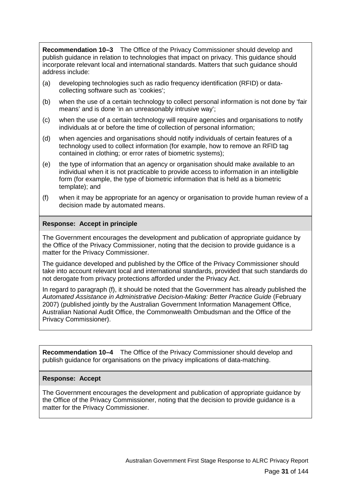**Recommendation 10–3** The Office of the Privacy Commissioner should develop and publish guidance in relation to technologies that impact on privacy. This guidance should incorporate relevant local and international standards. Matters that such guidance should address include:

- (a) developing technologies such as radio frequency identification (RFID) or datacollecting software such as 'cookies';
- (b) when the use of a certain technology to collect personal information is not done by 'fair means' and is done 'in an unreasonably intrusive way';
- (c) when the use of a certain technology will require agencies and organisations to notify individuals at or before the time of collection of personal information;
- (d) when agencies and organisations should notify individuals of certain features of a technology used to collect information (for example, how to remove an RFID tag contained in clothing; or error rates of biometric systems);
- (e) the type of information that an agency or organisation should make available to an individual when it is not practicable to provide access to information in an intelligible form (for example, the type of biometric information that is held as a biometric template); and
- (f) when it may be appropriate for an agency or organisation to provide human review of a decision made by automated means.

#### **Response: Accept in principle**

The Government encourages the development and publication of appropriate guidance by the Office of the Privacy Commissioner, noting that the decision to provide guidance is a matter for the Privacy Commissioner.

The guidance developed and published by the Office of the Privacy Commissioner should take into account relevant local and international standards, provided that such standards do not derogate from privacy protections afforded under the Privacy Act.

In regard to paragraph (f), it should be noted that the Government has already published the *Automated Assistance in Administrative Decision-Making: Better Practice Guide* (February 2007) (published jointly by the Australian Government Information Management Office, Australian National Audit Office, the Commonwealth Ombudsman and the Office of the Privacy Commissioner).

**Recommendation 10–4** The Office of the Privacy Commissioner should develop and publish guidance for organisations on the privacy implications of data-matching.

#### **Response: Accept**

The Government encourages the development and publication of appropriate guidance by the Office of the Privacy Commissioner, noting that the decision to provide guidance is a matter for the Privacy Commissioner.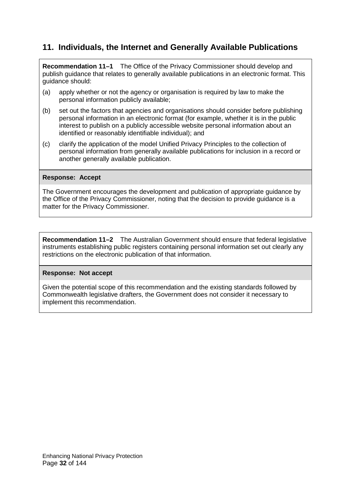### <span id="page-31-0"></span>**11. Individuals, the Internet and Generally Available Publications**

**Recommendation 11–1** The Office of the Privacy Commissioner should develop and publish guidance that relates to generally available publications in an electronic format. This guidance should:

- (a) apply whether or not the agency or organisation is required by law to make the personal information publicly available;
- (b) set out the factors that agencies and organisations should consider before publishing personal information in an electronic format (for example, whether it is in the public interest to publish on a publicly accessible website personal information about an identified or reasonably identifiable individual); and
- (c) clarify the application of the model Unified Privacy Principles to the collection of personal information from generally available publications for inclusion in a record or another generally available publication.

#### **Response: Accept**

The Government encourages the development and publication of appropriate guidance by the Office of the Privacy Commissioner, noting that the decision to provide guidance is a matter for the Privacy Commissioner.

**Recommendation 11–2** The Australian Government should ensure that federal legislative instruments establishing public registers containing personal information set out clearly any restrictions on the electronic publication of that information.

#### **Response: Not accept**

Given the potential scope of this recommendation and the existing standards followed by Commonwealth legislative drafters, the Government does not consider it necessary to implement this recommendation.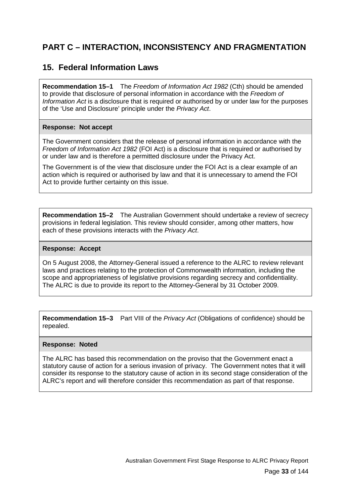### <span id="page-32-0"></span>**PART C – INTERACTION, INCONSISTENCY AND FRAGMENTATION**

### <span id="page-32-1"></span>**15. Federal Information Laws**

**Recommendation 15–1** The *Freedom of Information Act 1982* (Cth) should be amended to provide that disclosure of personal information in accordance with the *Freedom of Information Act* is a disclosure that is required or authorised by or under law for the purposes of the 'Use and Disclosure' principle under the *Privacy Act*.

#### **Response: Not accept**

The Government considers that the release of personal information in accordance with the *Freedom of Information Act 1982* (FOI Act) is a disclosure that is required or authorised by or under law and is therefore a permitted disclosure under the Privacy Act.

The Government is of the view that disclosure under the FOI Act is a clear example of an action which is required or authorised by law and that it is unnecessary to amend the FOI Act to provide further certainty on this issue.

**Recommendation 15–2** The Australian Government should undertake a review of secrecy provisions in federal legislation. This review should consider, among other matters, how each of these provisions interacts with the *Privacy Act*.

#### **Response: Accept**

On 5 August 2008, the Attorney-General issued a reference to the ALRC to review relevant laws and practices relating to the protection of Commonwealth information, including the scope and appropriateness of legislative provisions regarding secrecy and confidentiality. The ALRC is due to provide its report to the Attorney-General by 31 October 2009.

**Recommendation 15–3** Part VIII of the *Privacy Act* (Obligations of confidence) should be repealed.

#### **Response: Noted**

The ALRC has based this recommendation on the proviso that the Government enact a statutory cause of action for a serious invasion of privacy. The Government notes that it will consider its response to the statutory cause of action in its second stage consideration of the ALRC's report and will therefore consider this recommendation as part of that response.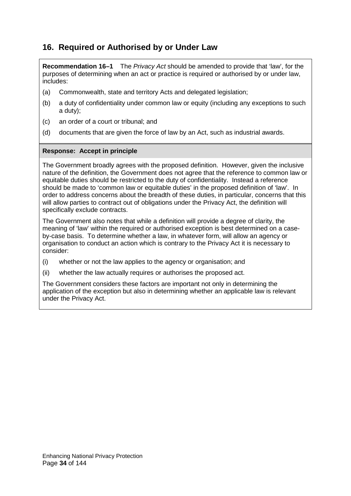### <span id="page-33-0"></span>**16. Required or Authorised by or Under Law**

**Recommendation 16–1** The *Privacy Act* should be amended to provide that 'law', for the purposes of determining when an act or practice is required or authorised by or under law, includes:

- (a) Commonwealth, state and territory Acts and delegated legislation;
- (b) a duty of confidentiality under common law or equity (including any exceptions to such a duty);
- (c) an order of a court or tribunal; and
- (d) documents that are given the force of law by an Act, such as industrial awards.

#### **Response: Accept in principle**

The Government broadly agrees with the proposed definition. However, given the inclusive nature of the definition, the Government does not agree that the reference to common law or equitable duties should be restricted to the duty of confidentiality. Instead a reference should be made to 'common law or equitable duties' in the proposed definition of 'law'. In order to address concerns about the breadth of these duties, in particular, concerns that this will allow parties to contract out of obligations under the Privacy Act, the definition will specifically exclude contracts.

The Government also notes that while a definition will provide a degree of clarity, the meaning of 'law' within the required or authorised exception is best determined on a caseby-case basis. To determine whether a law, in whatever form, will allow an agency or organisation to conduct an action which is contrary to the Privacy Act it is necessary to consider:

- (i) whether or not the law applies to the agency or organisation; and
- (ii) whether the law actually requires or authorises the proposed act.

The Government considers these factors are important not only in determining the application of the exception but also in determining whether an applicable law is relevant under the Privacy Act.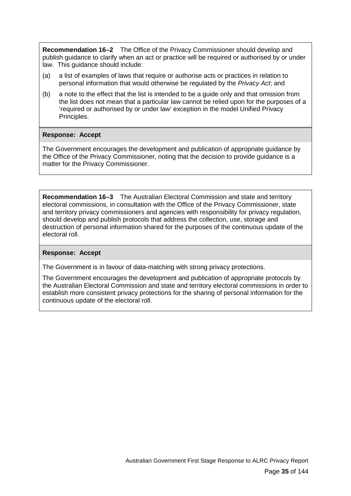**Recommendation 16–2** The Office of the Privacy Commissioner should develop and publish guidance to clarify when an act or practice will be required or authorised by or under law. This guidance should include:

- (a) a list of examples of laws that require or authorise acts or practices in relation to personal information that would otherwise be regulated by the *Privacy Act*; and
- (b) a note to the effect that the list is intended to be a guide only and that omission from the list does not mean that a particular law cannot be relied upon for the purposes of a 'required or authorised by or under law' exception in the model Unified Privacy Principles.

#### **Response: Accept**

The Government encourages the development and publication of appropriate guidance by the Office of the Privacy Commissioner, noting that the decision to provide guidance is a matter for the Privacy Commissioner.

**Recommendation 16–3** The Australian Electoral Commission and state and territory electoral commissions, in consultation with the Office of the Privacy Commissioner, state and territory privacy commissioners and agencies with responsibility for privacy regulation, should develop and publish protocols that address the collection, use, storage and destruction of personal information shared for the purposes of the continuous update of the electoral roll.

#### **Response: Accept**

The Government is in favour of data-matching with strong privacy protections.

The Government encourages the development and publication of appropriate protocols by the Australian Electoral Commission and state and territory electoral commissions in order to establish more consistent privacy protections for the sharing of personal information for the continuous update of the electoral roll.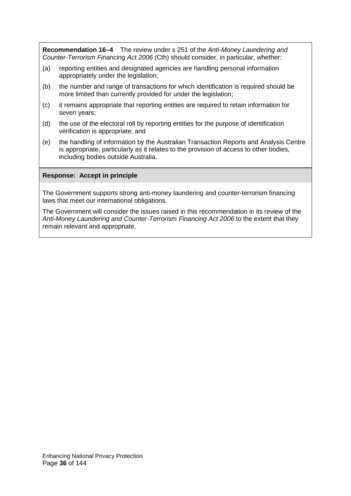**Recommendation 16–4** The review under s 251 of the *Anti-Money Laundering and Counter-Terrorism Financing Act 2006* (Cth) should consider, in particular, whether:

- (a) reporting entities and designated agencies are handling personal information appropriately under the legislation;
- (b) the number and range of transactions for which identification is required should be more limited than currently provided for under the legislation:
- (c) it remains appropriate that reporting entities are required to retain information for seven years;
- (d) the use of the electoral roll by reporting entities for the purpose of identification verification is appropriate; and
- (e) the handling of information by the Australian Transaction Reports and Analysis Centre is appropriate, particularly as it relates to the provision of access to other bodies, including bodies outside Australia.

#### **Response: Accept in principle**

The Government supports strong anti-money laundering and counter-terrorism financing laws that meet our international obligations.

The Government will consider the issues raised in this recommendation in its review of the *Anti-Money Laundering and Counter-Terrorism Financing Act 2006* to the extent that they remain relevant and appropriate.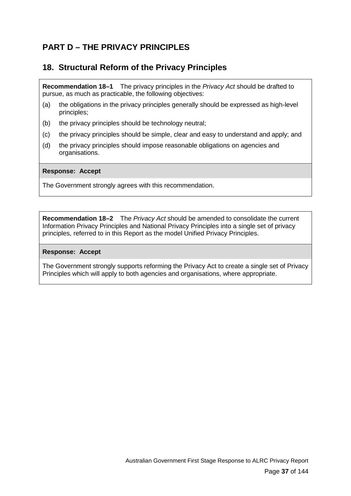# **PART D – THE PRIVACY PRINCIPLES**

# **18. Structural Reform of the Privacy Principles**

**Recommendation 18–1** The privacy principles in the *Privacy Act* should be drafted to pursue, as much as practicable, the following objectives:

- (a) the obligations in the privacy principles generally should be expressed as high-level principles;
- (b) the privacy principles should be technology neutral;
- (c) the privacy principles should be simple, clear and easy to understand and apply; and
- (d) the privacy principles should impose reasonable obligations on agencies and organisations.

#### **Response: Accept**

The Government strongly agrees with this recommendation.

**Recommendation 18–2** The *Privacy Act* should be amended to consolidate the current Information Privacy Principles and National Privacy Principles into a single set of privacy principles, referred to in this Report as the model Unified Privacy Principles.

#### **Response: Accept**

The Government strongly supports reforming the Privacy Act to create a single set of Privacy Principles which will apply to both agencies and organisations, where appropriate.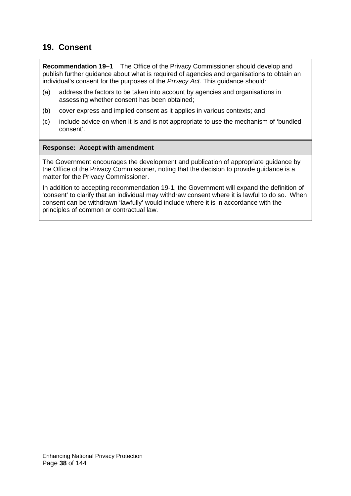## **19. Consent**

**Recommendation 19–1** The Office of the Privacy Commissioner should develop and publish further guidance about what is required of agencies and organisations to obtain an individual's consent for the purposes of the *Privacy Act*. This guidance should:

- (a) address the factors to be taken into account by agencies and organisations in assessing whether consent has been obtained;
- (b) cover express and implied consent as it applies in various contexts; and
- (c) include advice on when it is and is not appropriate to use the mechanism of 'bundled consent'.

#### **Response: Accept with amendment**

The Government encourages the development and publication of appropriate guidance by the Office of the Privacy Commissioner, noting that the decision to provide guidance is a matter for the Privacy Commissioner.

In addition to accepting recommendation 19-1, the Government will expand the definition of 'consent' to clarify that an individual may withdraw consent where it is lawful to do so. When consent can be withdrawn 'lawfully' would include where it is in accordance with the principles of common or contractual law.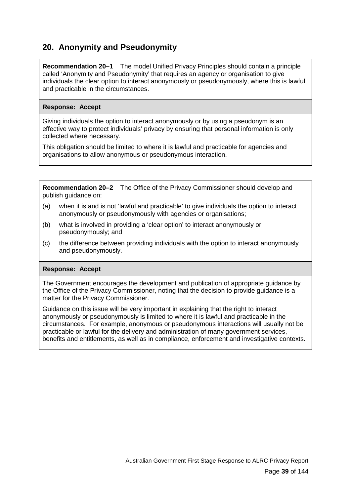# **20. Anonymity and Pseudonymity**

**Recommendation 20–1** The model Unified Privacy Principles should contain a principle called 'Anonymity and Pseudonymity' that requires an agency or organisation to give individuals the clear option to interact anonymously or pseudonymously, where this is lawful and practicable in the circumstances.

### **Response: Accept**

Giving individuals the option to interact anonymously or by using a pseudonym is an effective way to protect individuals' privacy by ensuring that personal information is only collected where necessary.

This obligation should be limited to where it is lawful and practicable for agencies and organisations to allow anonymous or pseudonymous interaction.

**Recommendation 20–2** The Office of the Privacy Commissioner should develop and publish guidance on:

- (a) when it is and is not 'lawful and practicable' to give individuals the option to interact anonymously or pseudonymously with agencies or organisations;
- (b) what is involved in providing a 'clear option' to interact anonymously or pseudonymously; and
- (c) the difference between providing individuals with the option to interact anonymously and pseudonymously.

### **Response: Accept**

The Government encourages the development and publication of appropriate guidance by the Office of the Privacy Commissioner, noting that the decision to provide guidance is a matter for the Privacy Commissioner.

Guidance on this issue will be very important in explaining that the right to interact anonymously or pseudonymously is limited to where it is lawful and practicable in the circumstances. For example, anonymous or pseudonymous interactions will usually not be practicable or lawful for the delivery and administration of many government services, benefits and entitlements, as well as in compliance, enforcement and investigative contexts.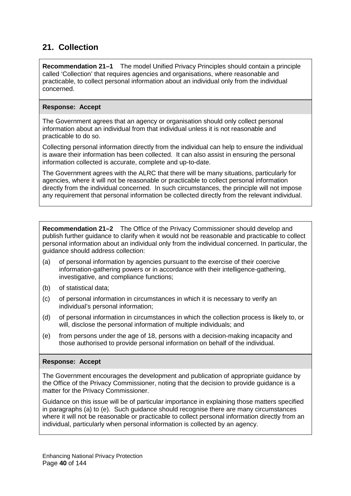# **21. Collection**

**Recommendation 21–1** The model Unified Privacy Principles should contain a principle called 'Collection' that requires agencies and organisations, where reasonable and practicable, to collect personal information about an individual only from the individual concerned.

### **Response: Accept**

The Government agrees that an agency or organisation should only collect personal information about an individual from that individual unless it is not reasonable and practicable to do so.

Collecting personal information directly from the individual can help to ensure the individual is aware their information has been collected. It can also assist in ensuring the personal information collected is accurate, complete and up-to-date.

The Government agrees with the ALRC that there will be many situations, particularly for agencies, where it will not be reasonable or practicable to collect personal information directly from the individual concerned. In such circumstances, the principle will not impose any requirement that personal information be collected directly from the relevant individual.

**Recommendation 21–2** The Office of the Privacy Commissioner should develop and publish further guidance to clarify when it would not be reasonable and practicable to collect personal information about an individual only from the individual concerned. In particular, the guidance should address collection:

- (a) of personal information by agencies pursuant to the exercise of their coercive information-gathering powers or in accordance with their intelligence-gathering, investigative, and compliance functions;
- (b) of statistical data;
- (c) of personal information in circumstances in which it is necessary to verify an individual's personal information;
- (d) of personal information in circumstances in which the collection process is likely to, or will, disclose the personal information of multiple individuals; and
- (e) from persons under the age of 18, persons with a decision-making incapacity and those authorised to provide personal information on behalf of the individual.

### **Response: Accept**

The Government encourages the development and publication of appropriate guidance by the Office of the Privacy Commissioner, noting that the decision to provide guidance is a matter for the Privacy Commissioner.

Guidance on this issue will be of particular importance in explaining those matters specified in paragraphs (a) to (e). Such guidance should recognise there are many circumstances where it will not be reasonable or practicable to collect personal information directly from an individual, particularly when personal information is collected by an agency.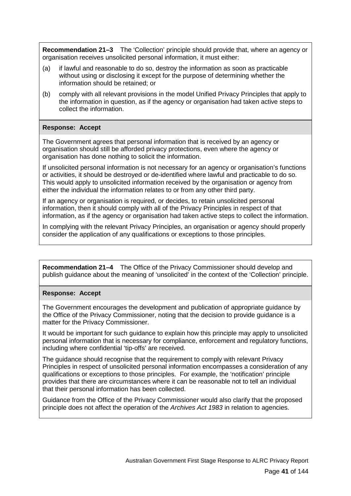**Recommendation 21–3** The 'Collection' principle should provide that, where an agency or organisation receives unsolicited personal information, it must either:

- (a) if lawful and reasonable to do so, destroy the information as soon as practicable without using or disclosing it except for the purpose of determining whether the information should be retained; or
- (b) comply with all relevant provisions in the model Unified Privacy Principles that apply to the information in question, as if the agency or organisation had taken active steps to collect the information.

#### **Response: Accept**

The Government agrees that personal information that is received by an agency or organisation should still be afforded privacy protections, even where the agency or organisation has done nothing to solicit the information.

If unsolicited personal information is not necessary for an agency or organisation's functions or activities, it should be destroyed or de-identified where lawful and practicable to do so. This would apply to unsolicited information received by the organisation or agency from either the individual the information relates to or from any other third party.

If an agency or organisation is required, or decides, to retain unsolicited personal information, then it should comply with all of the Privacy Principles in respect of that information, as if the agency or organisation had taken active steps to collect the information.

In complying with the relevant Privacy Principles, an organisation or agency should properly consider the application of any qualifications or exceptions to those principles.

**Recommendation 21–4** The Office of the Privacy Commissioner should develop and publish guidance about the meaning of 'unsolicited' in the context of the 'Collection' principle.

#### **Response: Accept**

The Government encourages the development and publication of appropriate guidance by the Office of the Privacy Commissioner, noting that the decision to provide guidance is a matter for the Privacy Commissioner.

It would be important for such guidance to explain how this principle may apply to unsolicited personal information that is necessary for compliance, enforcement and regulatory functions, including where confidential 'tip-offs' are received.

The guidance should recognise that the requirement to comply with relevant Privacy Principles in respect of unsolicited personal information encompasses a consideration of any qualifications or exceptions to those principles. For example, the 'notification' principle provides that there are circumstances where it can be reasonable not to tell an individual that their personal information has been collected.

Guidance from the Office of the Privacy Commissioner would also clarify that the proposed principle does not affect the operation of the *Archives Act 1983* in relation to agencies.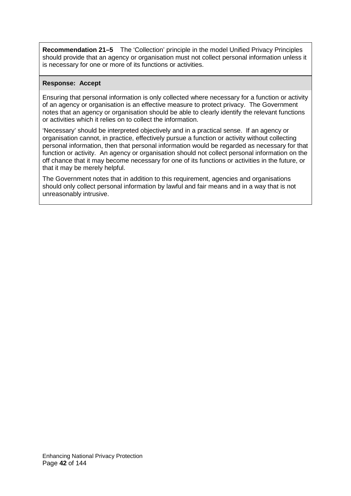**Recommendation 21–5** The 'Collection' principle in the model Unified Privacy Principles should provide that an agency or organisation must not collect personal information unless it is necessary for one or more of its functions or activities.

### **Response: Accept**

Ensuring that personal information is only collected where necessary for a function or activity of an agency or organisation is an effective measure to protect privacy. The Government notes that an agency or organisation should be able to clearly identify the relevant functions or activities which it relies on to collect the information.

'Necessary' should be interpreted objectively and in a practical sense. If an agency or organisation cannot, in practice, effectively pursue a function or activity without collecting personal information, then that personal information would be regarded as necessary for that function or activity. An agency or organisation should not collect personal information on the off chance that it may become necessary for one of its functions or activities in the future, or that it may be merely helpful.

The Government notes that in addition to this requirement, agencies and organisations should only collect personal information by lawful and fair means and in a way that is not unreasonably intrusive.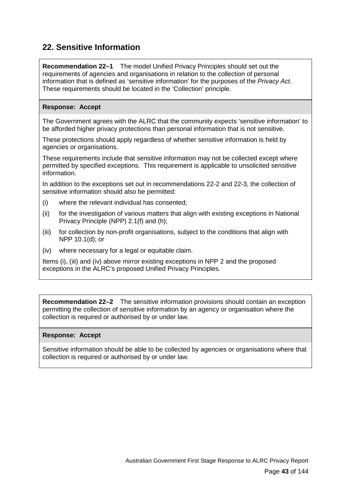# **22. Sensitive Information**

**Recommendation 22–1** The model Unified Privacy Principles should set out the requirements of agencies and organisations in relation to the collection of personal information that is defined as 'sensitive information' for the purposes of the *Privacy Act*. These requirements should be located in the 'Collection' principle.

### **Response: Accept**

The Government agrees with the ALRC that the community expects 'sensitive information' to be afforded higher privacy protections than personal information that is not sensitive.

These protections should apply regardless of whether sensitive information is held by agencies or organisations.

These requirements include that sensitive information may not be collected except where permitted by specified exceptions. This requirement is applicable to unsolicited sensitive information.

In addition to the exceptions set out in recommendations 22-2 and 22-3, the collection of sensitive information should also be permitted:

- (i) where the relevant individual has consented;
- (ii) for the investigation of various matters that align with existing exceptions in National Privacy Principle (NPP) 2.1(f) and (h);
- (iii) for collection by non-profit organisations, subject to the conditions that align with NPP 10.1(d); or
- (iv) where necessary for a legal or equitable claim.

Items (i), (iii) and (iv) above mirror existing exceptions in NPP 2 and the proposed exceptions in the ALRC's proposed Unified Privacy Principles.

**Recommendation 22–2** The sensitive information provisions should contain an exception permitting the collection of sensitive information by an agency or organisation where the collection is required or authorised by or under law.

### **Response: Accept**

Sensitive information should be able to be collected by agencies or organisations where that collection is required or authorised by or under law.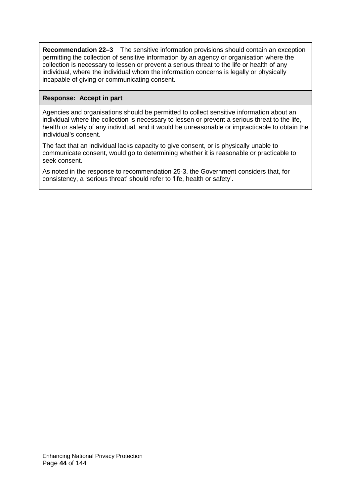**Recommendation 22–3** The sensitive information provisions should contain an exception permitting the collection of sensitive information by an agency or organisation where the collection is necessary to lessen or prevent a serious threat to the life or health of any individual, where the individual whom the information concerns is legally or physically incapable of giving or communicating consent.

### **Response: Accept in part**

Agencies and organisations should be permitted to collect sensitive information about an individual where the collection is necessary to lessen or prevent a serious threat to the life, health or safety of any individual, and it would be unreasonable or impracticable to obtain the individual's consent.

The fact that an individual lacks capacity to give consent, or is physically unable to communicate consent, would go to determining whether it is reasonable or practicable to seek consent.

As noted in the response to recommendation 25-3, the Government considers that, for consistency, a 'serious threat' should refer to 'life, health or safety'.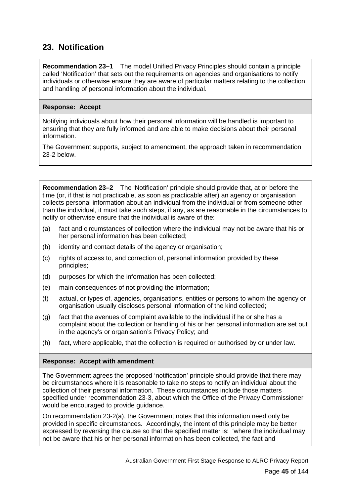# **23. Notification**

**Recommendation 23–1** The model Unified Privacy Principles should contain a principle called 'Notification' that sets out the requirements on agencies and organisations to notify individuals or otherwise ensure they are aware of particular matters relating to the collection and handling of personal information about the individual.

### **Response: Accept**

Notifying individuals about how their personal information will be handled is important to ensuring that they are fully informed and are able to make decisions about their personal information.

The Government supports, subject to amendment, the approach taken in recommendation 23-2 below.

**Recommendation 23–2** The 'Notification' principle should provide that, at or before the time (or, if that is not practicable, as soon as practicable after) an agency or organisation collects personal information about an individual from the individual or from someone other than the individual, it must take such steps, if any, as are reasonable in the circumstances to notify or otherwise ensure that the individual is aware of the:

- (a) fact and circumstances of collection where the individual may not be aware that his or her personal information has been collected;
- (b) identity and contact details of the agency or organisation;
- (c) rights of access to, and correction of, personal information provided by these principles;
- (d) purposes for which the information has been collected;
- (e) main consequences of not providing the information;
- (f) actual, or types of, agencies, organisations, entities or persons to whom the agency or organisation usually discloses personal information of the kind collected;
- (g) fact that the avenues of complaint available to the individual if he or she has a complaint about the collection or handling of his or her personal information are set out in the agency's or organisation's Privacy Policy; and
- (h) fact, where applicable, that the collection is required or authorised by or under law.

### **Response: Accept with amendment**

The Government agrees the proposed 'notification' principle should provide that there may be circumstances where it is reasonable to take no steps to notify an individual about the collection of their personal information. These circumstances include those matters specified under recommendation 23-3, about which the Office of the Privacy Commissioner would be encouraged to provide guidance.

On recommendation 23-2(a), the Government notes that this information need only be provided in specific circumstances. Accordingly, the intent of this principle may be better expressed by reversing the clause so that the specified matter is: 'where the individual may not be aware that his or her personal information has been collected, the fact and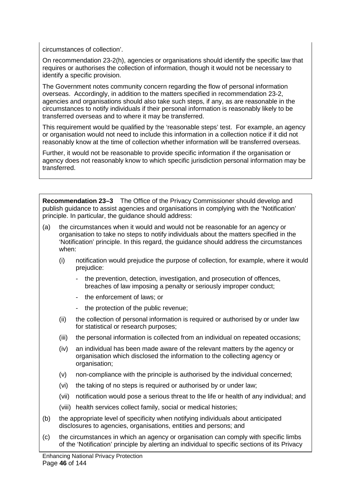circumstances of collection'.

On recommendation 23-2(h), agencies or organisations should identify the specific law that requires or authorises the collection of information, though it would not be necessary to identify a specific provision.

The Government notes community concern regarding the flow of personal information overseas. Accordingly, in addition to the matters specified in recommendation 23-2, agencies and organisations should also take such steps, if any, as are reasonable in the circumstances to notify individuals if their personal information is reasonably likely to be transferred overseas and to where it may be transferred.

This requirement would be qualified by the 'reasonable steps' test. For example, an agency or organisation would not need to include this information in a collection notice if it did not reasonably know at the time of collection whether information will be transferred overseas.

Further, it would not be reasonable to provide specific information if the organisation or agency does not reasonably know to which specific jurisdiction personal information may be transferred.

**Recommendation 23–3** The Office of the Privacy Commissioner should develop and publish guidance to assist agencies and organisations in complying with the 'Notification' principle. In particular, the guidance should address:

- (a) the circumstances when it would and would not be reasonable for an agency or organisation to take no steps to notify individuals about the matters specified in the 'Notification' principle. In this regard, the guidance should address the circumstances when:
	- (i) notification would prejudice the purpose of collection, for example, where it would prejudice:
		- the prevention, detection, investigation, and prosecution of offences, breaches of law imposing a penalty or seriously improper conduct;
		- the enforcement of laws; or
		- the protection of the public revenue;
	- (ii) the collection of personal information is required or authorised by or under law for statistical or research purposes;
	- (iii) the personal information is collected from an individual on repeated occasions;
	- (iv) an individual has been made aware of the relevant matters by the agency or organisation which disclosed the information to the collecting agency or organisation;
	- (v) non-compliance with the principle is authorised by the individual concerned;
	- (vi) the taking of no steps is required or authorised by or under law;
	- (vii) notification would pose a serious threat to the life or health of any individual; and
	- (viii) health services collect family, social or medical histories;
- (b) the appropriate level of specificity when notifying individuals about anticipated disclosures to agencies, organisations, entities and persons; and
- (c) the circumstances in which an agency or organisation can comply with specific limbs of the 'Notification' principle by alerting an individual to specific sections of its Privacy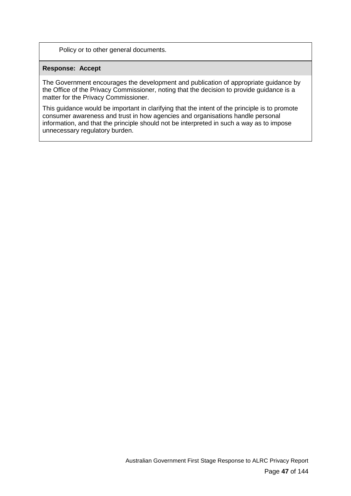Policy or to other general documents.

#### **Response: Accept**

The Government encourages the development and publication of appropriate guidance by the Office of the Privacy Commissioner, noting that the decision to provide guidance is a matter for the Privacy Commissioner.

This guidance would be important in clarifying that the intent of the principle is to promote consumer awareness and trust in how agencies and organisations handle personal information, and that the principle should not be interpreted in such a way as to impose unnecessary regulatory burden.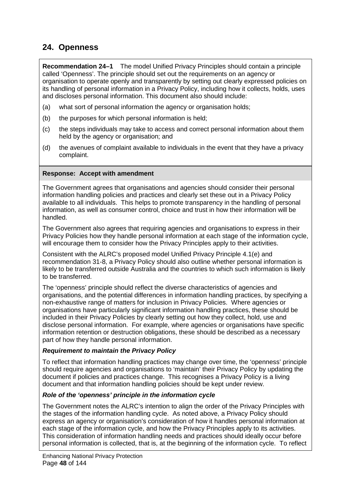# **24. Openness**

**Recommendation 24–1** The model Unified Privacy Principles should contain a principle called 'Openness'. The principle should set out the requirements on an agency or organisation to operate openly and transparently by setting out clearly expressed policies on its handling of personal information in a Privacy Policy, including how it collects, holds, uses and discloses personal information. This document also should include:

- (a) what sort of personal information the agency or organisation holds;
- (b) the purposes for which personal information is held;
- (c) the steps individuals may take to access and correct personal information about them held by the agency or organisation; and
- (d) the avenues of complaint available to individuals in the event that they have a privacy complaint.

## **Response: Accept with amendment**

The Government agrees that organisations and agencies should consider their personal information handling policies and practices and clearly set these out in a Privacy Policy available to all individuals. This helps to promote transparency in the handling of personal information, as well as consumer control, choice and trust in how their information will be handled.

The Government also agrees that requiring agencies and organisations to express in their Privacy Policies how they handle personal information at each stage of the information cycle, will encourage them to consider how the Privacy Principles apply to their activities.

Consistent with the ALRC's proposed model Unified Privacy Principle 4.1(e) and recommendation 31-8, a Privacy Policy should also outline whether personal information is likely to be transferred outside Australia and the countries to which such information is likely to be transferred.

The 'openness' principle should reflect the diverse characteristics of agencies and organisations, and the potential differences in information handling practices, by specifying a non-exhaustive range of matters for inclusion in Privacy Policies. Where agencies or organisations have particularly significant information handling practices, these should be included in their Privacy Policies by clearly setting out how they collect, hold, use and disclose personal information. For example, where agencies or organisations have specific information retention or destruction obligations, these should be described as a necessary part of how they handle personal information.

## *Requirement to maintain the Privacy Policy*

To reflect that information handling practices may change over time, the 'openness' principle should require agencies and organisations to 'maintain' their Privacy Policy by updating the document if policies and practices change. This recognises a Privacy Policy is a living document and that information handling policies should be kept under review.

## *Role of the 'openness' principle in the information cycle*

The Government notes the ALRC's intention to align the order of the Privacy Principles with the stages of the information handling cycle. As noted above, a Privacy Policy should express an agency or organisation's consideration of how it handles personal information at each stage of the information cycle, and how the Privacy Principles apply to its activities. This consideration of information handling needs and practices should ideally occur before personal information is collected, that is, at the beginning of the information cycle. To reflect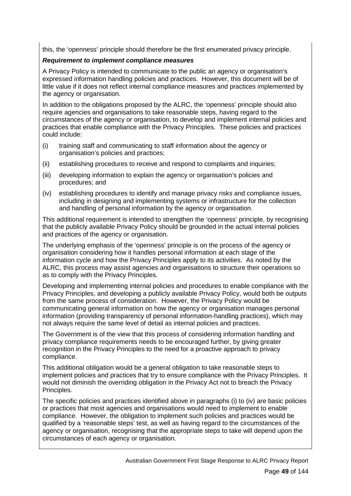this, the 'openness' principle should therefore be the first enumerated privacy principle.

### *Requirement to implement compliance measures*

A Privacy Policy is intended to communicate to the public an agency or organisation's expressed information handling policies and practices. However, this document will be of little value if it does not reflect internal compliance measures and practices implemented by the agency or organisation.

In addition to the obligations proposed by the ALRC, the 'openness' principle should also require agencies and organisations to take reasonable steps, having regard to the circumstances of the agency or organisation, to develop and implement internal policies and practices that enable compliance with the Privacy Principles. These policies and practices could include:

- (i) training staff and communicating to staff information about the agency or organisation's policies and practices;
- (ii) establishing procedures to receive and respond to complaints and inquiries;
- (iii) developing information to explain the agency or organisation's policies and procedures; and
- (iv) establishing procedures to identify and manage privacy risks and compliance issues, including in designing and implementing systems or infrastructure for the collection and handling of personal information by the agency or organisation.

This additional requirement is intended to strengthen the 'openness' principle, by recognising that the publicly available Privacy Policy should be grounded in the actual internal policies and practices of the agency or organisation.

The underlying emphasis of the 'openness' principle is on the process of the agency or organisation considering how it handles personal information at each stage of the information cycle and how the Privacy Principles apply to its activities. As noted by the ALRC, this process may assist agencies and organisations to structure their operations so as to comply with the Privacy Principles.

Developing and implementing internal policies and procedures to enable compliance with the Privacy Principles, and developing a publicly available Privacy Policy, would both be outputs from the same process of consideration. However, the Privacy Policy would be communicating general information on how the agency or organisation manages personal information (providing transparency of personal information-handling practices), which may not always require the same level of detail as internal policies and practices.

The Government is of the view that this process of considering information handling and privacy compliance requirements needs to be encouraged further, by giving greater recognition in the Privacy Principles to the need for a proactive approach to privacy compliance.

This additional obligation would be a general obligation to take reasonable steps to implement policies and practices that try to ensure compliance with the Privacy Principles. It would not diminish the overriding obligation in the Privacy Act not to breach the Privacy Principles.

The specific policies and practices identified above in paragraphs (i) to (iv) are basic policies or practices that most agencies and organisations would need to implement to enable compliance. However, the obligation to implement such policies and practices would be qualified by a 'reasonable steps' test, as well as having regard to the circumstances of the agency or organisation, recognising that the appropriate steps to take will depend upon the circumstances of each agency or organisation.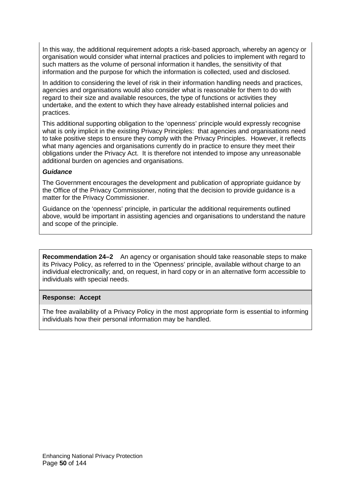In this way, the additional requirement adopts a risk-based approach, whereby an agency or organisation would consider what internal practices and policies to implement with regard to such matters as the volume of personal information it handles, the sensitivity of that information and the purpose for which the information is collected, used and disclosed.

In addition to considering the level of risk in their information handling needs and practices, agencies and organisations would also consider what is reasonable for them to do with regard to their size and available resources, the type of functions or activities they undertake, and the extent to which they have already established internal policies and practices.

This additional supporting obligation to the 'openness' principle would expressly recognise what is only implicit in the existing Privacy Principles: that agencies and organisations need to take positive steps to ensure they comply with the Privacy Principles. However, it reflects what many agencies and organisations currently do in practice to ensure they meet their obligations under the Privacy Act. It is therefore not intended to impose any unreasonable additional burden on agencies and organisations.

### *Guidance*

The Government encourages the development and publication of appropriate guidance by the Office of the Privacy Commissioner, noting that the decision to provide guidance is a matter for the Privacy Commissioner.

Guidance on the 'openness' principle, in particular the additional requirements outlined above, would be important in assisting agencies and organisations to understand the nature and scope of the principle.

**Recommendation 24–2** An agency or organisation should take reasonable steps to make its Privacy Policy, as referred to in the 'Openness' principle, available without charge to an individual electronically; and, on request, in hard copy or in an alternative form accessible to individuals with special needs.

### **Response: Accept**

The free availability of a Privacy Policy in the most appropriate form is essential to informing individuals how their personal information may be handled.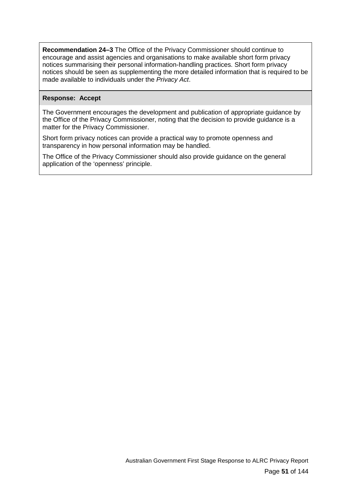**Recommendation 24–3** The Office of the Privacy Commissioner should continue to encourage and assist agencies and organisations to make available short form privacy notices summarising their personal information-handling practices. Short form privacy notices should be seen as supplementing the more detailed information that is required to be made available to individuals under the *Privacy Act*.

#### **Response: Accept**

The Government encourages the development and publication of appropriate guidance by the Office of the Privacy Commissioner, noting that the decision to provide guidance is a matter for the Privacy Commissioner.

Short form privacy notices can provide a practical way to promote openness and transparency in how personal information may be handled.

The Office of the Privacy Commissioner should also provide guidance on the general application of the 'openness' principle.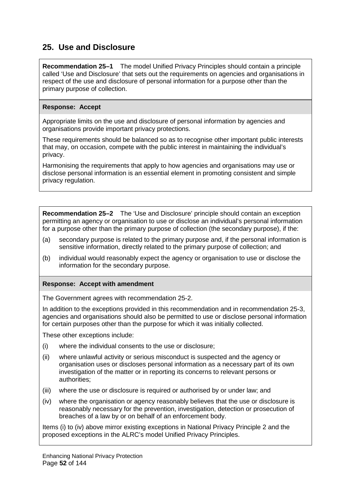# **25. Use and Disclosure**

**Recommendation 25–1** The model Unified Privacy Principles should contain a principle called 'Use and Disclosure' that sets out the requirements on agencies and organisations in respect of the use and disclosure of personal information for a purpose other than the primary purpose of collection.

### **Response: Accept**

Appropriate limits on the use and disclosure of personal information by agencies and organisations provide important privacy protections.

These requirements should be balanced so as to recognise other important public interests that may, on occasion, compete with the public interest in maintaining the individual's privacy.

Harmonising the requirements that apply to how agencies and organisations may use or disclose personal information is an essential element in promoting consistent and simple privacy regulation.

**Recommendation 25–2** The 'Use and Disclosure' principle should contain an exception permitting an agency or organisation to use or disclose an individual's personal information for a purpose other than the primary purpose of collection (the secondary purpose), if the:

- (a) secondary purpose is related to the primary purpose and, if the personal information is sensitive information, directly related to the primary purpose of collection; and
- (b) individual would reasonably expect the agency or organisation to use or disclose the information for the secondary purpose.

### **Response: Accept with amendment**

The Government agrees with recommendation 25-2.

In addition to the exceptions provided in this recommendation and in recommendation 25-3, agencies and organisations should also be permitted to use or disclose personal information for certain purposes other than the purpose for which it was initially collected.

These other exceptions include:

- (i) where the individual consents to the use or disclosure;
- (ii) where unlawful activity or serious misconduct is suspected and the agency or organisation uses or discloses personal information as a necessary part of its own investigation of the matter or in reporting its concerns to relevant persons or authorities;
- (iii) where the use or disclosure is required or authorised by or under law; and
- (iv) where the organisation or agency reasonably believes that the use or disclosure is reasonably necessary for the prevention, investigation, detection or prosecution of breaches of a law by or on behalf of an enforcement body.

Items (i) to (iv) above mirror existing exceptions in National Privacy Principle 2 and the proposed exceptions in the ALRC's model Unified Privacy Principles.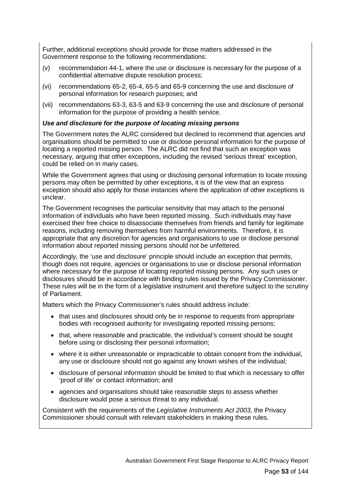Further, additional exceptions should provide for those matters addressed in the Government response to the following recommendations:

- (v) recommendation 44-1, where the use or disclosure is necessary for the purpose of a confidential alternative dispute resolution process;
- (vi) recommendations 65-2, 65-4, 65-5 and 65-9 concerning the use and disclosure of personal information for research purposes; and
- (vii) recommendations 63-3, 63-5 and 63-9 concerning the use and disclosure of personal information for the purpose of providing a health service.

### *Use and disclosure for the purpose of locating missing persons*

The Government notes the ALRC considered but declined to recommend that agencies and organisations should be permitted to use or disclose personal information for the purpose of locating a reported missing person. The ALRC did not find that such an exception was necessary, arguing that other exceptions, including the revised 'serious threat' exception, could be relied on in many cases.

While the Government agrees that using or disclosing personal information to locate missing persons may often be permitted by other exceptions, it is of the view that an express exception should also apply for those instances where the application of other exceptions is unclear.

The Government recognises the particular sensitivity that may attach to the personal information of individuals who have been reported missing. Such individuals may have exercised their free choice to disassociate themselves from friends and family for legitimate reasons, including removing themselves from harmful environments. Therefore, it is appropriate that any discretion for agencies and organisations to use or disclose personal information about reported missing persons should not be unfettered.

Accordingly, the 'use and disclosure' principle should include an exception that permits, though does not require, agencies or organisations to use or disclose personal information where necessary for the purpose of locating reported missing persons. Any such uses or disclosures should be in accordance with binding rules issued by the Privacy Commissioner. These rules will be in the form of a legislative instrument and therefore subject to the scrutiny of Parliament.

Matters which the Privacy Commissioner's rules should address include:

- that uses and disclosures should only be in response to requests from appropriate bodies with recognised authority for investigating reported missing persons;
- that, where reasonable and practicable, the individual's consent should be sought before using or disclosing their personal information;
- where it is either unreasonable or impracticable to obtain consent from the individual, any use or disclosure should not go against any known wishes of the individual;
- disclosure of personal information should be limited to that which is necessary to offer 'proof of life' or contact information; and
- agencies and organisations should take reasonable steps to assess whether disclosure would pose a serious threat to any individual.

Consistent with the requirements of the *Legislative Instruments Act 2003*, the Privacy Commissioner should consult with relevant stakeholders in making these rules.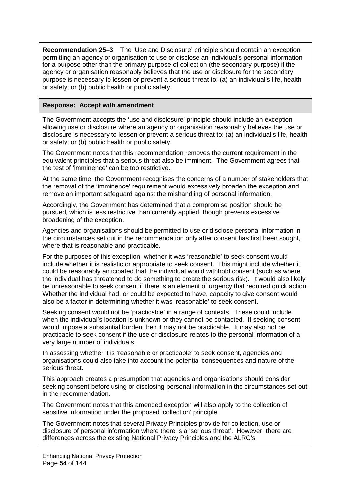**Recommendation 25–3** The 'Use and Disclosure' principle should contain an exception permitting an agency or organisation to use or disclose an individual's personal information for a purpose other than the primary purpose of collection (the secondary purpose) if the agency or organisation reasonably believes that the use or disclosure for the secondary purpose is necessary to lessen or prevent a serious threat to: (a) an individual's life, health or safety; or (b) public health or public safety.

## **Response: Accept with amendment**

The Government accepts the 'use and disclosure' principle should include an exception allowing use or disclosure where an agency or organisation reasonably believes the use or disclosure is necessary to lessen or prevent a serious threat to: (a) an individual's life, health or safety; or (b) public health or public safety.

The Government notes that this recommendation removes the current requirement in the equivalent principles that a serious threat also be imminent. The Government agrees that the test of 'imminence' can be too restrictive.

At the same time, the Government recognises the concerns of a number of stakeholders that the removal of the 'imminence' requirement would excessively broaden the exception and remove an important safeguard against the mishandling of personal information.

Accordingly, the Government has determined that a compromise position should be pursued, which is less restrictive than currently applied, though prevents excessive broadening of the exception.

Agencies and organisations should be permitted to use or disclose personal information in the circumstances set out in the recommendation only after consent has first been sought, where that is reasonable and practicable.

For the purposes of this exception, whether it was 'reasonable' to seek consent would include whether it is realistic or appropriate to seek consent. This might include whether it could be reasonably anticipated that the individual would withhold consent (such as where the individual has threatened to do something to create the serious risk). It would also likely be unreasonable to seek consent if there is an element of urgency that required quick action. Whether the individual had, or could be expected to have, capacity to give consent would also be a factor in determining whether it was 'reasonable' to seek consent.

Seeking consent would not be 'practicable' in a range of contexts. These could include when the individual's location is unknown or they cannot be contacted. If seeking consent would impose a substantial burden then it may not be practicable. It may also not be practicable to seek consent if the use or disclosure relates to the personal information of a very large number of individuals.

In assessing whether it is 'reasonable or practicable' to seek consent, agencies and organisations could also take into account the potential consequences and nature of the serious threat.

This approach creates a presumption that agencies and organisations should consider seeking consent before using or disclosing personal information in the circumstances set out in the recommendation.

The Government notes that this amended exception will also apply to the collection of sensitive information under the proposed 'collection' principle.

The Government notes that several Privacy Principles provide for collection, use or disclosure of personal information where there is a 'serious threat'. However, there are differences across the existing National Privacy Principles and the ALRC's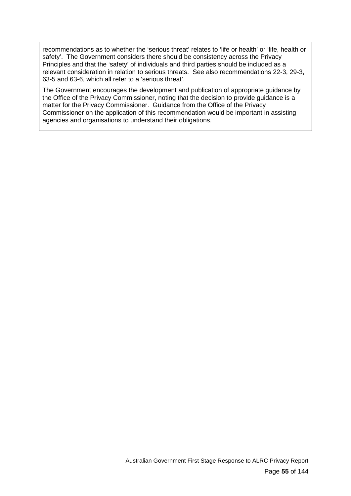recommendations as to whether the 'serious threat' relates to 'life or health' or 'life, health or safety'. The Government considers there should be consistency across the Privacy Principles and that the 'safety' of individuals and third parties should be included as a relevant consideration in relation to serious threats. See also recommendations 22-3, 29-3, 63-5 and 63-6, which all refer to a 'serious threat'.

The Government encourages the development and publication of appropriate guidance by the Office of the Privacy Commissioner, noting that the decision to provide guidance is a matter for the Privacy Commissioner. Guidance from the Office of the Privacy Commissioner on the application of this recommendation would be important in assisting agencies and organisations to understand their obligations.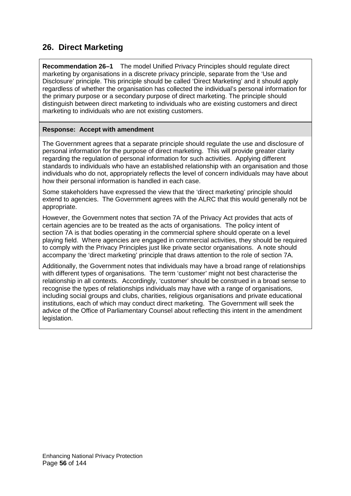# **26. Direct Marketing**

**Recommendation 26–1** The model Unified Privacy Principles should regulate direct marketing by organisations in a discrete privacy principle, separate from the 'Use and Disclosure' principle. This principle should be called 'Direct Marketing' and it should apply regardless of whether the organisation has collected the individual's personal information for the primary purpose or a secondary purpose of direct marketing. The principle should distinguish between direct marketing to individuals who are existing customers and direct marketing to individuals who are not existing customers.

## **Response: Accept with amendment**

The Government agrees that a separate principle should regulate the use and disclosure of personal information for the purpose of direct marketing. This will provide greater clarity regarding the regulation of personal information for such activities. Applying different standards to individuals who have an established relationship with an organisation and those individuals who do not, appropriately reflects the level of concern individuals may have about how their personal information is handled in each case.

Some stakeholders have expressed the view that the 'direct marketing' principle should extend to agencies. The Government agrees with the ALRC that this would generally not be appropriate.

However, the Government notes that section 7A of the Privacy Act provides that acts of certain agencies are to be treated as the acts of organisations. The policy intent of section 7A is that bodies operating in the commercial sphere should operate on a level playing field. Where agencies are engaged in commercial activities, they should be required to comply with the Privacy Principles just like private sector organisations. A note should accompany the 'direct marketing' principle that draws attention to the role of section 7A.

Additionally, the Government notes that individuals may have a broad range of relationships with different types of organisations. The term 'customer' might not best characterise the relationship in all contexts. Accordingly, 'customer' should be construed in a broad sense to recognise the types of relationships individuals may have with a range of organisations, including social groups and clubs, charities, religious organisations and private educational institutions, each of which may conduct direct marketing. The Government will seek the advice of the Office of Parliamentary Counsel about reflecting this intent in the amendment legislation.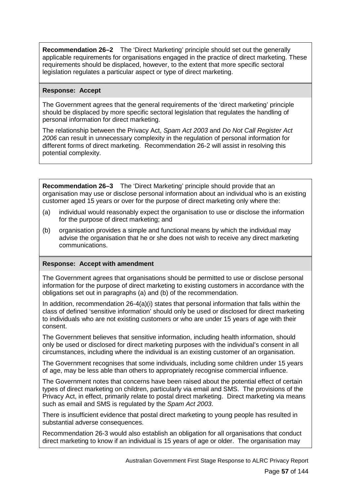**Recommendation 26–2** The 'Direct Marketing' principle should set out the generally applicable requirements for organisations engaged in the practice of direct marketing. These requirements should be displaced, however, to the extent that more specific sectoral legislation regulates a particular aspect or type of direct marketing.

### **Response: Accept**

The Government agrees that the general requirements of the 'direct marketing' principle should be displaced by more specific sectoral legislation that regulates the handling of personal information for direct marketing.

The relationship between the Privacy Act, *Spam Act 2003* and *Do Not Call Register Act 2006* can result in unnecessary complexity in the regulation of personal information for different forms of direct marketing. Recommendation 26-2 will assist in resolving this potential complexity.

**Recommendation 26–3** The 'Direct Marketing' principle should provide that an organisation may use or disclose personal information about an individual who is an existing customer aged 15 years or over for the purpose of direct marketing only where the:

- (a) individual would reasonably expect the organisation to use or disclose the information for the purpose of direct marketing; and
- (b) organisation provides a simple and functional means by which the individual may advise the organisation that he or she does not wish to receive any direct marketing communications.

### **Response: Accept with amendment**

The Government agrees that organisations should be permitted to use or disclose personal information for the purpose of direct marketing to existing customers in accordance with the obligations set out in paragraphs (a) and (b) of the recommendation.

In addition, recommendation 26-4(a)(i) states that personal information that falls within the class of defined 'sensitive information' should only be used or disclosed for direct marketing to individuals who are not existing customers or who are under 15 years of age with their consent.

The Government believes that sensitive information, including health information, should only be used or disclosed for direct marketing purposes with the individual's consent in all circumstances, including where the individual is an existing customer of an organisation.

The Government recognises that some individuals, including some children under 15 years of age, may be less able than others to appropriately recognise commercial influence.

The Government notes that concerns have been raised about the potential effect of certain types of direct marketing on children, particularly via email and SMS. The provisions of the Privacy Act, in effect, primarily relate to postal direct marketing. Direct marketing via means such as email and SMS is regulated by the *Spam Act 2003*.

There is insufficient evidence that postal direct marketing to young people has resulted in substantial adverse consequences.

Recommendation 26-3 would also establish an obligation for all organisations that conduct direct marketing to know if an individual is 15 years of age or older. The organisation may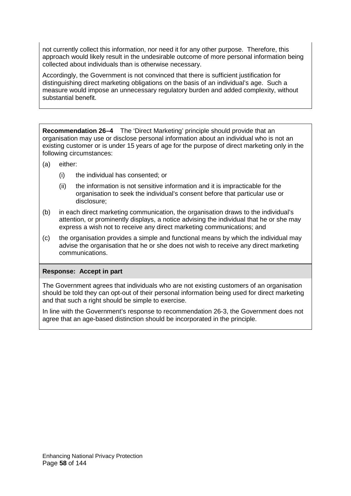not currently collect this information, nor need it for any other purpose. Therefore, this approach would likely result in the undesirable outcome of more personal information being collected about individuals than is otherwise necessary.

Accordingly, the Government is not convinced that there is sufficient justification for distinguishing direct marketing obligations on the basis of an individual's age. Such a measure would impose an unnecessary regulatory burden and added complexity, without substantial benefit.

**Recommendation 26–4** The 'Direct Marketing' principle should provide that an organisation may use or disclose personal information about an individual who is not an existing customer or is under 15 years of age for the purpose of direct marketing only in the following circumstances:

- (a) either:
	- (i) the individual has consented; or
	- (ii) the information is not sensitive information and it is impracticable for the organisation to seek the individual's consent before that particular use or disclosure;
- (b) in each direct marketing communication, the organisation draws to the individual's attention, or prominently displays, a notice advising the individual that he or she may express a wish not to receive any direct marketing communications; and
- (c) the organisation provides a simple and functional means by which the individual may advise the organisation that he or she does not wish to receive any direct marketing communications.

### **Response: Accept in part**

The Government agrees that individuals who are not existing customers of an organisation should be told they can opt-out of their personal information being used for direct marketing and that such a right should be simple to exercise.

In line with the Government's response to recommendation 26-3, the Government does not agree that an age-based distinction should be incorporated in the principle.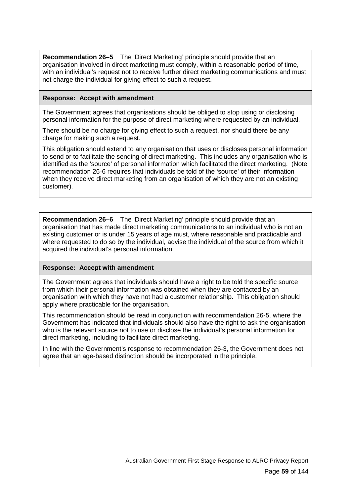**Recommendation 26–5** The 'Direct Marketing' principle should provide that an organisation involved in direct marketing must comply, within a reasonable period of time, with an individual's request not to receive further direct marketing communications and must not charge the individual for giving effect to such a request.

#### **Response: Accept with amendment**

The Government agrees that organisations should be obliged to stop using or disclosing personal information for the purpose of direct marketing where requested by an individual.

There should be no charge for giving effect to such a request, nor should there be any charge for making such a request.

This obligation should extend to any organisation that uses or discloses personal information to send or to facilitate the sending of direct marketing. This includes any organisation who is identified as the 'source' of personal information which facilitated the direct marketing. (Note recommendation 26-6 requires that individuals be told of the 'source' of their information when they receive direct marketing from an organisation of which they are not an existing customer).

**Recommendation 26–6** The 'Direct Marketing' principle should provide that an organisation that has made direct marketing communications to an individual who is not an existing customer or is under 15 years of age must, where reasonable and practicable and where requested to do so by the individual, advise the individual of the source from which it acquired the individual's personal information.

### **Response: Accept with amendment**

The Government agrees that individuals should have a right to be told the specific source from which their personal information was obtained when they are contacted by an organisation with which they have not had a customer relationship. This obligation should apply where practicable for the organisation.

This recommendation should be read in conjunction with recommendation 26-5, where the Government has indicated that individuals should also have the right to ask the organisation who is the relevant source not to use or disclose the individual's personal information for direct marketing, including to facilitate direct marketing.

In line with the Government's response to recommendation 26-3, the Government does not agree that an age-based distinction should be incorporated in the principle.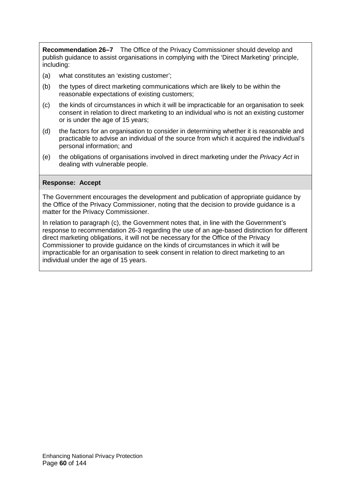**Recommendation 26–7** The Office of the Privacy Commissioner should develop and publish guidance to assist organisations in complying with the 'Direct Marketing' principle, including:

- (a) what constitutes an 'existing customer';
- (b) the types of direct marketing communications which are likely to be within the reasonable expectations of existing customers;
- (c) the kinds of circumstances in which it will be impracticable for an organisation to seek consent in relation to direct marketing to an individual who is not an existing customer or is under the age of 15 years;
- (d) the factors for an organisation to consider in determining whether it is reasonable and practicable to advise an individual of the source from which it acquired the individual's personal information; and
- (e) the obligations of organisations involved in direct marketing under the *Privacy Act* in dealing with vulnerable people.

### **Response: Accept**

The Government encourages the development and publication of appropriate guidance by the Office of the Privacy Commissioner, noting that the decision to provide guidance is a matter for the Privacy Commissioner.

In relation to paragraph (c), the Government notes that, in line with the Government's response to recommendation 26-3 regarding the use of an age-based distinction for different direct marketing obligations, it will not be necessary for the Office of the Privacy Commissioner to provide guidance on the kinds of circumstances in which it will be impracticable for an organisation to seek consent in relation to direct marketing to an individual under the age of 15 years.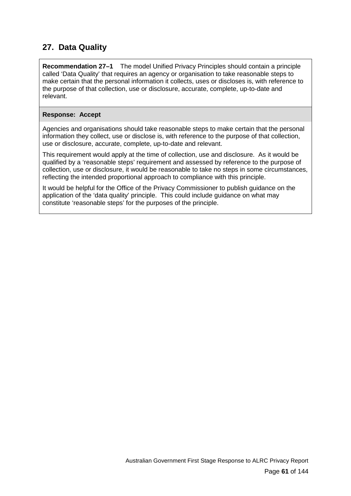# **27. Data Quality**

**Recommendation 27–1** The model Unified Privacy Principles should contain a principle called 'Data Quality' that requires an agency or organisation to take reasonable steps to make certain that the personal information it collects, uses or discloses is, with reference to the purpose of that collection, use or disclosure, accurate, complete, up-to-date and relevant.

### **Response: Accept**

Agencies and organisations should take reasonable steps to make certain that the personal information they collect, use or disclose is, with reference to the purpose of that collection, use or disclosure, accurate, complete, up-to-date and relevant.

This requirement would apply at the time of collection, use and disclosure. As it would be qualified by a 'reasonable steps' requirement and assessed by reference to the purpose of collection, use or disclosure, it would be reasonable to take no steps in some circumstances, reflecting the intended proportional approach to compliance with this principle.

It would be helpful for the Office of the Privacy Commissioner to publish guidance on the application of the 'data quality' principle. This could include guidance on what may constitute 'reasonable steps' for the purposes of the principle.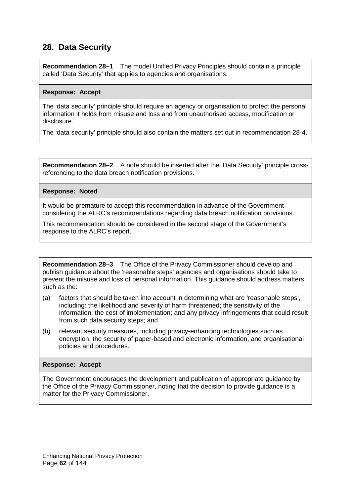# **28. Data Security**

**Recommendation 28–1** The model Unified Privacy Principles should contain a principle called 'Data Security' that applies to agencies and organisations.

### **Response: Accept**

The 'data security' principle should require an agency or organisation to protect the personal information it holds from misuse and loss and from unauthorised access, modification or disclosure.

The 'data security' principle should also contain the matters set out in recommendation 28-4.

**Recommendation 28–2** A note should be inserted after the 'Data Security' principle crossreferencing to the data breach notification provisions.

### **Response: Noted**

It would be premature to accept this recommendation in advance of the Government considering the ALRC's recommendations regarding data breach notification provisions.

This recommendation should be considered in the second stage of the Government's response to the ALRC's report.

**Recommendation 28–3** The Office of the Privacy Commissioner should develop and publish guidance about the 'reasonable steps' agencies and organisations should take to prevent the misuse and loss of personal information. This guidance should address matters such as the:

- (a) factors that should be taken into account in determining what are 'reasonable steps', including: the likelihood and severity of harm threatened; the sensitivity of the information; the cost of implementation; and any privacy infringements that could result from such data security steps; and
- (b) relevant security measures, including privacy-enhancing technologies such as encryption, the security of paper-based and electronic information, and organisational policies and procedures.

### **Response: Accept**

The Government encourages the development and publication of appropriate guidance by the Office of the Privacy Commissioner, noting that the decision to provide guidance is a matter for the Privacy Commissioner.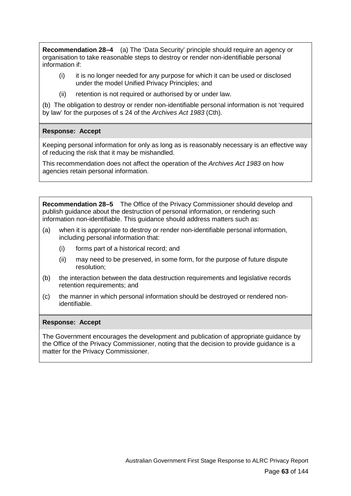**Recommendation 28–4** (a) The 'Data Security' principle should require an agency or organisation to take reasonable steps to destroy or render non-identifiable personal information if:

- (i) it is no longer needed for any purpose for which it can be used or disclosed under the model Unified Privacy Principles; and
- (ii) retention is not required or authorised by or under law.

(b) The obligation to destroy or render non-identifiable personal information is not 'required by law' for the purposes of s 24 of the *Archives Act 1983* (Cth).

## **Response: Accept**

Keeping personal information for only as long as is reasonably necessary is an effective way of reducing the risk that it may be mishandled.

This recommendation does not affect the operation of the *Archives Act 1983* on how agencies retain personal information.

**Recommendation 28–5** The Office of the Privacy Commissioner should develop and publish guidance about the destruction of personal information, or rendering such information non-identifiable. This guidance should address matters such as:

- (a) when it is appropriate to destroy or render non-identifiable personal information, including personal information that:
	- (i) forms part of a historical record; and
	- (ii) may need to be preserved, in some form, for the purpose of future dispute resolution;
- (b) the interaction between the data destruction requirements and legislative records retention requirements; and
- (c) the manner in which personal information should be destroyed or rendered nonidentifiable.

### **Response: Accept**

The Government encourages the development and publication of appropriate guidance by the Office of the Privacy Commissioner, noting that the decision to provide guidance is a matter for the Privacy Commissioner.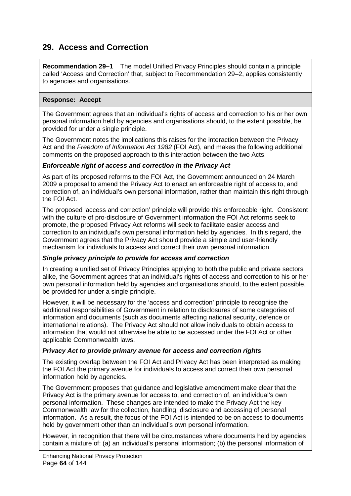# **29. Access and Correction**

**Recommendation 29–1** The model Unified Privacy Principles should contain a principle called 'Access and Correction' that, subject to Recommendation 29–2, applies consistently to agencies and organisations.

## **Response: Accept**

The Government agrees that an individual's rights of access and correction to his or her own personal information held by agencies and organisations should, to the extent possible, be provided for under a single principle.

The Government notes the implications this raises for the interaction between the Privacy Act and the *Freedom of Information Act 1982* (FOI Act), and makes the following additional comments on the proposed approach to this interaction between the two Acts.

## *Enforceable right of access and correction in the Privacy Act*

As part of its proposed reforms to the FOI Act, the Government announced on 24 March 2009 a proposal to amend the Privacy Act to enact an enforceable right of access to, and correction of, an individual's own personal information, rather than maintain this right through the FOI Act.

The proposed 'access and correction' principle will provide this enforceable right. Consistent with the culture of pro-disclosure of Government information the FOI Act reforms seek to promote, the proposed Privacy Act reforms will seek to facilitate easier access and correction to an individual's own personal information held by agencies. In this regard, the Government agrees that the Privacy Act should provide a simple and user-friendly mechanism for individuals to access and correct their own personal information.

## *Single privacy principle to provide for access and correction*

In creating a unified set of Privacy Principles applying to both the public and private sectors alike, the Government agrees that an individual's rights of access and correction to his or her own personal information held by agencies and organisations should, to the extent possible, be provided for under a single principle.

However, it will be necessary for the 'access and correction' principle to recognise the additional responsibilities of Government in relation to disclosures of some categories of information and documents (such as documents affecting national security, defence or international relations). The Privacy Act should not allow individuals to obtain access to information that would not otherwise be able to be accessed under the FOI Act or other applicable Commonwealth laws.

## *Privacy Act to provide primary avenue for access and correction rights*

The existing overlap between the FOI Act and Privacy Act has been interpreted as making the FOI Act the primary avenue for individuals to access and correct their own personal information held by agencies.

The Government proposes that guidance and legislative amendment make clear that the Privacy Act is the primary avenue for access to, and correction of, an individual's own personal information. These changes are intended to make the Privacy Act the key Commonwealth law for the collection, handling, disclosure and accessing of personal information. As a result, the focus of the FOI Act is intended to be on access to documents held by government other than an individual's own personal information.

However, in recognition that there will be circumstances where documents held by agencies contain a mixture of: (a) an individual's personal information; (b) the personal information of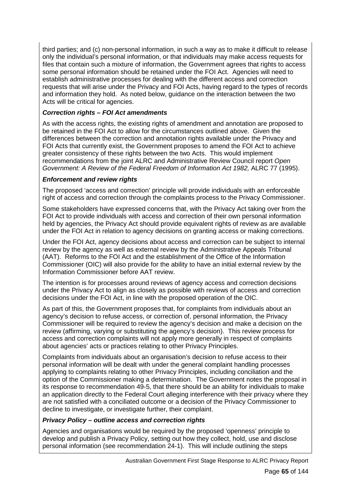third parties; and (c) non-personal information, in such a way as to make it difficult to release only the individual's personal information, or that individuals may make access requests for files that contain such a mixture of information, the Government agrees that rights to access some personal information should be retained under the FOI Act. Agencies will need to establish administrative processes for dealing with the different access and correction requests that will arise under the Privacy and FOI Acts, having regard to the types of records and information they hold. As noted below, guidance on the interaction between the two Acts will be critical for agencies.

## *Correction rights – FOI Act amendments*

As with the access rights, the existing rights of amendment and annotation are proposed to be retained in the FOI Act to allow for the circumstances outlined above. Given the differences between the correction and annotation rights available under the Privacy and FOI Acts that currently exist, the Government proposes to amend the FOI Act to achieve greater consistency of these rights between the two Acts. This would implement recommendations from the joint ALRC and Administrative Review Council report *Open Government: A Review of the Federal Freedom of Information Act 1982, ALRC 77 (1995).* 

## *Enforcement and review rights*

The proposed 'access and correction' principle will provide individuals with an enforceable right of access and correction through the complaints process to the Privacy Commissioner.

Some stakeholders have expressed concerns that, with the Privacy Act taking over from the FOI Act to provide individuals with access and correction of their own personal information held by agencies, the Privacy Act should provide equivalent rights of review as are available under the FOI Act in relation to agency decisions on granting access or making corrections.

Under the FOI Act, agency decisions about access and correction can be subject to internal review by the agency as well as external review by the Administrative Appeals Tribunal (AAT). Reforms to the FOI Act and the establishment of the Office of the Information Commissioner (OIC) will also provide for the ability to have an initial external review by the Information Commissioner before AAT review.

The intention is for processes around reviews of agency access and correction decisions under the Privacy Act to align as closely as possible with reviews of access and correction decisions under the FOI Act, in line with the proposed operation of the OIC.

As part of this, the Government proposes that, for complaints from individuals about an agency's decision to refuse access, or correction of, personal information, the Privacy Commissioner will be required to review the agency's decision and make a decision on the review (affirming, varying or substituting the agency's decision). This review process for access and correction complaints will not apply more generally in respect of complaints about agencies' acts or practices relating to other Privacy Principles.

Complaints from individuals about an organisation's decision to refuse access to their personal information will be dealt with under the general complaint handling processes applying to complaints relating to other Privacy Principles, including conciliation and the option of the Commissioner making a determination. The Government notes the proposal in its response to recommendation 49-5, that there should be an ability for individuals to make an application directly to the Federal Court alleging interference with their privacy where they are not satisfied with a conciliated outcome or a decision of the Privacy Commissioner to decline to investigate, or investigate further, their complaint.

## *Privacy Policy – outline access and correction rights*

Agencies and organisations would be required by the proposed 'openness' principle to develop and publish a Privacy Policy, setting out how they collect, hold, use and disclose personal information (see recommendation 24-1). This will include outlining the steps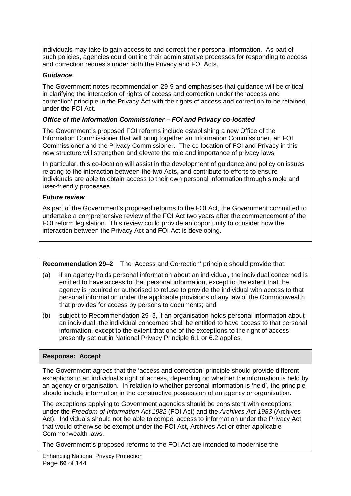individuals may take to gain access to and correct their personal information. As part of such policies, agencies could outline their administrative processes for responding to access and correction requests under both the Privacy and FOI Acts.

## *Guidance*

The Government notes recommendation 29-9 and emphasises that guidance will be critical in clarifying the interaction of rights of access and correction under the 'access and correction' principle in the Privacy Act with the rights of access and correction to be retained under the FOI Act.

## *Office of the Information Commissioner – FOI and Privacy co-located*

The Government's proposed FOI reforms include establishing a new Office of the Information Commissioner that will bring together an Information Commissioner, an FOI Commissioner and the Privacy Commissioner. The co-location of FOI and Privacy in this new structure will strengthen and elevate the role and importance of privacy laws.

In particular, this co-location will assist in the development of guidance and policy on issues relating to the interaction between the two Acts, and contribute to efforts to ensure individuals are able to obtain access to their own personal information through simple and user-friendly processes.

## *Future review*

As part of the Government's proposed reforms to the FOI Act, the Government committed to undertake a comprehensive review of the FOI Act two years after the commencement of the FOI reform legislation. This review could provide an opportunity to consider how the interaction between the Privacy Act and FOI Act is developing.

**Recommendation 29–2** The 'Access and Correction' principle should provide that:

- (a) if an agency holds personal information about an individual, the individual concerned is entitled to have access to that personal information, except to the extent that the agency is required or authorised to refuse to provide the individual with access to that personal information under the applicable provisions of any law of the Commonwealth that provides for access by persons to documents; and
- (b) subject to Recommendation 29–3, if an organisation holds personal information about an individual, the individual concerned shall be entitled to have access to that personal information, except to the extent that one of the exceptions to the right of access presently set out in National Privacy Principle 6.1 or 6.2 applies.

## **Response: Accept**

The Government agrees that the 'access and correction' principle should provide different exceptions to an individual's right of access, depending on whether the information is held by an agency or organisation. In relation to whether personal information is 'held', the principle should include information in the constructive possession of an agency or organisation.

The exceptions applying to Government agencies should be consistent with exceptions under the *Freedom of Information Act 1982* (FOI Act) and the *Archives Act 1983* (Archives Act). Individuals should not be able to compel access to information under the Privacy Act that would otherwise be exempt under the FOI Act, Archives Act or other applicable Commonwealth laws.

The Government's proposed reforms to the FOI Act are intended to modernise the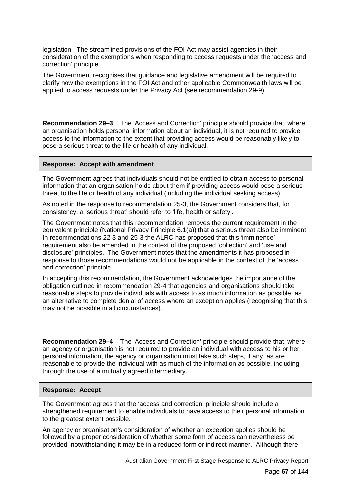legislation. The streamlined provisions of the FOI Act may assist agencies in their consideration of the exemptions when responding to access requests under the 'access and correction' principle.

The Government recognises that guidance and legislative amendment will be required to clarify how the exemptions in the FOI Act and other applicable Commonwealth laws will be applied to access requests under the Privacy Act (see recommendation 29-9).

**Recommendation 29–3** The 'Access and Correction' principle should provide that, where an organisation holds personal information about an individual, it is not required to provide access to the information to the extent that providing access would be reasonably likely to pose a serious threat to the life or health of any individual.

### **Response: Accept with amendment**

The Government agrees that individuals should not be entitled to obtain access to personal information that an organisation holds about them if providing access would pose a serious threat to the life or health of any individual (including the individual seeking access).

As noted in the response to recommendation 25-3, the Government considers that, for consistency, a 'serious threat' should refer to 'life, health or safety'.

The Government notes that this recommendation removes the current requirement in the equivalent principle (National Privacy Principle 6.1(a)) that a serious threat also be imminent. In recommendations 22-3 and 25-3 the ALRC has proposed that this 'imminence' requirement also be amended in the context of the proposed 'collection' and 'use and disclosure' principles. The Government notes that the amendments it has proposed in response to those recommendations would not be applicable in the context of the 'access and correction' principle.

In accepting this recommendation, the Government acknowledges the importance of the obligation outlined in recommendation 29-4 that agencies and organisations should take reasonable steps to provide individuals with access to as much information as possible, as an alternative to complete denial of access where an exception applies (recognising that this may not be possible in all circumstances).

**Recommendation 29–4** The 'Access and Correction' principle should provide that, where an agency or organisation is not required to provide an individual with access to his or her personal information, the agency or organisation must take such steps, if any, as are reasonable to provide the individual with as much of the information as possible, including through the use of a mutually agreed intermediary.

### **Response: Accept**

The Government agrees that the 'access and correction' principle should include a strengthened requirement to enable individuals to have access to their personal information to the greatest extent possible.

An agency or organisation's consideration of whether an exception applies should be followed by a proper consideration of whether some form of access can nevertheless be provided, notwithstanding it may be in a reduced form or indirect manner. Although there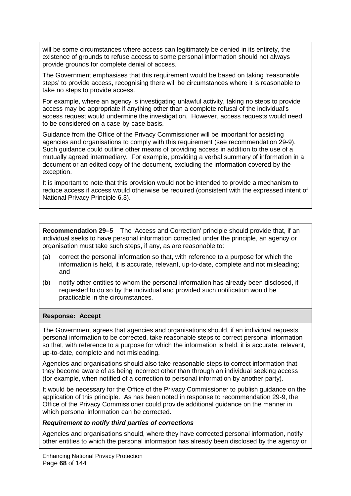will be some circumstances where access can legitimately be denied in its entirety, the existence of grounds to refuse access to some personal information should not always provide grounds for complete denial of access.

The Government emphasises that this requirement would be based on taking 'reasonable steps' to provide access, recognising there will be circumstances where it is reasonable to take no steps to provide access.

For example, where an agency is investigating unlawful activity, taking no steps to provide access may be appropriate if anything other than a complete refusal of the individual's access request would undermine the investigation. However, access requests would need to be considered on a case-by-case basis.

Guidance from the Office of the Privacy Commissioner will be important for assisting agencies and organisations to comply with this requirement (see recommendation 29-9). Such guidance could outline other means of providing access in addition to the use of a mutually agreed intermediary. For example, providing a verbal summary of information in a document or an edited copy of the document, excluding the information covered by the exception.

It is important to note that this provision would not be intended to provide a mechanism to reduce access if access would otherwise be required (consistent with the expressed intent of National Privacy Principle 6.3).

**Recommendation 29–5** The 'Access and Correction' principle should provide that, if an individual seeks to have personal information corrected under the principle, an agency or organisation must take such steps, if any, as are reasonable to:

- (a) correct the personal information so that, with reference to a purpose for which the information is held, it is accurate, relevant, up-to-date, complete and not misleading; and
- (b) notify other entities to whom the personal information has already been disclosed, if requested to do so by the individual and provided such notification would be practicable in the circumstances.

### **Response: Accept**

The Government agrees that agencies and organisations should, if an individual requests personal information to be corrected, take reasonable steps to correct personal information so that, with reference to a purpose for which the information is held, it is accurate, relevant, up-to-date, complete and not misleading.

Agencies and organisations should also take reasonable steps to correct information that they become aware of as being incorrect other than through an individual seeking access (for example, when notified of a correction to personal information by another party).

It would be necessary for the Office of the Privacy Commissioner to publish guidance on the application of this principle. As has been noted in response to recommendation 29-9, the Office of the Privacy Commissioner could provide additional guidance on the manner in which personal information can be corrected.

## *Requirement to notify third parties of corrections*

Agencies and organisations should, where they have corrected personal information, notify other entities to which the personal information has already been disclosed by the agency or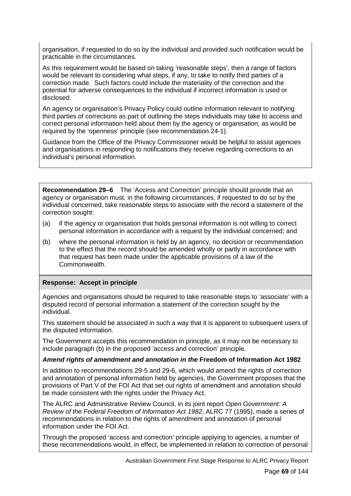organisation, if requested to do so by the individual and provided such notification would be practicable in the circumstances.

As this requirement would be based on taking 'reasonable steps', then a range of factors would be relevant to considering what steps, if any, to take to notify third parties of a correction made. Such factors could include the materiality of the correction and the potential for adverse consequences to the individual if incorrect information is used or disclosed.

An agency or organisation's Privacy Policy could outline information relevant to notifying third parties of corrections as part of outlining the steps individuals may take to access and correct personal information held about them by the agency or organisation, as would be required by the 'openness' principle (see recommendation 24-1).

Guidance from the Office of the Privacy Commissioner would be helpful to assist agencies and organisations in responding to notifications they receive regarding corrections to an individual's personal information.

**Recommendation 29–6** The 'Access and Correction' principle should provide that an agency or organisation must, in the following circumstances, if requested to do so by the individual concerned, take reasonable steps to associate with the record a statement of the correction sought:

- (a) if the agency or organisation that holds personal information is not willing to correct personal information in accordance with a request by the individual concerned; and
- (b) where the personal information is held by an agency, no decision or recommendation to the effect that the record should be amended wholly or partly in accordance with that request has been made under the applicable provisions of a law of the Commonwealth.

### **Response: Accept in principle**

Agencies and organisations should be required to take reasonable steps to 'associate' with a disputed record of personal information a statement of the correction sought by the individual.

This statement should be associated in such a way that it is apparent to subsequent users of the disputed information.

The Government accepts this recommendation in principle, as it may not be necessary to include paragraph (b) in the proposed 'access and correction' principle.

### *Amend rights of amendment and annotation in the* **Freedom of Information Act 1982**

In addition to recommendations 29-5 and 29-6, which would amend the rights of correction and annotation of personal information held by agencies, the Government proposes that the provisions of Part V of the FOI Act that set out rights of amendment and annotation should be made consistent with the rights under the Privacy Act.

The ALRC and Administrative Review Council, in its joint report *Open Government: A Review of the Federal Freedom of Information Act 1982*, ALRC 77 (1995), made a series of recommendations in relation to the rights of amendment and annotation of personal information under the FOI Act.

Through the proposed 'access and correction' principle applying to agencies, a number of these recommendations would, in effect, be implemented in relation to correction of personal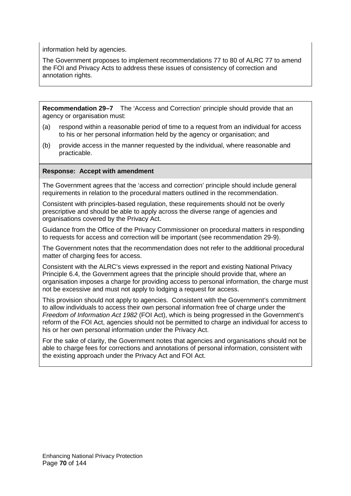information held by agencies.

The Government proposes to implement recommendations 77 to 80 of ALRC 77 to amend the FOI and Privacy Acts to address these issues of consistency of correction and annotation rights.

**Recommendation 29–7** The 'Access and Correction' principle should provide that an agency or organisation must:

- (a) respond within a reasonable period of time to a request from an individual for access to his or her personal information held by the agency or organisation; and
- (b) provide access in the manner requested by the individual, where reasonable and practicable.

#### **Response: Accept with amendment**

The Government agrees that the 'access and correction' principle should include general requirements in relation to the procedural matters outlined in the recommendation.

Consistent with principles-based regulation, these requirements should not be overly prescriptive and should be able to apply across the diverse range of agencies and organisations covered by the Privacy Act.

Guidance from the Office of the Privacy Commissioner on procedural matters in responding to requests for access and correction will be important (see recommendation 29-9).

The Government notes that the recommendation does not refer to the additional procedural matter of charging fees for access.

Consistent with the ALRC's views expressed in the report and existing National Privacy Principle 6.4, the Government agrees that the principle should provide that, where an organisation imposes a charge for providing access to personal information, the charge must not be excessive and must not apply to lodging a request for access.

This provision should not apply to agencies. Consistent with the Government's commitment to allow individuals to access their own personal information free of charge under the *Freedom of Information Act 1982* (FOI Act), which is being progressed in the Government's reform of the FOI Act, agencies should not be permitted to charge an individual for access to his or her own personal information under the Privacy Act.

For the sake of clarity, the Government notes that agencies and organisations should not be able to charge fees for corrections and annotations of personal information, consistent with the existing approach under the Privacy Act and FOI Act.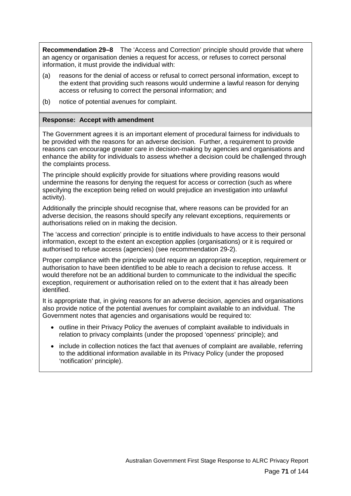**Recommendation 29–8** The 'Access and Correction' principle should provide that where an agency or organisation denies a request for access, or refuses to correct personal information, it must provide the individual with:

- (a) reasons for the denial of access or refusal to correct personal information, except to the extent that providing such reasons would undermine a lawful reason for denying access or refusing to correct the personal information; and
- (b) notice of potential avenues for complaint.

### **Response: Accept with amendment**

The Government agrees it is an important element of procedural fairness for individuals to be provided with the reasons for an adverse decision. Further, a requirement to provide reasons can encourage greater care in decision-making by agencies and organisations and enhance the ability for individuals to assess whether a decision could be challenged through the complaints process.

The principle should explicitly provide for situations where providing reasons would undermine the reasons for denying the request for access or correction (such as where specifying the exception being relied on would prejudice an investigation into unlawful activity).

Additionally the principle should recognise that, where reasons can be provided for an adverse decision, the reasons should specify any relevant exceptions, requirements or authorisations relied on in making the decision.

The 'access and correction' principle is to entitle individuals to have access to their personal information, except to the extent an exception applies (organisations) or it is required or authorised to refuse access (agencies) (see recommendation 29-2).

Proper compliance with the principle would require an appropriate exception, requirement or authorisation to have been identified to be able to reach a decision to refuse access. It would therefore not be an additional burden to communicate to the individual the specific exception, requirement or authorisation relied on to the extent that it has already been identified.

It is appropriate that, in giving reasons for an adverse decision, agencies and organisations also provide notice of the potential avenues for complaint available to an individual. The Government notes that agencies and organisations would be required to:

- outline in their Privacy Policy the avenues of complaint available to individuals in relation to privacy complaints (under the proposed 'openness' principle); and
- include in collection notices the fact that avenues of complaint are available, referring to the additional information available in its Privacy Policy (under the proposed 'notification' principle).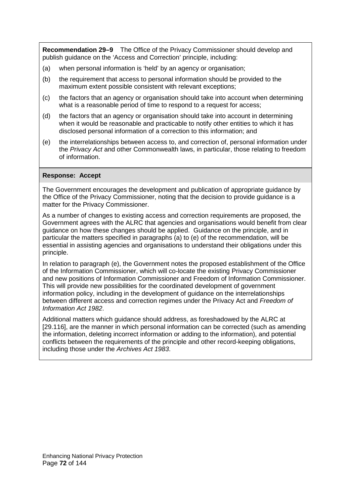**Recommendation 29–9** The Office of the Privacy Commissioner should develop and publish guidance on the 'Access and Correction' principle, including:

- (a) when personal information is 'held' by an agency or organisation;
- (b) the requirement that access to personal information should be provided to the maximum extent possible consistent with relevant exceptions;
- (c) the factors that an agency or organisation should take into account when determining what is a reasonable period of time to respond to a request for access;
- (d) the factors that an agency or organisation should take into account in determining when it would be reasonable and practicable to notify other entities to which it has disclosed personal information of a correction to this information; and
- (e) the interrelationships between access to, and correction of, personal information under the *Privacy Act* and other Commonwealth laws, in particular, those relating to freedom of information.

#### **Response: Accept**

The Government encourages the development and publication of appropriate guidance by the Office of the Privacy Commissioner, noting that the decision to provide guidance is a matter for the Privacy Commissioner.

As a number of changes to existing access and correction requirements are proposed, the Government agrees with the ALRC that agencies and organisations would benefit from clear guidance on how these changes should be applied. Guidance on the principle, and in particular the matters specified in paragraphs (a) to (e) of the recommendation, will be essential in assisting agencies and organisations to understand their obligations under this principle.

In relation to paragraph (e), the Government notes the proposed establishment of the Office of the Information Commissioner, which will co-locate the existing Privacy Commissioner and new positions of Information Commissioner and Freedom of Information Commissioner. This will provide new possibilities for the coordinated development of government information policy, including in the development of guidance on the interrelationships between different access and correction regimes under the Privacy Act and *Freedom of Information Act 1982*.

Additional matters which guidance should address, as foreshadowed by the ALRC at [29.116], are the manner in which personal information can be corrected (such as amending the information, deleting incorrect information or adding to the information), and potential conflicts between the requirements of the principle and other record-keeping obligations, including those under the *Archives Act 1983*.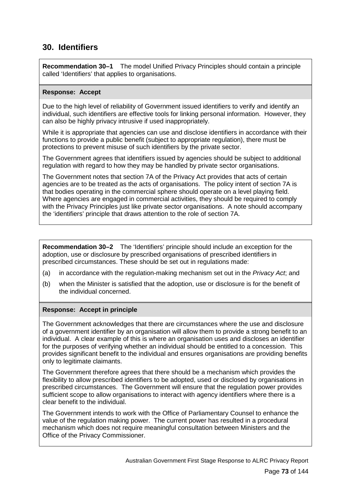## **30. Identifiers**

**Recommendation 30–1** The model Unified Privacy Principles should contain a principle called 'Identifiers' that applies to organisations.

#### **Response: Accept**

Due to the high level of reliability of Government issued identifiers to verify and identify an individual, such identifiers are effective tools for linking personal information. However, they can also be highly privacy intrusive if used inappropriately.

While it is appropriate that agencies can use and disclose identifiers in accordance with their functions to provide a public benefit (subject to appropriate regulation), there must be protections to prevent misuse of such identifiers by the private sector.

The Government agrees that identifiers issued by agencies should be subject to additional regulation with regard to how they may be handled by private sector organisations.

The Government notes that section 7A of the Privacy Act provides that acts of certain agencies are to be treated as the acts of organisations. The policy intent of section 7A is that bodies operating in the commercial sphere should operate on a level playing field. Where agencies are engaged in commercial activities, they should be required to comply with the Privacy Principles just like private sector organisations. A note should accompany the 'identifiers' principle that draws attention to the role of section 7A.

**Recommendation 30–2** The 'Identifiers' principle should include an exception for the adoption, use or disclosure by prescribed organisations of prescribed identifiers in prescribed circumstances. These should be set out in regulations made:

- (a) in accordance with the regulation-making mechanism set out in the *Privacy Act*; and
- (b) when the Minister is satisfied that the adoption, use or disclosure is for the benefit of the individual concerned.

#### **Response: Accept in principle**

The Government acknowledges that there are circumstances where the use and disclosure of a government identifier by an organisation will allow them to provide a strong benefit to an individual. A clear example of this is where an organisation uses and discloses an identifier for the purposes of verifying whether an individual should be entitled to a concession. This provides significant benefit to the individual and ensures organisations are providing benefits only to legitimate claimants.

The Government therefore agrees that there should be a mechanism which provides the flexibility to allow prescribed identifiers to be adopted, used or disclosed by organisations in prescribed circumstances. The Government will ensure that the regulation power provides sufficient scope to allow organisations to interact with agency identifiers where there is a clear benefit to the individual.

The Government intends to work with the Office of Parliamentary Counsel to enhance the value of the regulation making power. The current power has resulted in a procedural mechanism which does not require meaningful consultation between Ministers and the Office of the Privacy Commissioner.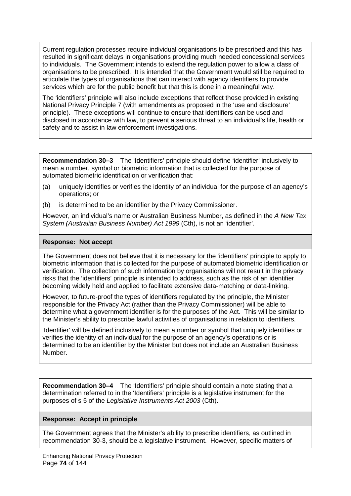Current regulation processes require individual organisations to be prescribed and this has resulted in significant delays in organisations providing much needed concessional services to individuals. The Government intends to extend the regulation power to allow a class of organisations to be prescribed. It is intended that the Government would still be required to articulate the types of organisations that can interact with agency identifiers to provide services which are for the public benefit but that this is done in a meaningful way.

The 'identifiers' principle will also include exceptions that reflect those provided in existing National Privacy Principle 7 (with amendments as proposed in the 'use and disclosure' principle). These exceptions will continue to ensure that identifiers can be used and disclosed in accordance with law, to prevent a serious threat to an individual's life, health or safety and to assist in law enforcement investigations.

**Recommendation 30–3** The 'Identifiers' principle should define 'identifier' inclusively to mean a number, symbol or biometric information that is collected for the purpose of automated biometric identification or verification that:

- (a) uniquely identifies or verifies the identity of an individual for the purpose of an agency's operations; or
- (b) is determined to be an identifier by the Privacy Commissioner.

However, an individual's name or Australian Business Number, as defined in the *A New Tax System (Australian Business Number) Act 1999* (Cth), is not an 'identifier'.

#### **Response: Not accept**

The Government does not believe that it is necessary for the 'identifiers' principle to apply to biometric information that is collected for the purpose of automated biometric identification or verification. The collection of such information by organisations will not result in the privacy risks that the 'identifiers' principle is intended to address, such as the risk of an identifier becoming widely held and applied to facilitate extensive data-matching or data-linking.

However, to future-proof the types of identifiers regulated by the principle, the Minister responsible for the Privacy Act (rather than the Privacy Commissioner) will be able to determine what a government identifier is for the purposes of the Act. This will be similar to the Minister's ability to prescribe lawful activities of organisations in relation to identifiers.

'Identifier' will be defined inclusively to mean a number or symbol that uniquely identifies or verifies the identity of an individual for the purpose of an agency's operations or is determined to be an identifier by the Minister but does not include an Australian Business Number.

**Recommendation 30–4** The 'Identifiers' principle should contain a note stating that a determination referred to in the 'Identifiers' principle is a legislative instrument for the purposes of s 5 of the *Legislative Instruments Act 2003* (Cth).

#### **Response: Accept in principle**

The Government agrees that the Minister's ability to prescribe identifiers, as outlined in recommendation 30-3, should be a legislative instrument. However, specific matters of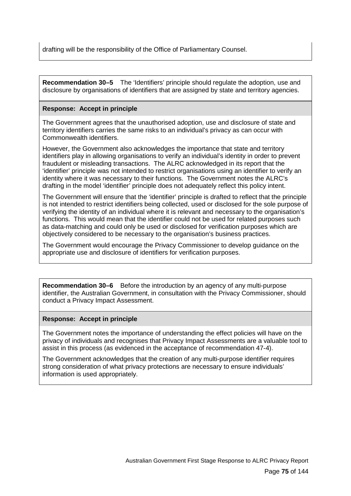drafting will be the responsibility of the Office of Parliamentary Counsel.

**Recommendation 30–5** The 'Identifiers' principle should regulate the adoption, use and disclosure by organisations of identifiers that are assigned by state and territory agencies.

#### **Response: Accept in principle**

The Government agrees that the unauthorised adoption, use and disclosure of state and territory identifiers carries the same risks to an individual's privacy as can occur with Commonwealth identifiers.

However, the Government also acknowledges the importance that state and territory identifiers play in allowing organisations to verify an individual's identity in order to prevent fraudulent or misleading transactions. The ALRC acknowledged in its report that the 'identifier' principle was not intended to restrict organisations using an identifier to verify an identity where it was necessary to their functions. The Government notes the ALRC's drafting in the model 'identifier' principle does not adequately reflect this policy intent.

The Government will ensure that the 'identifier' principle is drafted to reflect that the principle is not intended to restrict identifiers being collected, used or disclosed for the sole purpose of verifying the identity of an individual where it is relevant and necessary to the organisation's functions. This would mean that the identifier could not be used for related purposes such as data-matching and could only be used or disclosed for verification purposes which are objectively considered to be necessary to the organisation's business practices.

The Government would encourage the Privacy Commissioner to develop guidance on the appropriate use and disclosure of identifiers for verification purposes.

**Recommendation 30–6** Before the introduction by an agency of any multi-purpose identifier, the Australian Government, in consultation with the Privacy Commissioner, should conduct a Privacy Impact Assessment.

#### **Response: Accept in principle**

The Government notes the importance of understanding the effect policies will have on the privacy of individuals and recognises that Privacy Impact Assessments are a valuable tool to assist in this process (as evidenced in the acceptance of recommendation 47-4).

The Government acknowledges that the creation of any multi-purpose identifier requires strong consideration of what privacy protections are necessary to ensure individuals' information is used appropriately.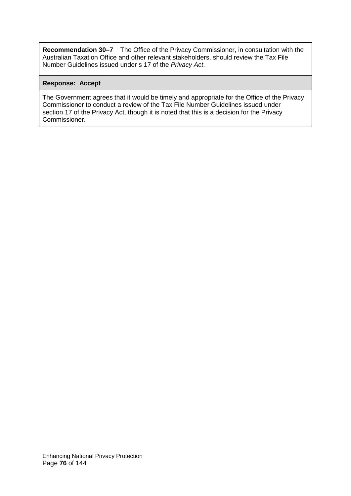**Recommendation 30–7** The Office of the Privacy Commissioner, in consultation with the Australian Taxation Office and other relevant stakeholders, should review the Tax File Number Guidelines issued under s 17 of the *Privacy Act*.

#### **Response: Accept**

The Government agrees that it would be timely and appropriate for the Office of the Privacy Commissioner to conduct a review of the Tax File Number Guidelines issued under section 17 of the Privacy Act, though it is noted that this is a decision for the Privacy Commissioner.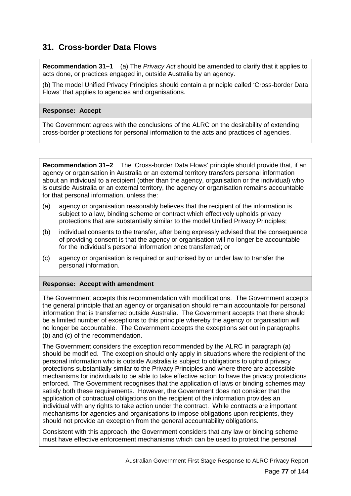# **31. Cross-border Data Flows**

**Recommendation 31–1** (a) The *Privacy Act* should be amended to clarify that it applies to acts done, or practices engaged in, outside Australia by an agency.

(b) The model Unified Privacy Principles should contain a principle called 'Cross-border Data Flows' that applies to agencies and organisations.

### **Response: Accept**

The Government agrees with the conclusions of the ALRC on the desirability of extending cross-border protections for personal information to the acts and practices of agencies.

**Recommendation 31–2** The 'Cross-border Data Flows' principle should provide that, if an agency or organisation in Australia or an external territory transfers personal information about an individual to a recipient (other than the agency, organisation or the individual) who is outside Australia or an external territory, the agency or organisation remains accountable for that personal information, unless the:

- (a) agency or organisation reasonably believes that the recipient of the information is subject to a law, binding scheme or contract which effectively upholds privacy protections that are substantially similar to the model Unified Privacy Principles;
- (b) individual consents to the transfer, after being expressly advised that the consequence of providing consent is that the agency or organisation will no longer be accountable for the individual's personal information once transferred; or
- (c) agency or organisation is required or authorised by or under law to transfer the personal information.

#### **Response: Accept with amendment**

The Government accepts this recommendation with modifications. The Government accepts the general principle that an agency or organisation should remain accountable for personal information that is transferred outside Australia. The Government accepts that there should be a limited number of exceptions to this principle whereby the agency or organisation will no longer be accountable. The Government accepts the exceptions set out in paragraphs (b) and (c) of the recommendation.

The Government considers the exception recommended by the ALRC in paragraph (a) should be modified. The exception should only apply in situations where the recipient of the personal information who is outside Australia is subject to obligations to uphold privacy protections substantially similar to the Privacy Principles and where there are accessible mechanisms for individuals to be able to take effective action to have the privacy protections enforced. The Government recognises that the application of laws or binding schemes may satisfy both these requirements. However, the Government does not consider that the application of contractual obligations on the recipient of the information provides an individual with any rights to take action under the contract. While contracts are important mechanisms for agencies and organisations to impose obligations upon recipients, they should not provide an exception from the general accountability obligations.

Consistent with this approach, the Government considers that any law or binding scheme must have effective enforcement mechanisms which can be used to protect the personal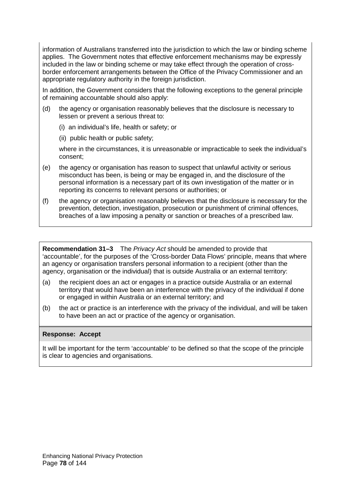information of Australians transferred into the jurisdiction to which the law or binding scheme applies. The Government notes that effective enforcement mechanisms may be expressly included in the law or binding scheme or may take effect through the operation of crossborder enforcement arrangements between the Office of the Privacy Commissioner and an appropriate regulatory authority in the foreign jurisdiction.

In addition, the Government considers that the following exceptions to the general principle of remaining accountable should also apply:

- (d) the agency or organisation reasonably believes that the disclosure is necessary to lessen or prevent a serious threat to:
	- (i) an individual's life, health or safety; or
	- (ii) public health or public safety;

where in the circumstances, it is unreasonable or impracticable to seek the individual's consent;

- (e) the agency or organisation has reason to suspect that unlawful activity or serious misconduct has been, is being or may be engaged in, and the disclosure of the personal information is a necessary part of its own investigation of the matter or in reporting its concerns to relevant persons or authorities; or
- (f) the agency or organisation reasonably believes that the disclosure is necessary for the prevention, detection, investigation, prosecution or punishment of criminal offences, breaches of a law imposing a penalty or sanction or breaches of a prescribed law.

**Recommendation 31–3** The *Privacy Act* should be amended to provide that 'accountable', for the purposes of the 'Cross-border Data Flows' principle, means that where an agency or organisation transfers personal information to a recipient (other than the agency, organisation or the individual) that is outside Australia or an external territory:

- (a) the recipient does an act or engages in a practice outside Australia or an external territory that would have been an interference with the privacy of the individual if done or engaged in within Australia or an external territory; and
- (b) the act or practice is an interference with the privacy of the individual, and will be taken to have been an act or practice of the agency or organisation.

#### **Response: Accept**

It will be important for the term 'accountable' to be defined so that the scope of the principle is clear to agencies and organisations.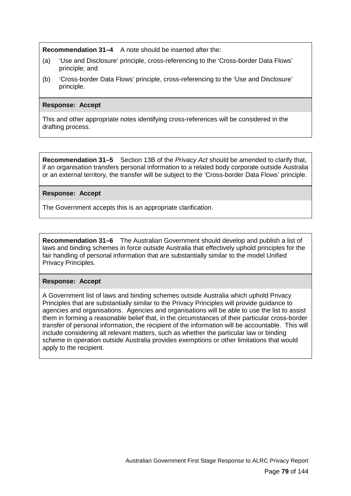**Recommendation 31–4** A note should be inserted after the:

- (a) 'Use and Disclosure' principle, cross-referencing to the 'Cross-border Data Flows' principle; and
- (b) 'Cross-border Data Flows' principle, cross-referencing to the 'Use and Disclosure' principle.

#### **Response: Accept**

This and other appropriate notes identifying cross-references will be considered in the drafting process.

**Recommendation 31–5** Section 13B of the *Privacy Act* should be amended to clarify that, if an organisation transfers personal information to a related body corporate outside Australia or an external territory, the transfer will be subject to the 'Cross-border Data Flows' principle.

#### **Response: Accept**

The Government accepts this is an appropriate clarification.

**Recommendation 31–6** The Australian Government should develop and publish a list of laws and binding schemes in force outside Australia that effectively uphold principles for the fair handling of personal information that are substantially similar to the model Unified Privacy Principles.

#### **Response: Accept**

A Government list of laws and binding schemes outside Australia which uphold Privacy Principles that are substantially similar to the Privacy Principles will provide guidance to agencies and organisations. Agencies and organisations will be able to use the list to assist them in forming a reasonable belief that, in the circumstances of their particular cross-border transfer of personal information, the recipient of the information will be accountable. This will include considering all relevant matters, such as whether the particular law or binding scheme in operation outside Australia provides exemptions or other limitations that would apply to the recipient.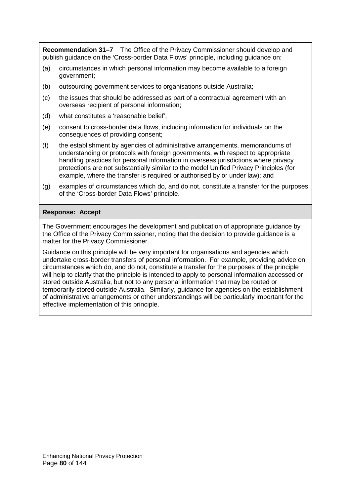**Recommendation 31–7** The Office of the Privacy Commissioner should develop and publish guidance on the 'Cross-border Data Flows' principle, including guidance on:

- (a) circumstances in which personal information may become available to a foreign government;
- (b) outsourcing government services to organisations outside Australia;
- (c) the issues that should be addressed as part of a contractual agreement with an overseas recipient of personal information;
- (d) what constitutes a 'reasonable belief';
- (e) consent to cross-border data flows, including information for individuals on the consequences of providing consent;
- (f) the establishment by agencies of administrative arrangements, memorandums of understanding or protocols with foreign governments, with respect to appropriate handling practices for personal information in overseas jurisdictions where privacy protections are not substantially similar to the model Unified Privacy Principles (for example, where the transfer is required or authorised by or under law); and
- (g) examples of circumstances which do, and do not, constitute a transfer for the purposes of the 'Cross-border Data Flows' principle.

#### **Response: Accept**

The Government encourages the development and publication of appropriate guidance by the Office of the Privacy Commissioner, noting that the decision to provide guidance is a matter for the Privacy Commissioner.

Guidance on this principle will be very important for organisations and agencies which undertake cross-border transfers of personal information. For example, providing advice on circumstances which do, and do not, constitute a transfer for the purposes of the principle will help to clarify that the principle is intended to apply to personal information accessed or stored outside Australia, but not to any personal information that may be routed or temporarily stored outside Australia. Similarly, guidance for agencies on the establishment of administrative arrangements or other understandings will be particularly important for the effective implementation of this principle.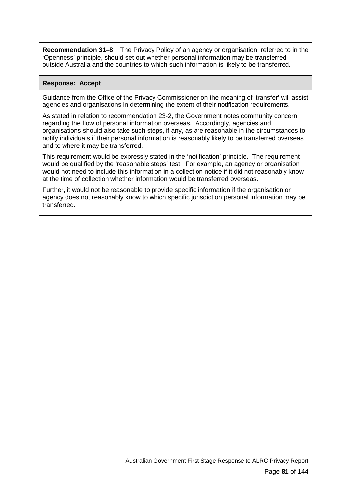**Recommendation 31–8** The Privacy Policy of an agency or organisation, referred to in the 'Openness' principle, should set out whether personal information may be transferred outside Australia and the countries to which such information is likely to be transferred.

#### **Response: Accept**

Guidance from the Office of the Privacy Commissioner on the meaning of 'transfer' will assist agencies and organisations in determining the extent of their notification requirements.

As stated in relation to recommendation 23-2, the Government notes community concern regarding the flow of personal information overseas. Accordingly, agencies and organisations should also take such steps, if any, as are reasonable in the circumstances to notify individuals if their personal information is reasonably likely to be transferred overseas and to where it may be transferred.

This requirement would be expressly stated in the 'notification' principle. The requirement would be qualified by the 'reasonable steps' test. For example, an agency or organisation would not need to include this information in a collection notice if it did not reasonably know at the time of collection whether information would be transferred overseas.

Further, it would not be reasonable to provide specific information if the organisation or agency does not reasonably know to which specific jurisdiction personal information may be transferred.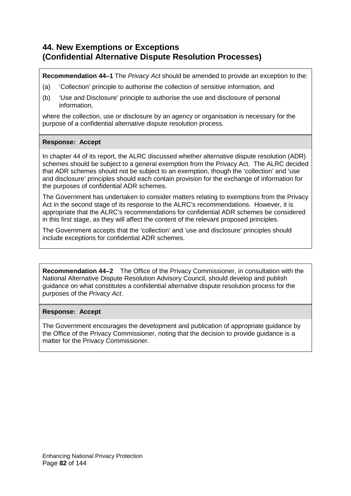# **44. New Exemptions or Exceptions (Confidential Alternative Dispute Resolution Processes)**

**Recommendation 44–1** The *Privacy Act* should be amended to provide an exception to the:

- (a) 'Collection' principle to authorise the collection of sensitive information, and
- (b) 'Use and Disclosure' principle to authorise the use and disclosure of personal information,

where the collection, use or disclosure by an agency or organisation is necessary for the purpose of a confidential alternative dispute resolution process.

### **Response: Accept**

In chapter 44 of its report, the ALRC discussed whether alternative dispute resolution (ADR) schemes should be subject to a general exemption from the Privacy Act. The ALRC decided that ADR schemes should not be subject to an exemption, though the 'collection' and 'use and disclosure' principles should each contain provision for the exchange of information for the purposes of confidential ADR schemes.

The Government has undertaken to consider matters relating to exemptions from the Privacy Act in the second stage of its response to the ALRC's recommendations. However, it is appropriate that the ALRC's recommendations for confidential ADR schemes be considered in this first stage, as they will affect the content of the relevant proposed principles.

The Government accepts that the 'collection' and 'use and disclosure' principles should include exceptions for confidential ADR schemes.

**Recommendation 44–2** The Office of the Privacy Commissioner, in consultation with the National Alternative Dispute Resolution Advisory Council, should develop and publish guidance on what constitutes a confidential alternative dispute resolution process for the purposes of the *Privacy Act*.

#### **Response: Accept**

The Government encourages the development and publication of appropriate guidance by the Office of the Privacy Commissioner, noting that the decision to provide guidance is a matter for the Privacy Commissioner.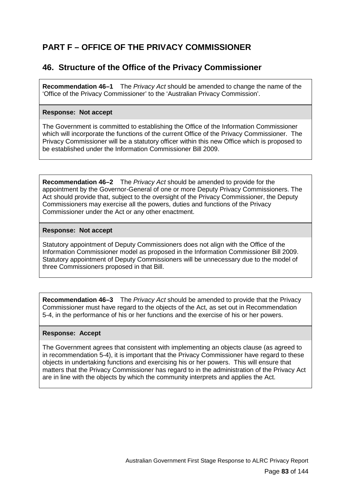# **PART F – OFFICE OF THE PRIVACY COMMISSIONER**

# **46. Structure of the Office of the Privacy Commissioner**

**Recommendation 46–1** The *Privacy Act* should be amended to change the name of the 'Office of the Privacy Commissioner' to the 'Australian Privacy Commission'.

#### **Response: Not accept**

The Government is committed to establishing the Office of the Information Commissioner which will incorporate the functions of the current Office of the Privacy Commissioner. The Privacy Commissioner will be a statutory officer within this new Office which is proposed to be established under the Information Commissioner Bill 2009.

**Recommendation 46–2** The *Privacy Act* should be amended to provide for the appointment by the Governor-General of one or more Deputy Privacy Commissioners. The Act should provide that, subject to the oversight of the Privacy Commissioner, the Deputy Commissioners may exercise all the powers, duties and functions of the Privacy Commissioner under the Act or any other enactment.

#### **Response: Not accept**

Statutory appointment of Deputy Commissioners does not align with the Office of the Information Commissioner model as proposed in the Information Commissioner Bill 2009. Statutory appointment of Deputy Commissioners will be unnecessary due to the model of three Commissioners proposed in that Bill.

**Recommendation 46–3** The *Privacy Act* should be amended to provide that the Privacy Commissioner must have regard to the objects of the Act, as set out in Recommendation 5-4, in the performance of his or her functions and the exercise of his or her powers.

#### **Response: Accept**

The Government agrees that consistent with implementing an objects clause (as agreed to in recommendation 5-4), it is important that the Privacy Commissioner have regard to these objects in undertaking functions and exercising his or her powers. This will ensure that matters that the Privacy Commissioner has regard to in the administration of the Privacy Act are in line with the objects by which the community interprets and applies the Act.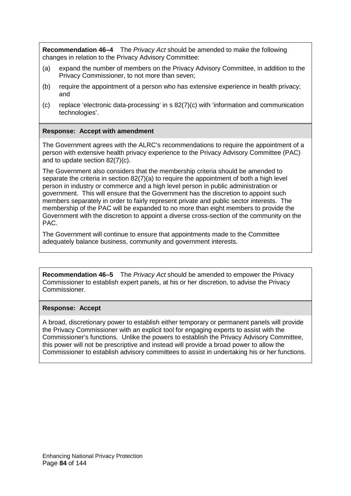**Recommendation 46–4** The *Privacy Act* should be amended to make the following changes in relation to the Privacy Advisory Committee:

- (a) expand the number of members on the Privacy Advisory Committee, in addition to the Privacy Commissioner, to not more than seven;
- (b) require the appointment of a person who has extensive experience in health privacy; and
- (c) replace 'electronic data-processing' in s 82(7)(c) with 'information and communication technologies'.

### **Response: Accept with amendment**

The Government agrees with the ALRC's recommendations to require the appointment of a person with extensive health privacy experience to the Privacy Advisory Committee (PAC) and to update section 82(7)(c).

The Government also considers that the membership criteria should be amended to separate the criteria in section 82(7)(a) to require the appointment of both a high level person in industry or commerce and a high level person in public administration or government. This will ensure that the Government has the discretion to appoint such members separately in order to fairly represent private and public sector interests. The membership of the PAC will be expanded to no more than eight members to provide the Government with the discretion to appoint a diverse cross-section of the community on the PAC.

The Government will continue to ensure that appointments made to the Committee adequately balance business, community and government interests.

**Recommendation 46–5** The *Privacy Act* should be amended to empower the Privacy Commissioner to establish expert panels, at his or her discretion, to advise the Privacy Commissioner.

#### **Response: Accept**

A broad, discretionary power to establish either temporary or permanent panels will provide the Privacy Commissioner with an explicit tool for engaging experts to assist with the Commissioner's functions. Unlike the powers to establish the Privacy Advisory Committee, this power will not be prescriptive and instead will provide a broad power to allow the Commissioner to establish advisory committees to assist in undertaking his or her functions.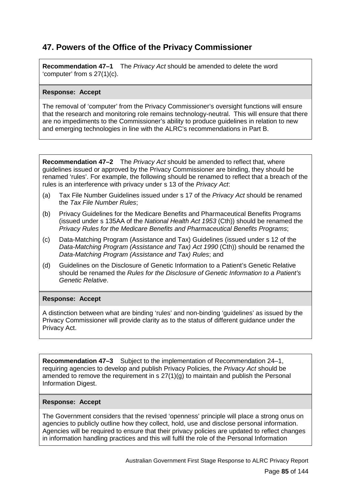# **47. Powers of the Office of the Privacy Commissioner**

**Recommendation 47–1** The *Privacy Act* should be amended to delete the word 'computer' from s 27(1)(c).

#### **Response: Accept**

The removal of 'computer' from the Privacy Commissioner's oversight functions will ensure that the research and monitoring role remains technology-neutral. This will ensure that there are no impediments to the Commissioner's ability to produce guidelines in relation to new and emerging technologies in line with the ALRC's recommendations in Part B.

**Recommendation 47–2** The *Privacy Act* should be amended to reflect that, where guidelines issued or approved by the Privacy Commissioner are binding, they should be renamed 'rules'. For example, the following should be renamed to reflect that a breach of the rules is an interference with privacy under s 13 of the *Privacy Act*:

- (a) Tax File Number Guidelines issued under s 17 of the *Privacy Act* should be renamed the *Tax File Number Rules*;
- (b) Privacy Guidelines for the Medicare Benefits and Pharmaceutical Benefits Programs (issued under s 135AA of the *National Health Act 1953* (Cth)) should be renamed the *Privacy Rules for the Medicare Benefits and Pharmaceutical Benefits Programs*;
- (c) Data-Matching Program (Assistance and Tax) Guidelines (issued under s 12 of the *Data-Matching Program (Assistance and Tax) Act 1990* (Cth)) should be renamed the *Data-Matching Program (Assistance and Tax) Rules*; and
- (d) Guidelines on the Disclosure of Genetic Information to a Patient's Genetic Relative should be renamed the *Rules for the Disclosure of Genetic Information to a Patient's Genetic Relative*.

#### **Response: Accept**

A distinction between what are binding 'rules' and non-binding 'guidelines' as issued by the Privacy Commissioner will provide clarity as to the status of different guidance under the Privacy Act.

**Recommendation 47–3** Subject to the implementation of Recommendation 24–1, requiring agencies to develop and publish Privacy Policies, the *Privacy Act* should be amended to remove the requirement in s 27(1)(g) to maintain and publish the Personal Information Digest.

#### **Response: Accept**

The Government considers that the revised 'openness' principle will place a strong onus on agencies to publicly outline how they collect, hold, use and disclose personal information. Agencies will be required to ensure that their privacy policies are updated to reflect changes in information handling practices and this will fulfil the role of the Personal Information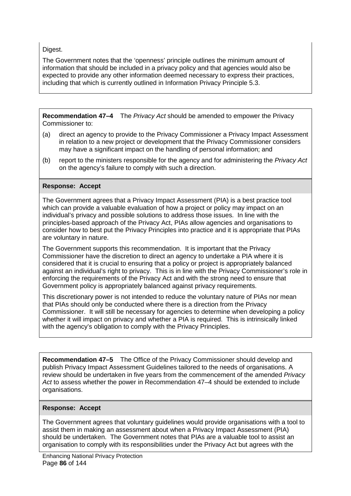Digest.

The Government notes that the 'openness' principle outlines the minimum amount of information that should be included in a privacy policy and that agencies would also be expected to provide any other information deemed necessary to express their practices, including that which is currently outlined in Information Privacy Principle 5.3.

**Recommendation 47–4** The *Privacy Act* should be amended to empower the Privacy Commissioner to:

- (a) direct an agency to provide to the Privacy Commissioner a Privacy Impact Assessment in relation to a new project or development that the Privacy Commissioner considers may have a significant impact on the handling of personal information; and
- (b) report to the ministers responsible for the agency and for administering the *Privacy Act* on the agency's failure to comply with such a direction.

### **Response: Accept**

The Government agrees that a Privacy Impact Assessment (PIA) is a best practice tool which can provide a valuable evaluation of how a project or policy may impact on an individual's privacy and possible solutions to address those issues. In line with the principles-based approach of the Privacy Act, PIAs allow agencies and organisations to consider how to best put the Privacy Principles into practice and it is appropriate that PIAs are voluntary in nature.

The Government supports this recommendation. It is important that the Privacy Commissioner have the discretion to direct an agency to undertake a PIA where it is considered that it is crucial to ensuring that a policy or project is appropriately balanced against an individual's right to privacy. This is in line with the Privacy Commissioner's role in enforcing the requirements of the Privacy Act and with the strong need to ensure that Government policy is appropriately balanced against privacy requirements.

This discretionary power is not intended to reduce the voluntary nature of PIAs nor mean that PIAs should only be conducted where there is a direction from the Privacy Commissioner. It will still be necessary for agencies to determine when developing a policy whether it will impact on privacy and whether a PIA is required. This is intrinsically linked with the agency's obligation to comply with the Privacy Principles.

**Recommendation 47–5** The Office of the Privacy Commissioner should develop and publish Privacy Impact Assessment Guidelines tailored to the needs of organisations. A review should be undertaken in five years from the commencement of the amended *Privacy Act* to assess whether the power in Recommendation 47–4 should be extended to include organisations.

#### **Response: Accept**

The Government agrees that voluntary guidelines would provide organisations with a tool to assist them in making an assessment about when a Privacy Impact Assessment (PIA) should be undertaken. The Government notes that PIAs are a valuable tool to assist an organisation to comply with its responsibilities under the Privacy Act but agrees with the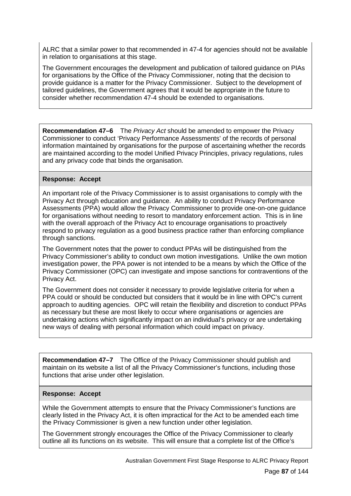ALRC that a similar power to that recommended in 47-4 for agencies should not be available in relation to organisations at this stage.

The Government encourages the development and publication of tailored guidance on PIAs for organisations by the Office of the Privacy Commissioner, noting that the decision to provide guidance is a matter for the Privacy Commissioner. Subject to the development of tailored guidelines, the Government agrees that it would be appropriate in the future to consider whether recommendation 47-4 should be extended to organisations.

**Recommendation 47–6** The *Privacy Act* should be amended to empower the Privacy Commissioner to conduct 'Privacy Performance Assessments' of the records of personal information maintained by organisations for the purpose of ascertaining whether the records are maintained according to the model Unified Privacy Principles, privacy regulations, rules and any privacy code that binds the organisation.

#### **Response: Accept**

An important role of the Privacy Commissioner is to assist organisations to comply with the Privacy Act through education and guidance. An ability to conduct Privacy Performance Assessments (PPA) would allow the Privacy Commissioner to provide one-on-one guidance for organisations without needing to resort to mandatory enforcement action. This is in line with the overall approach of the Privacy Act to encourage organisations to proactively respond to privacy regulation as a good business practice rather than enforcing compliance through sanctions.

The Government notes that the power to conduct PPAs will be distinguished from the Privacy Commissioner's ability to conduct own motion investigations. Unlike the own motion investigation power, the PPA power is not intended to be a means by which the Office of the Privacy Commissioner (OPC) can investigate and impose sanctions for contraventions of the Privacy Act.

The Government does not consider it necessary to provide legislative criteria for when a PPA could or should be conducted but considers that it would be in line with OPC's current approach to auditing agencies. OPC will retain the flexibility and discretion to conduct PPAs as necessary but these are most likely to occur where organisations or agencies are undertaking actions which significantly impact on an individual's privacy or are undertaking new ways of dealing with personal information which could impact on privacy.

**Recommendation 47–7** The Office of the Privacy Commissioner should publish and maintain on its website a list of all the Privacy Commissioner's functions, including those functions that arise under other legislation.

#### **Response: Accept**

While the Government attempts to ensure that the Privacy Commissioner's functions are clearly listed in the Privacy Act, it is often impractical for the Act to be amended each time the Privacy Commissioner is given a new function under other legislation.

The Government strongly encourages the Office of the Privacy Commissioner to clearly outline all its functions on its website. This will ensure that a complete list of the Office's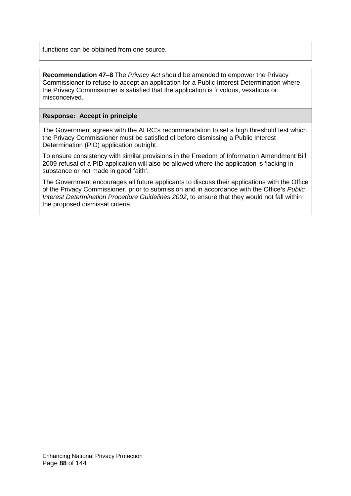functions can be obtained from one source.

**Recommendation 47–8** The *Privacy Act* should be amended to empower the Privacy Commissioner to refuse to accept an application for a Public Interest Determination where the Privacy Commissioner is satisfied that the application is frivolous, vexatious or misconceived.

#### **Response: Accept in principle**

The Government agrees with the ALRC's recommendation to set a high threshold test which the Privacy Commissioner must be satisfied of before dismissing a Public Interest Determination (PID) application outright.

To ensure consistency with similar provisions in the Freedom of Information Amendment Bill 2009 refusal of a PID application will also be allowed where the application is 'lacking in substance or not made in good faith'.

The Government encourages all future applicants to discuss their applications with the Office of the Privacy Commissioner, prior to submission and in accordance with the Office's *Public Interest Determination Procedure Guidelines 2002*, to ensure that they would not fall within the proposed dismissal criteria.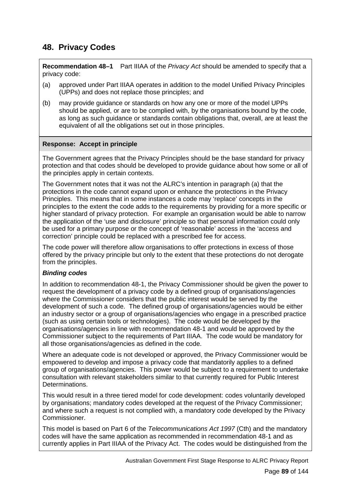# **48. Privacy Codes**

**Recommendation 48–1** Part IIIAA of the *Privacy Act* should be amended to specify that a privacy code:

- (a) approved under Part IIIAA operates in addition to the model Unified Privacy Principles (UPPs) and does not replace those principles; and
- (b) may provide guidance or standards on how any one or more of the model UPPs should be applied, or are to be complied with, by the organisations bound by the code, as long as such guidance or standards contain obligations that, overall, are at least the equivalent of all the obligations set out in those principles.

### **Response: Accept in principle**

The Government agrees that the Privacy Principles should be the base standard for privacy protection and that codes should be developed to provide guidance about how some or all of the principles apply in certain contexts.

The Government notes that it was not the ALRC's intention in paragraph (a) that the protections in the code cannot expand upon or enhance the protections in the Privacy Principles. This means that in some instances a code may 'replace' concepts in the principles to the extent the code adds to the requirements by providing for a more specific or higher standard of privacy protection. For example an organisation would be able to narrow the application of the 'use and disclosure' principle so that personal information could only be used for a primary purpose or the concept of 'reasonable' access in the 'access and correction' principle could be replaced with a prescribed fee for access.

The code power will therefore allow organisations to offer protections in excess of those offered by the privacy principle but only to the extent that these protections do not derogate from the principles.

## *Binding codes*

In addition to recommendation 48-1, the Privacy Commissioner should be given the power to request the development of a privacy code by a defined group of organisations/agencies where the Commissioner considers that the public interest would be served by the development of such a code. The defined group of organisations/agencies would be either an industry sector or a group of organisations/agencies who engage in a prescribed practice (such as using certain tools or technologies). The code would be developed by the organisations/agencies in line with recommendation 48-1 and would be approved by the Commissioner subject to the requirements of Part IIIAA. The code would be mandatory for all those organisations/agencies as defined in the code.

Where an adequate code is not developed or approved, the Privacy Commissioner would be empowered to develop and impose a privacy code that mandatorily applies to a defined group of organisations/agencies. This power would be subject to a requirement to undertake consultation with relevant stakeholders similar to that currently required for Public Interest Determinations.

This would result in a three tiered model for code development: codes voluntarily developed by organisations; mandatory codes developed at the request of the Privacy Commissioner; and where such a request is not complied with, a mandatory code developed by the Privacy Commissioner.

This model is based on Part 6 of the *Telecommunications Act 1997* (Cth) and the mandatory codes will have the same application as recommended in recommendation 48-1 and as currently applies in Part IIIAA of the Privacy Act. The codes would be distinguished from the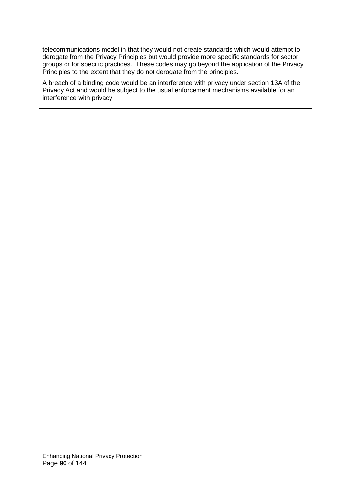telecommunications model in that they would not create standards which would attempt to derogate from the Privacy Principles but would provide more specific standards for sector groups or for specific practices. These codes may go beyond the application of the Privacy Principles to the extent that they do not derogate from the principles.

A breach of a binding code would be an interference with privacy under section 13A of the Privacy Act and would be subject to the usual enforcement mechanisms available for an interference with privacy.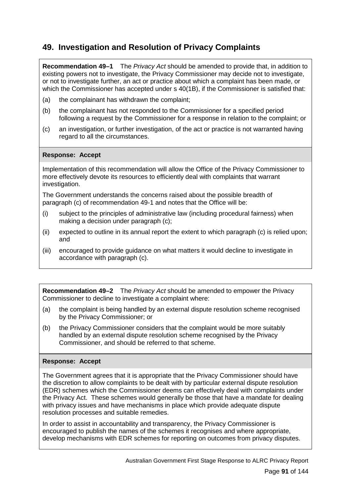# **49. Investigation and Resolution of Privacy Complaints**

**Recommendation 49–1** The *Privacy Act* should be amended to provide that, in addition to existing powers not to investigate, the Privacy Commissioner may decide not to investigate, or not to investigate further, an act or practice about which a complaint has been made, or which the Commissioner has accepted under s 40(1B), if the Commissioner is satisfied that:

- (a) the complainant has withdrawn the complaint;
- (b) the complainant has not responded to the Commissioner for a specified period following a request by the Commissioner for a response in relation to the complaint; or
- (c) an investigation, or further investigation, of the act or practice is not warranted having regard to all the circumstances.

#### **Response: Accept**

Implementation of this recommendation will allow the Office of the Privacy Commissioner to more effectively devote its resources to efficiently deal with complaints that warrant investigation.

The Government understands the concerns raised about the possible breadth of paragraph (c) of recommendation 49-1 and notes that the Office will be:

- (i) subject to the principles of administrative law (including procedural fairness) when making a decision under paragraph (c);
- (ii) expected to outline in its annual report the extent to which paragraph (c) is relied upon; and
- (iii) encouraged to provide guidance on what matters it would decline to investigate in accordance with paragraph (c).

**Recommendation 49–2** The *Privacy Act* should be amended to empower the Privacy Commissioner to decline to investigate a complaint where:

- (a) the complaint is being handled by an external dispute resolution scheme recognised by the Privacy Commissioner; or
- (b) the Privacy Commissioner considers that the complaint would be more suitably handled by an external dispute resolution scheme recognised by the Privacy Commissioner, and should be referred to that scheme.

## **Response: Accept**

The Government agrees that it is appropriate that the Privacy Commissioner should have the discretion to allow complaints to be dealt with by particular external dispute resolution (EDR) schemes which the Commissioner deems can effectively deal with complaints under the Privacy Act. These schemes would generally be those that have a mandate for dealing with privacy issues and have mechanisms in place which provide adequate dispute resolution processes and suitable remedies.

In order to assist in accountability and transparency, the Privacy Commissioner is encouraged to publish the names of the schemes it recognises and where appropriate, develop mechanisms with EDR schemes for reporting on outcomes from privacy disputes.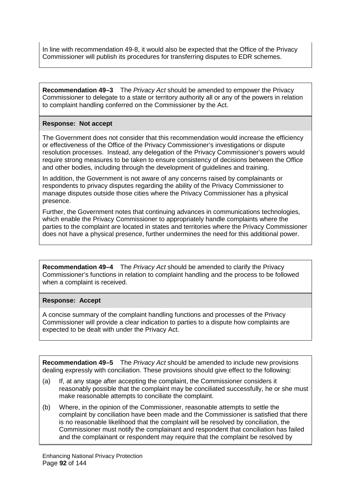In line with recommendation 49-8, it would also be expected that the Office of the Privacy Commissioner will publish its procedures for transferring disputes to EDR schemes.

**Recommendation 49–3** The *Privacy Act* should be amended to empower the Privacy Commissioner to delegate to a state or territory authority all or any of the powers in relation to complaint handling conferred on the Commissioner by the Act.

### **Response: Not accept**

The Government does not consider that this recommendation would increase the efficiency or effectiveness of the Office of the Privacy Commissioner's investigations or dispute resolution processes. Instead, any delegation of the Privacy Commissioner's powers would require strong measures to be taken to ensure consistency of decisions between the Office and other bodies, including through the development of guidelines and training.

In addition, the Government is not aware of any concerns raised by complainants or respondents to privacy disputes regarding the ability of the Privacy Commissioner to manage disputes outside those cities where the Privacy Commissioner has a physical presence.

Further, the Government notes that continuing advances in communications technologies, which enable the Privacy Commissioner to appropriately handle complaints where the parties to the complaint are located in states and territories where the Privacy Commissioner does not have a physical presence, further undermines the need for this additional power.

**Recommendation 49–4** The *Privacy Act* should be amended to clarify the Privacy Commissioner's functions in relation to complaint handling and the process to be followed when a complaint is received.

#### **Response: Accept**

A concise summary of the complaint handling functions and processes of the Privacy Commissioner will provide a clear indication to parties to a dispute how complaints are expected to be dealt with under the Privacy Act.

**Recommendation 49–5** The *Privacy Act* should be amended to include new provisions dealing expressly with conciliation. These provisions should give effect to the following:

- (a) If, at any stage after accepting the complaint, the Commissioner considers it reasonably possible that the complaint may be conciliated successfully, he or she must make reasonable attempts to conciliate the complaint.
- (b) Where, in the opinion of the Commissioner, reasonable attempts to settle the complaint by conciliation have been made and the Commissioner is satisfied that there is no reasonable likelihood that the complaint will be resolved by conciliation, the Commissioner must notify the complainant and respondent that conciliation has failed and the complainant or respondent may require that the complaint be resolved by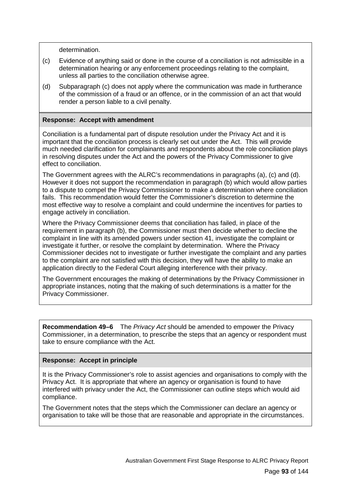determination.

- (c) Evidence of anything said or done in the course of a conciliation is not admissible in a determination hearing or any enforcement proceedings relating to the complaint, unless all parties to the conciliation otherwise agree.
- (d) Subparagraph (c) does not apply where the communication was made in furtherance of the commission of a fraud or an offence, or in the commission of an act that would render a person liable to a civil penalty.

#### **Response: Accept with amendment**

Conciliation is a fundamental part of dispute resolution under the Privacy Act and it is important that the conciliation process is clearly set out under the Act. This will provide much needed clarification for complainants and respondents about the role conciliation plays in resolving disputes under the Act and the powers of the Privacy Commissioner to give effect to conciliation.

The Government agrees with the ALRC's recommendations in paragraphs (a), (c) and (d). However it does not support the recommendation in paragraph (b) which would allow parties to a dispute to compel the Privacy Commissioner to make a determination where conciliation fails. This recommendation would fetter the Commissioner's discretion to determine the most effective way to resolve a complaint and could undermine the incentives for parties to engage actively in conciliation.

Where the Privacy Commissioner deems that conciliation has failed, in place of the requirement in paragraph (b), the Commissioner must then decide whether to decline the complaint in line with its amended powers under section 41, investigate the complaint or investigate it further, or resolve the complaint by determination. Where the Privacy Commissioner decides not to investigate or further investigate the complaint and any parties to the complaint are not satisfied with this decision, they will have the ability to make an application directly to the Federal Court alleging interference with their privacy.

The Government encourages the making of determinations by the Privacy Commissioner in appropriate instances, noting that the making of such determinations is a matter for the Privacy Commissioner.

**Recommendation 49–6** The *Privacy Act* should be amended to empower the Privacy Commissioner, in a determination, to prescribe the steps that an agency or respondent must take to ensure compliance with the Act.

#### **Response: Accept in principle**

It is the Privacy Commissioner's role to assist agencies and organisations to comply with the Privacy Act. It is appropriate that where an agency or organisation is found to have interfered with privacy under the Act, the Commissioner can outline steps which would aid compliance.

The Government notes that the steps which the Commissioner can declare an agency or organisation to take will be those that are reasonable and appropriate in the circumstances.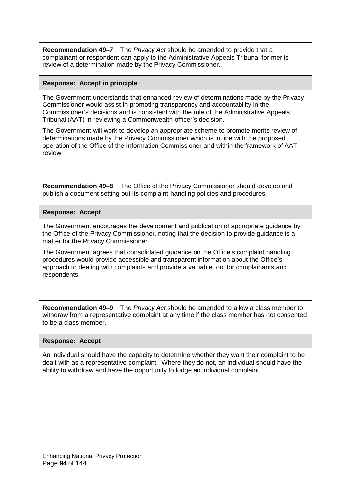**Recommendation 49–7** The *Privacy Act* should be amended to provide that a complainant or respondent can apply to the Administrative Appeals Tribunal for merits review of a determination made by the Privacy Commissioner.

#### **Response: Accept in principle**

The Government understands that enhanced review of determinations made by the Privacy Commissioner would assist in promoting transparency and accountability in the Commissioner's decisions and is consistent with the role of the Administrative Appeals Tribunal (AAT) in reviewing a Commonwealth officer's decision.

The Government will work to develop an appropriate scheme to promote merits review of determinations made by the Privacy Commissioner which is in line with the proposed operation of the Office of the Information Commissioner and within the framework of AAT review.

**Recommendation 49–8** The Office of the Privacy Commissioner should develop and publish a document setting out its complaint-handling policies and procedures.

#### **Response: Accept**

The Government encourages the development and publication of appropriate guidance by the Office of the Privacy Commissioner, noting that the decision to provide guidance is a matter for the Privacy Commissioner.

The Government agrees that consolidated guidance on the Office's complaint handling procedures would provide accessible and transparent information about the Office's approach to dealing with complaints and provide a valuable tool for complainants and respondents.

**Recommendation 49–9** The *Privacy Act* should be amended to allow a class member to withdraw from a representative complaint at any time if the class member has not consented to be a class member.

#### **Response: Accept**

An individual should have the capacity to determine whether they want their complaint to be dealt with as a representative complaint. Where they do not, an individual should have the ability to withdraw and have the opportunity to lodge an individual complaint.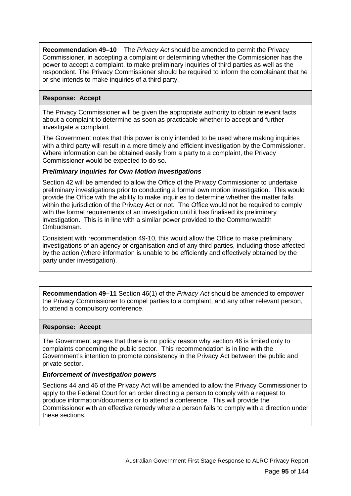**Recommendation 49–10** The *Privacy Act* should be amended to permit the Privacy Commissioner, in accepting a complaint or determining whether the Commissioner has the power to accept a complaint, to make preliminary inquiries of third parties as well as the respondent. The Privacy Commissioner should be required to inform the complainant that he or she intends to make inquiries of a third party.

#### **Response: Accept**

The Privacy Commissioner will be given the appropriate authority to obtain relevant facts about a complaint to determine as soon as practicable whether to accept and further investigate a complaint.

The Government notes that this power is only intended to be used where making inquiries with a third party will result in a more timely and efficient investigation by the Commissioner. Where information can be obtained easily from a party to a complaint, the Privacy Commissioner would be expected to do so.

### *Preliminary inquiries for Own Motion Investigations*

Section 42 will be amended to allow the Office of the Privacy Commissioner to undertake preliminary investigations prior to conducting a formal own motion investigation. This would provide the Office with the ability to make inquiries to determine whether the matter falls within the jurisdiction of the Privacy Act or not. The Office would not be required to comply with the formal requirements of an investigation until it has finalised its preliminary investigation. This is in line with a similar power provided to the Commonwealth Ombudsman.

Consistent with recommendation 49-10, this would allow the Office to make preliminary investigations of an agency or organisation and of any third parties, including those affected by the action (where information is unable to be efficiently and effectively obtained by the party under investigation).

**Recommendation 49–11** Section 46(1) of the *Privacy Act* should be amended to empower the Privacy Commissioner to compel parties to a complaint, and any other relevant person, to attend a compulsory conference.

#### **Response: Accept**

The Government agrees that there is no policy reason why section 46 is limited only to complaints concerning the public sector. This recommendation is in line with the Government's intention to promote consistency in the Privacy Act between the public and private sector.

#### *Enforcement of investigation powers*

Sections 44 and 46 of the Privacy Act will be amended to allow the Privacy Commissioner to apply to the Federal Court for an order directing a person to comply with a request to produce information/documents or to attend a conference. This will provide the Commissioner with an effective remedy where a person fails to comply with a direction under these sections.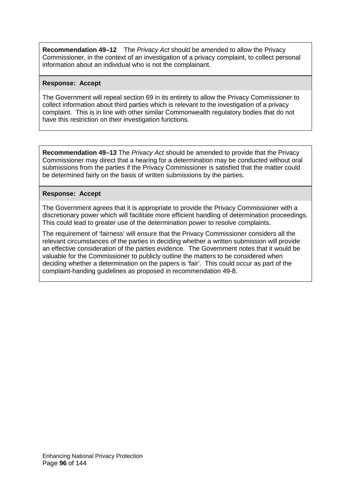**Recommendation 49–12** The *Privacy Act* should be amended to allow the Privacy Commissioner, in the context of an investigation of a privacy complaint, to collect personal information about an individual who is not the complainant.

#### **Response: Accept**

The Government will repeal section 69 in its entirety to allow the Privacy Commissioner to collect information about third parties which is relevant to the investigation of a privacy complaint. This is in line with other similar Commonwealth regulatory bodies that do not have this restriction on their investigation functions.

**Recommendation 49–13** The *Privacy Act* should be amended to provide that the Privacy Commissioner may direct that a hearing for a determination may be conducted without oral submissions from the parties if the Privacy Commissioner is satisfied that the matter could be determined fairly on the basis of written submissions by the parties.

### **Response: Accept**

The Government agrees that it is appropriate to provide the Privacy Commissioner with a discretionary power which will facilitate more efficient handling of determination proceedings. This could lead to greater use of the determination power to resolve complaints.

The requirement of 'fairness' will ensure that the Privacy Commissioner considers all the relevant circumstances of the parties in deciding whether a written submission will provide an effective consideration of the parties evidence. The Government notes that it would be valuable for the Commissioner to publicly outline the matters to be considered when deciding whether a determination on the papers is 'fair'. This could occur as part of the complaint-handing guidelines as proposed in recommendation 49-8.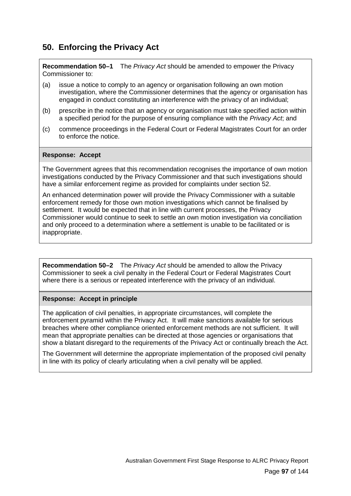# **50. Enforcing the Privacy Act**

**Recommendation 50–1** The *Privacy Act* should be amended to empower the Privacy Commissioner to:

- (a) issue a notice to comply to an agency or organisation following an own motion investigation, where the Commissioner determines that the agency or organisation has engaged in conduct constituting an interference with the privacy of an individual;
- (b) prescribe in the notice that an agency or organisation must take specified action within a specified period for the purpose of ensuring compliance with the *Privacy Act*; and
- (c) commence proceedings in the Federal Court or Federal Magistrates Court for an order to enforce the notice.

#### **Response: Accept**

The Government agrees that this recommendation recognises the importance of own motion investigations conducted by the Privacy Commissioner and that such investigations should have a similar enforcement regime as provided for complaints under section 52.

An enhanced determination power will provide the Privacy Commissioner with a suitable enforcement remedy for those own motion investigations which cannot be finalised by settlement. It would be expected that in line with current processes, the Privacy Commissioner would continue to seek to settle an own motion investigation via conciliation and only proceed to a determination where a settlement is unable to be facilitated or is inappropriate.

**Recommendation 50–2** The *Privacy Act* should be amended to allow the Privacy Commissioner to seek a civil penalty in the Federal Court or Federal Magistrates Court where there is a serious or repeated interference with the privacy of an individual.

#### **Response: Accept in principle**

The application of civil penalties, in appropriate circumstances, will complete the enforcement pyramid within the Privacy Act. It will make sanctions available for serious breaches where other compliance oriented enforcement methods are not sufficient. It will mean that appropriate penalties can be directed at those agencies or organisations that show a blatant disregard to the requirements of the Privacy Act or continually breach the Act.

The Government will determine the appropriate implementation of the proposed civil penalty in line with its policy of clearly articulating when a civil penalty will be applied.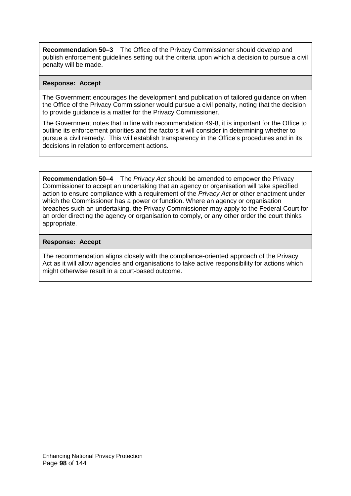**Recommendation 50–3** The Office of the Privacy Commissioner should develop and publish enforcement guidelines setting out the criteria upon which a decision to pursue a civil penalty will be made.

#### **Response: Accept**

The Government encourages the development and publication of tailored guidance on when the Office of the Privacy Commissioner would pursue a civil penalty, noting that the decision to provide guidance is a matter for the Privacy Commissioner.

The Government notes that in line with recommendation 49-8, it is important for the Office to outline its enforcement priorities and the factors it will consider in determining whether to pursue a civil remedy. This will establish transparency in the Office's procedures and in its decisions in relation to enforcement actions.

**Recommendation 50–4** The *Privacy Act* should be amended to empower the Privacy Commissioner to accept an undertaking that an agency or organisation will take specified action to ensure compliance with a requirement of the *Privacy Act* or other enactment under which the Commissioner has a power or function. Where an agency or organisation breaches such an undertaking, the Privacy Commissioner may apply to the Federal Court for an order directing the agency or organisation to comply, or any other order the court thinks appropriate.

#### **Response: Accept**

The recommendation aligns closely with the compliance-oriented approach of the Privacy Act as it will allow agencies and organisations to take active responsibility for actions which might otherwise result in a court-based outcome.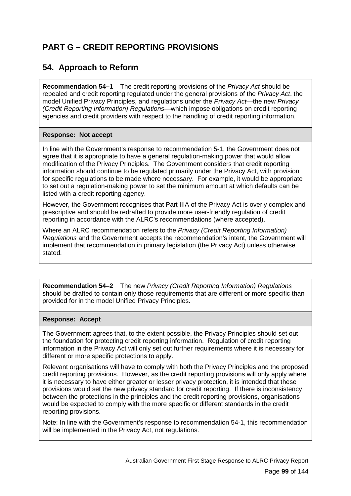# **PART G – CREDIT REPORTING PROVISIONS**

# **54. Approach to Reform**

**Recommendation 54–1** The credit reporting provisions of the *Privacy Act* should be repealed and credit reporting regulated under the general provisions of the *Privacy Act*, the model Unified Privacy Principles, and regulations under the *Privacy Act*—the new *Privacy (Credit Reporting Information) Regulations*—which impose obligations on credit reporting agencies and credit providers with respect to the handling of credit reporting information.

### **Response: Not accept**

In line with the Government's response to recommendation 5-1, the Government does not agree that it is appropriate to have a general regulation-making power that would allow modification of the Privacy Principles. The Government considers that credit reporting information should continue to be regulated primarily under the Privacy Act, with provision for specific regulations to be made where necessary. For example, it would be appropriate to set out a regulation-making power to set the minimum amount at which defaults can be listed with a credit reporting agency.

However, the Government recognises that Part IIIA of the Privacy Act is overly complex and prescriptive and should be redrafted to provide more user-friendly regulation of credit reporting in accordance with the ALRC's recommendations (where accepted).

Where an ALRC recommendation refers to the *Privacy (Credit Reporting Information) Regulations* and the Government accepts the recommendation's intent, the Government will implement that recommendation in primary legislation (the Privacy Act) unless otherwise stated.

**Recommendation 54–2** The new *Privacy (Credit Reporting Information) Regulations* should be drafted to contain only those requirements that are different or more specific than provided for in the model Unified Privacy Principles.

#### **Response: Accept**

The Government agrees that, to the extent possible, the Privacy Principles should set out the foundation for protecting credit reporting information. Regulation of credit reporting information in the Privacy Act will only set out further requirements where it is necessary for different or more specific protections to apply.

Relevant organisations will have to comply with both the Privacy Principles and the proposed credit reporting provisions. However, as the credit reporting provisions will only apply where it is necessary to have either greater or lesser privacy protection, it is intended that these provisions would set the new privacy standard for credit reporting. If there is inconsistency between the protections in the principles and the credit reporting provisions, organisations would be expected to comply with the more specific or different standards in the credit reporting provisions.

Note: In line with the Government's response to recommendation 54-1, this recommendation will be implemented in the Privacy Act, not regulations.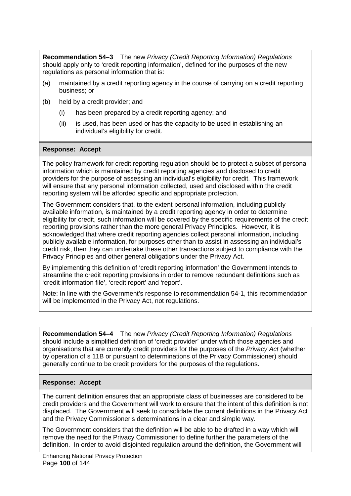**Recommendation 54–3** The new *Privacy (Credit Reporting Information) Regulations* should apply only to 'credit reporting information', defined for the purposes of the new regulations as personal information that is:

- (a) maintained by a credit reporting agency in the course of carrying on a credit reporting business; or
- (b) held by a credit provider; and
	- (i) has been prepared by a credit reporting agency; and
	- (ii) is used, has been used or has the capacity to be used in establishing an individual's eligibility for credit.

#### **Response: Accept**

The policy framework for credit reporting regulation should be to protect a subset of personal information which is maintained by credit reporting agencies and disclosed to credit providers for the purpose of assessing an individual's eligibility for credit. This framework will ensure that any personal information collected, used and disclosed within the credit reporting system will be afforded specific and appropriate protection.

The Government considers that, to the extent personal information, including publicly available information, is maintained by a credit reporting agency in order to determine eligibility for credit, such information will be covered by the specific requirements of the credit reporting provisions rather than the more general Privacy Principles. However, it is acknowledged that where credit reporting agencies collect personal information, including publicly available information, for purposes other than to assist in assessing an individual's credit risk, then they can undertake these other transactions subject to compliance with the Privacy Principles and other general obligations under the Privacy Act.

By implementing this definition of 'credit reporting information' the Government intends to streamline the credit reporting provisions in order to remove redundant definitions such as 'credit information file', 'credit report' and 'report'.

Note: In line with the Government's response to recommendation 54-1, this recommendation will be implemented in the Privacy Act, not regulations.

**Recommendation 54–4** The new *Privacy (Credit Reporting Information) Regulations* should include a simplified definition of 'credit provider' under which those agencies and organisations that are currently credit providers for the purposes of the *Privacy Act* (whether by operation of s 11B or pursuant to determinations of the Privacy Commissioner) should generally continue to be credit providers for the purposes of the regulations.

#### **Response: Accept**

The current definition ensures that an appropriate class of businesses are considered to be credit providers and the Government will work to ensure that the intent of this definition is not displaced. The Government will seek to consolidate the current definitions in the Privacy Act and the Privacy Commissioner's determinations in a clear and simple way.

The Government considers that the definition will be able to be drafted in a way which will remove the need for the Privacy Commissioner to define further the parameters of the definition. In order to avoid disjointed regulation around the definition, the Government will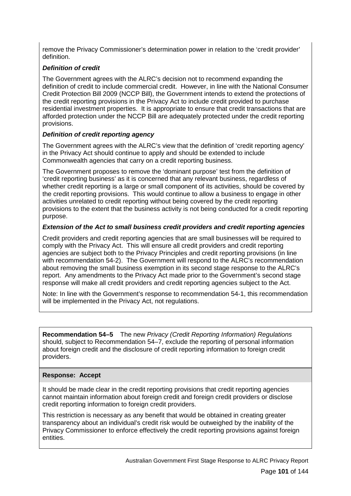remove the Privacy Commissioner's determination power in relation to the 'credit provider' definition.

## *Definition of credit*

The Government agrees with the ALRC's decision not to recommend expanding the definition of credit to include commercial credit. However, in line with the National Consumer Credit Protection Bill 2009 (NCCP Bill), the Government intends to extend the protections of the credit reporting provisions in the Privacy Act to include credit provided to purchase residential investment properties. It is appropriate to ensure that credit transactions that are afforded protection under the NCCP Bill are adequately protected under the credit reporting provisions.

## *Definition of credit reporting agency*

The Government agrees with the ALRC's view that the definition of 'credit reporting agency' in the Privacy Act should continue to apply and should be extended to include Commonwealth agencies that carry on a credit reporting business.

The Government proposes to remove the 'dominant purpose' test from the definition of 'credit reporting business' as it is concerned that any relevant business, regardless of whether credit reporting is a large or small component of its activities, should be covered by the credit reporting provisions. This would continue to allow a business to engage in other activities unrelated to credit reporting without being covered by the credit reporting provisions to the extent that the business activity is not being conducted for a credit reporting purpose.

## *Extension of the Act to small business credit providers and credit reporting agencies*

Credit providers and credit reporting agencies that are small businesses will be required to comply with the Privacy Act. This will ensure all credit providers and credit reporting agencies are subject both to the Privacy Principles and credit reporting provisions (in line with recommendation 54-2). The Government will respond to the ALRC's recommendation about removing the small business exemption in its second stage response to the ALRC's report. Any amendments to the Privacy Act made prior to the Government's second stage response will make all credit providers and credit reporting agencies subject to the Act.

Note: In line with the Government's response to recommendation 54-1, this recommendation will be implemented in the Privacy Act, not regulations.

**Recommendation 54–5** The new *Privacy (Credit Reporting Information) Regulations* should, subject to Recommendation 54–7, exclude the reporting of personal information about foreign credit and the disclosure of credit reporting information to foreign credit providers.

#### **Response: Accept**

It should be made clear in the credit reporting provisions that credit reporting agencies cannot maintain information about foreign credit and foreign credit providers or disclose credit reporting information to foreign credit providers.

This restriction is necessary as any benefit that would be obtained in creating greater transparency about an individual's credit risk would be outweighed by the inability of the Privacy Commissioner to enforce effectively the credit reporting provisions against foreign entities.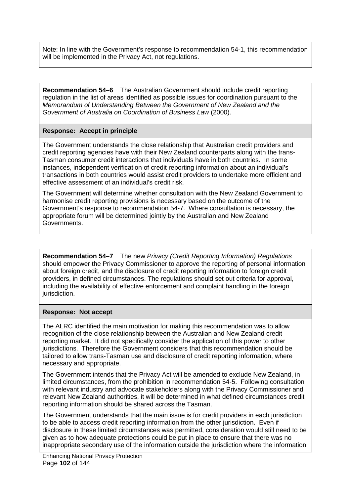Note: In line with the Government's response to recommendation 54-1, this recommendation will be implemented in the Privacy Act, not regulations.

**Recommendation 54–6** The Australian Government should include credit reporting regulation in the list of areas identified as possible issues for coordination pursuant to the *Memorandum of Understanding Between the Government of New Zealand and the Government of Australia on Coordination of Business Law* (2000).

## **Response: Accept in principle**

The Government understands the close relationship that Australian credit providers and credit reporting agencies have with their New Zealand counterparts along with the trans-Tasman consumer credit interactions that individuals have in both countries. In some instances, independent verification of credit reporting information about an individual's transactions in both countries would assist credit providers to undertake more efficient and effective assessment of an individual's credit risk.

The Government will determine whether consultation with the New Zealand Government to harmonise credit reporting provisions is necessary based on the outcome of the Government's response to recommendation 54-7. Where consultation is necessary, the appropriate forum will be determined jointly by the Australian and New Zealand Governments.

**Recommendation 54–7** The new *Privacy (Credit Reporting Information) Regulations* should empower the Privacy Commissioner to approve the reporting of personal information about foreign credit, and the disclosure of credit reporting information to foreign credit providers, in defined circumstances. The regulations should set out criteria for approval, including the availability of effective enforcement and complaint handling in the foreign jurisdiction.

## **Response: Not accept**

The ALRC identified the main motivation for making this recommendation was to allow recognition of the close relationship between the Australian and New Zealand credit reporting market. It did not specifically consider the application of this power to other jurisdictions. Therefore the Government considers that this recommendation should be tailored to allow trans-Tasman use and disclosure of credit reporting information, where necessary and appropriate.

The Government intends that the Privacy Act will be amended to exclude New Zealand, in limited circumstances, from the prohibition in recommendation 54-5. Following consultation with relevant industry and advocate stakeholders along with the Privacy Commissioner and relevant New Zealand authorities, it will be determined in what defined circumstances credit reporting information should be shared across the Tasman.

The Government understands that the main issue is for credit providers in each jurisdiction to be able to access credit reporting information from the other jurisdiction. Even if disclosure in these limited circumstances was permitted, consideration would still need to be given as to how adequate protections could be put in place to ensure that there was no inappropriate secondary use of the information outside the jurisdiction where the information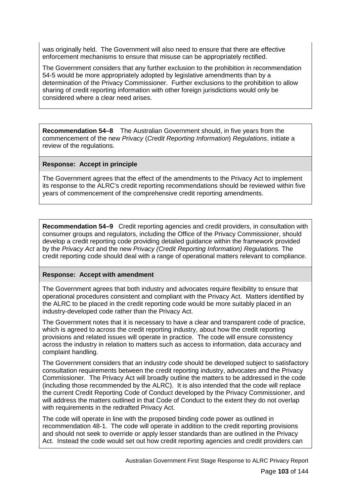was originally held. The Government will also need to ensure that there are effective enforcement mechanisms to ensure that misuse can be appropriately rectified.

The Government considers that any further exclusion to the prohibition in recommendation 54-5 would be more appropriately adopted by legislative amendments than by a determination of the Privacy Commissioner. Further exclusions to the prohibition to allow sharing of credit reporting information with other foreign jurisdictions would only be considered where a clear need arises.

**Recommendation 54–8** The Australian Government should, in five years from the commencement of the new *Privacy* (*Credit Reporting Information*) *Regulations*, initiate a review of the regulations.

#### **Response: Accept in principle**

The Government agrees that the effect of the amendments to the Privacy Act to implement its response to the ALRC's credit reporting recommendations should be reviewed within five years of commencement of the comprehensive credit reporting amendments.

**Recommendation 54–9** Credit reporting agencies and credit providers, in consultation with consumer groups and regulators, including the Office of the Privacy Commissioner, should develop a credit reporting code providing detailed guidance within the framework provided by the *Privacy Act* and the new *Privacy (Credit Reporting Information) Regulations.* The credit reporting code should deal with a range of operational matters relevant to compliance.

#### **Response: Accept with amendment**

The Government agrees that both industry and advocates require flexibility to ensure that operational procedures consistent and compliant with the Privacy Act. Matters identified by the ALRC to be placed in the credit reporting code would be more suitably placed in an industry-developed code rather than the Privacy Act.

The Government notes that it is necessary to have a clear and transparent code of practice, which is agreed to across the credit reporting industry, about how the credit reporting provisions and related issues will operate in practice. The code will ensure consistency across the industry in relation to matters such as access to information, data accuracy and complaint handling.

The Government considers that an industry code should be developed subject to satisfactory consultation requirements between the credit reporting industry, advocates and the Privacy Commissioner. The Privacy Act will broadly outline the matters to be addressed in the code (including those recommended by the ALRC). It is also intended that the code will replace the current Credit Reporting Code of Conduct developed by the Privacy Commissioner, and will address the matters outlined in that Code of Conduct to the extent they do not overlap with requirements in the redrafted Privacy Act.

The code will operate in line with the proposed binding code power as outlined in recommendation 48-1. The code will operate in addition to the credit reporting provisions and should not seek to override or apply lesser standards than are outlined in the Privacy Act. Instead the code would set out how credit reporting agencies and credit providers can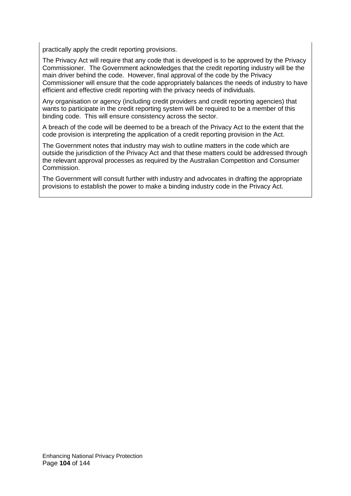practically apply the credit reporting provisions.

The Privacy Act will require that any code that is developed is to be approved by the Privacy Commissioner. The Government acknowledges that the credit reporting industry will be the main driver behind the code. However, final approval of the code by the Privacy Commissioner will ensure that the code appropriately balances the needs of industry to have efficient and effective credit reporting with the privacy needs of individuals.

Any organisation or agency (including credit providers and credit reporting agencies) that wants to participate in the credit reporting system will be required to be a member of this binding code. This will ensure consistency across the sector.

A breach of the code will be deemed to be a breach of the Privacy Act to the extent that the code provision is interpreting the application of a credit reporting provision in the Act.

The Government notes that industry may wish to outline matters in the code which are outside the jurisdiction of the Privacy Act and that these matters could be addressed through the relevant approval processes as required by the Australian Competition and Consumer Commission.

The Government will consult further with industry and advocates in drafting the appropriate provisions to establish the power to make a binding industry code in the Privacy Act.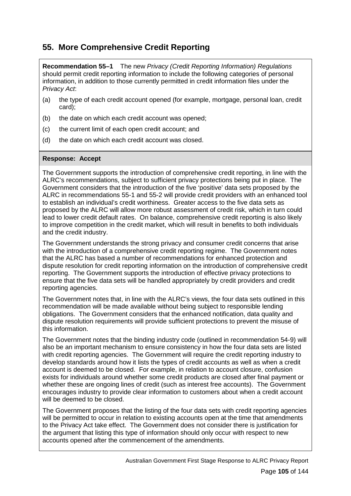# **55. More Comprehensive Credit Reporting**

**Recommendation 55–1** The new *Privacy (Credit Reporting Information) Regulations* should permit credit reporting information to include the following categories of personal information, in addition to those currently permitted in credit information files under the *Privacy Act*:

- (a) the type of each credit account opened (for example, mortgage, personal loan, credit card);
- (b) the date on which each credit account was opened;
- (c) the current limit of each open credit account; and
- (d) the date on which each credit account was closed.

### **Response: Accept**

The Government supports the introduction of comprehensive credit reporting, in line with the ALRC's recommendations, subject to sufficient privacy protections being put in place. The Government considers that the introduction of the five 'positive' data sets proposed by the ALRC in recommendations 55-1 and 55-2 will provide credit providers with an enhanced tool to establish an individual's credit worthiness. Greater access to the five data sets as proposed by the ALRC will allow more robust assessment of credit risk, which in turn could lead to lower credit default rates. On balance, comprehensive credit reporting is also likely to improve competition in the credit market, which will result in benefits to both individuals and the credit industry.

The Government understands the strong privacy and consumer credit concerns that arise with the introduction of a comprehensive credit reporting regime. The Government notes that the ALRC has based a number of recommendations for enhanced protection and dispute resolution for credit reporting information on the introduction of comprehensive credit reporting. The Government supports the introduction of effective privacy protections to ensure that the five data sets will be handled appropriately by credit providers and credit reporting agencies.

The Government notes that, in line with the ALRC's views, the four data sets outlined in this recommendation will be made available without being subject to responsible lending obligations. The Government considers that the enhanced notification, data quality and dispute resolution requirements will provide sufficient protections to prevent the misuse of this information.

The Government notes that the binding industry code (outlined in recommendation 54-9) will also be an important mechanism to ensure consistency in how the four data sets are listed with credit reporting agencies. The Government will require the credit reporting industry to develop standards around how it lists the types of credit accounts as well as when a credit account is deemed to be closed. For example, in relation to account closure, confusion exists for individuals around whether some credit products are closed after final payment or whether these are ongoing lines of credit (such as interest free accounts). The Government encourages industry to provide clear information to customers about when a credit account will be deemed to be closed.

The Government proposes that the listing of the four data sets with credit reporting agencies will be permitted to occur in relation to existing accounts open at the time that amendments to the Privacy Act take effect. The Government does not consider there is justification for the argument that listing this type of information should only occur with respect to new accounts opened after the commencement of the amendments.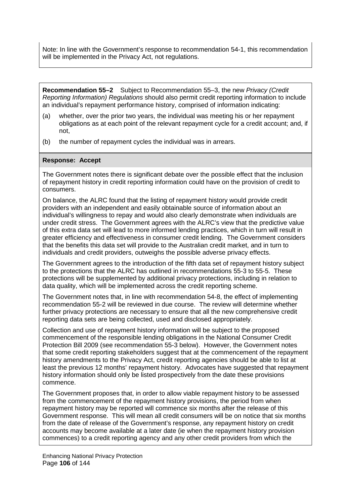Note: In line with the Government's response to recommendation 54-1, this recommendation will be implemented in the Privacy Act, not regulations.

**Recommendation 55–2** Subject to Recommendation 55–3, the new *Privacy (Credit Reporting Information) Regulations* should also permit credit reporting information to include an individual's repayment performance history, comprised of information indicating:

- (a) whether, over the prior two years, the individual was meeting his or her repayment obligations as at each point of the relevant repayment cycle for a credit account; and, if not,
- (b) the number of repayment cycles the individual was in arrears.

### **Response: Accept**

The Government notes there is significant debate over the possible effect that the inclusion of repayment history in credit reporting information could have on the provision of credit to consumers.

On balance, the ALRC found that the listing of repayment history would provide credit providers with an independent and easily obtainable source of information about an individual's willingness to repay and would also clearly demonstrate when individuals are under credit stress. The Government agrees with the ALRC's view that the predictive value of this extra data set will lead to more informed lending practices, which in turn will result in greater efficiency and effectiveness in consumer credit lending. The Government considers that the benefits this data set will provide to the Australian credit market, and in turn to individuals and credit providers, outweighs the possible adverse privacy effects.

The Government agrees to the introduction of the fifth data set of repayment history subject to the protections that the ALRC has outlined in recommendations 55-3 to 55-5. These protections will be supplemented by additional privacy protections, including in relation to data quality, which will be implemented across the credit reporting scheme.

The Government notes that, in line with recommendation 54-8, the effect of implementing recommendation 55-2 will be reviewed in due course. The review will determine whether further privacy protections are necessary to ensure that all the new comprehensive credit reporting data sets are being collected, used and disclosed appropriately.

Collection and use of repayment history information will be subject to the proposed commencement of the responsible lending obligations in the National Consumer Credit Protection Bill 2009 (see recommendation 55-3 below). However, the Government notes that some credit reporting stakeholders suggest that at the commencement of the repayment history amendments to the Privacy Act, credit reporting agencies should be able to list at least the previous 12 months' repayment history. Advocates have suggested that repayment history information should only be listed prospectively from the date these provisions commence.

The Government proposes that, in order to allow viable repayment history to be assessed from the commencement of the repayment history provisions, the period from when repayment history may be reported will commence six months after the release of this Government response. This will mean all credit consumers will be on notice that six months from the date of release of the Government's response, any repayment history on credit accounts may become available at a later date (ie when the repayment history provision commences) to a credit reporting agency and any other credit providers from which the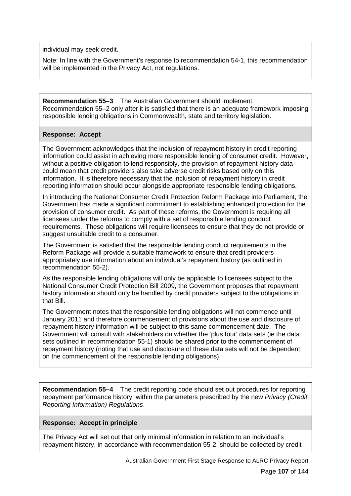individual may seek credit.

Note: In line with the Government's response to recommendation 54-1, this recommendation will be implemented in the Privacy Act, not regulations.

**Recommendation 55–3** The Australian Government should implement Recommendation 55–2 only after it is satisfied that there is an adequate framework imposing responsible lending obligations in Commonwealth, state and territory legislation.

### **Response: Accept**

The Government acknowledges that the inclusion of repayment history in credit reporting information could assist in achieving more responsible lending of consumer credit. However, without a positive obligation to lend responsibly, the provision of repayment history data could mean that credit providers also take adverse credit risks based only on this information. It is therefore necessary that the inclusion of repayment history in credit reporting information should occur alongside appropriate responsible lending obligations.

In introducing the National Consumer Credit Protection Reform Package into Parliament, the Government has made a significant commitment to establishing enhanced protection for the provision of consumer credit. As part of these reforms, the Government is requiring all licensees under the reforms to comply with a set of responsible lending conduct requirements. These obligations will require licensees to ensure that they do not provide or suggest unsuitable credit to a consumer.

The Government is satisfied that the responsible lending conduct requirements in the Reform Package will provide a suitable framework to ensure that credit providers appropriately use information about an individual's repayment history (as outlined in recommendation 55-2).

As the responsible lending obligations will only be applicable to licensees subject to the National Consumer Credit Protection Bill 2009, the Government proposes that repayment history information should only be handled by credit providers subject to the obligations in that Bill.

The Government notes that the responsible lending obligations will not commence until January 2011 and therefore commencement of provisions about the use and disclosure of repayment history information will be subject to this same commencement date. The Government will consult with stakeholders on whether the 'plus four' data sets (ie the data sets outlined in recommendation 55-1) should be shared prior to the commencement of repayment history (noting that use and disclosure of these data sets will not be dependent on the commencement of the responsible lending obligations).

**Recommendation 55–4** The credit reporting code should set out procedures for reporting repayment performance history, within the parameters prescribed by the new *Privacy (Credit Reporting Information) Regulations*.

## **Response: Accept in principle**

The Privacy Act will set out that only minimal information in relation to an individual's repayment history, in accordance with recommendation 55-2, should be collected by credit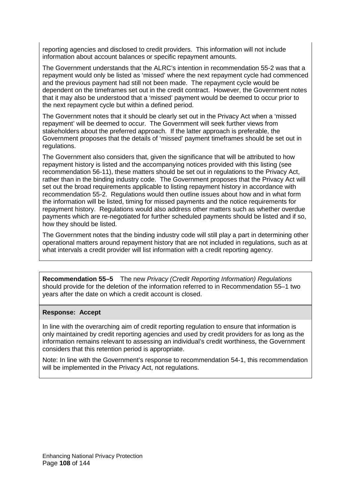reporting agencies and disclosed to credit providers. This information will not include information about account balances or specific repayment amounts.

The Government understands that the ALRC's intention in recommendation 55-2 was that a repayment would only be listed as 'missed' where the next repayment cycle had commenced and the previous payment had still not been made. The repayment cycle would be dependent on the timeframes set out in the credit contract. However, the Government notes that it may also be understood that a 'missed' payment would be deemed to occur prior to the next repayment cycle but within a defined period.

The Government notes that it should be clearly set out in the Privacy Act when a 'missed repayment' will be deemed to occur. The Government will seek further views from stakeholders about the preferred approach. If the latter approach is preferable, the Government proposes that the details of 'missed' payment timeframes should be set out in regulations.

The Government also considers that, given the significance that will be attributed to how repayment history is listed and the accompanying notices provided with this listing (see recommendation 56-11), these matters should be set out in regulations to the Privacy Act, rather than in the binding industry code. The Government proposes that the Privacy Act will set out the broad requirements applicable to listing repayment history in accordance with recommendation 55-2. Regulations would then outline issues about how and in what form the information will be listed, timing for missed payments and the notice requirements for repayment history. Regulations would also address other matters such as whether overdue payments which are re-negotiated for further scheduled payments should be listed and if so, how they should be listed.

The Government notes that the binding industry code will still play a part in determining other operational matters around repayment history that are not included in regulations, such as at what intervals a credit provider will list information with a credit reporting agency.

**Recommendation 55–5** The new *Privacy (Credit Reporting Information) Regulations* should provide for the deletion of the information referred to in Recommendation 55–1 two years after the date on which a credit account is closed.

#### **Response: Accept**

In line with the overarching aim of credit reporting regulation to ensure that information is only maintained by credit reporting agencies and used by credit providers for as long as the information remains relevant to assessing an individual's credit worthiness, the Government considers that this retention period is appropriate.

Note: In line with the Government's response to recommendation 54-1, this recommendation will be implemented in the Privacy Act, not regulations.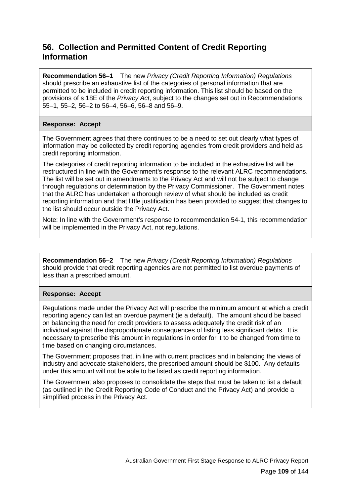## **56. Collection and Permitted Content of Credit Reporting Information**

**Recommendation 56–1** The new *Privacy (Credit Reporting Information) Regulations*  should prescribe an exhaustive list of the categories of personal information that are permitted to be included in credit reporting information. This list should be based on the provisions of s 18E of the *Privacy Act*, subject to the changes set out in Recommendations 55–1, 55–2, 56–2 to 56–4, 56–6, 56–8 and 56–9.

#### **Response: Accept**

The Government agrees that there continues to be a need to set out clearly what types of information may be collected by credit reporting agencies from credit providers and held as credit reporting information.

The categories of credit reporting information to be included in the exhaustive list will be restructured in line with the Government's response to the relevant ALRC recommendations. The list will be set out in amendments to the Privacy Act and will not be subject to change through regulations or determination by the Privacy Commissioner. The Government notes that the ALRC has undertaken a thorough review of what should be included as credit reporting information and that little justification has been provided to suggest that changes to the list should occur outside the Privacy Act.

Note: In line with the Government's response to recommendation 54-1, this recommendation will be implemented in the Privacy Act, not regulations.

**Recommendation 56–2** The new *Privacy (Credit Reporting Information) Regulations* should provide that credit reporting agencies are not permitted to list overdue payments of less than a prescribed amount.

#### **Response: Accept**

Regulations made under the Privacy Act will prescribe the minimum amount at which a credit reporting agency can list an overdue payment (ie a default). The amount should be based on balancing the need for credit providers to assess adequately the credit risk of an individual against the disproportionate consequences of listing less significant debts. It is necessary to prescribe this amount in regulations in order for it to be changed from time to time based on changing circumstances.

The Government proposes that, in line with current practices and in balancing the views of industry and advocate stakeholders, the prescribed amount should be \$100. Any defaults under this amount will not be able to be listed as credit reporting information.

The Government also proposes to consolidate the steps that must be taken to list a default (as outlined in the Credit Reporting Code of Conduct and the Privacy Act) and provide a simplified process in the Privacy Act.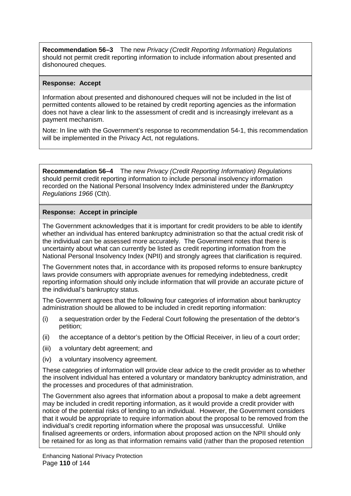**Recommendation 56–3** The new *Privacy (Credit Reporting Information) Regulations* should not permit credit reporting information to include information about presented and dishonoured cheques.

#### **Response: Accept**

Information about presented and dishonoured cheques will not be included in the list of permitted contents allowed to be retained by credit reporting agencies as the information does not have a clear link to the assessment of credit and is increasingly irrelevant as a payment mechanism.

Note: In line with the Government's response to recommendation 54-1, this recommendation will be implemented in the Privacy Act, not regulations.

**Recommendation 56–4** The new *Privacy (Credit Reporting Information) Regulations* should permit credit reporting information to include personal insolvency information recorded on the National Personal Insolvency Index administered under the *Bankruptcy Regulations 1966* (Cth).

#### **Response: Accept in principle**

The Government acknowledges that it is important for credit providers to be able to identify whether an individual has entered bankruptcy administration so that the actual credit risk of the individual can be assessed more accurately. The Government notes that there is uncertainty about what can currently be listed as credit reporting information from the National Personal Insolvency Index (NPII) and strongly agrees that clarification is required.

The Government notes that, in accordance with its proposed reforms to ensure bankruptcy laws provide consumers with appropriate avenues for remedying indebtedness, credit reporting information should only include information that will provide an accurate picture of the individual's bankruptcy status.

The Government agrees that the following four categories of information about bankruptcy administration should be allowed to be included in credit reporting information:

- (i) a sequestration order by the Federal Court following the presentation of the debtor's petition;
- (ii) the acceptance of a debtor's petition by the Official Receiver, in lieu of a court order;
- (iii) a voluntary debt agreement; and
- (iv) a voluntary insolvency agreement.

These categories of information will provide clear advice to the credit provider as to whether the insolvent individual has entered a voluntary or mandatory bankruptcy administration, and the processes and procedures of that administration.

The Government also agrees that information about a proposal to make a debt agreement may be included in credit reporting information, as it would provide a credit provider with notice of the potential risks of lending to an individual. However, the Government considers that it would be appropriate to require information about the proposal to be removed from the individual's credit reporting information where the proposal was unsuccessful. Unlike finalised agreements or orders, information about proposed action on the NPII should only be retained for as long as that information remains valid (rather than the proposed retention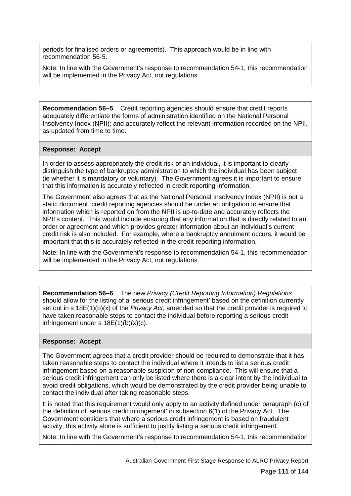periods for finalised orders or agreements). This approach would be in line with recommendation 56-5.

Note: In line with the Government's response to recommendation 54-1, this recommendation will be implemented in the Privacy Act, not regulations.

**Recommendation 56–5** Credit reporting agencies should ensure that credit reports adequately differentiate the forms of administration identified on the National Personal Insolvency Index (NPII); and accurately reflect the relevant information recorded on the NPII, as updated from time to time.

#### **Response: Accept**

In order to assess appropriately the credit risk of an individual, it is important to clearly distinguish the type of bankruptcy administration to which the individual has been subject (ie whether it is mandatory or voluntary).The Government agrees it is important to ensure that this information is accurately reflected in credit reporting information.

The Government also agrees that as the National Personal Insolvency Index (NPII) is not a static document, credit reporting agencies should be under an obligation to ensure that information which is reported on from the NPII is up-to-date and accurately reflects the NPII's content. This would include ensuring that any information that is directly related to an order or agreement and which provides greater information about an individual's current credit risk is also included. For example, where a bankruptcy annulment occurs, it would be important that this is accurately reflected in the credit reporting information.

Note: In line with the Government's response to recommendation 54-1, this recommendation will be implemented in the Privacy Act, not regulations.

**Recommendation 56–6** The new *Privacy (Credit Reporting Information) Regulations* should allow for the listing of a 'serious credit infringement' based on the definition currently set out in s 18E(1)(b)(x) of the *Privacy Act*, amended so that the credit provider is required to have taken reasonable steps to contact the individual before reporting a serious credit infringement under s  $18E(1)(b)(x)(c)$ .

#### **Response: Accept**

The Government agrees that a credit provider should be required to demonstrate that it has taken reasonable steps to contact the individual where it intends to list a serious credit infringement based on a reasonable suspicion of non-compliance. This will ensure that a serious credit infringement can only be listed where there is a clear intent by the individual to avoid credit obligations, which would be demonstrated by the credit provider being unable to contact the individual after taking reasonable steps.

It is noted that this requirement would only apply to an activity defined under paragraph (c) of the definition of 'serious credit infringement' in subsection 6(1) of the Privacy Act. The Government considers that where a serious credit infringement is based on fraudulent activity, this activity alone is sufficient to justify listing a serious credit infringement.

Note: In line with the Government's response to recommendation 54-1, this recommendation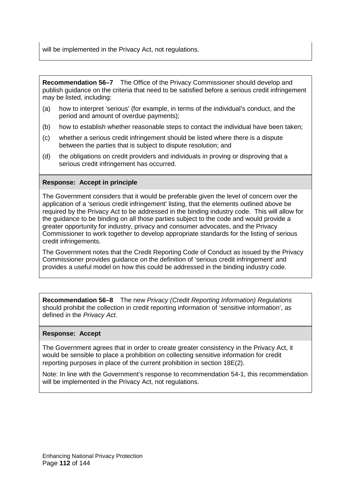will be implemented in the Privacy Act, not regulations.

**Recommendation 56–7** The Office of the Privacy Commissioner should develop and publish guidance on the criteria that need to be satisfied before a serious credit infringement may be listed, including:

- (a) how to interpret 'serious' (for example, in terms of the individual's conduct, and the period and amount of overdue payments);
- (b) how to establish whether reasonable steps to contact the individual have been taken;
- (c) whether a serious credit infringement should be listed where there is a dispute between the parties that is subject to dispute resolution; and
- (d) the obligations on credit providers and individuals in proving or disproving that a serious credit infringement has occurred.

#### **Response: Accept in principle**

The Government considers that it would be preferable given the level of concern over the application of a 'serious credit infringement' listing, that the elements outlined above be required by the Privacy Act to be addressed in the binding industry code. This will allow for the guidance to be binding on all those parties subject to the code and would provide a greater opportunity for industry, privacy and consumer advocates, and the Privacy Commissioner to work together to develop appropriate standards for the listing of serious credit infringements.

The Government notes that the Credit Reporting Code of Conduct as issued by the Privacy Commissioner provides guidance on the definition of 'serious credit infringement' and provides a useful model on how this could be addressed in the binding industry code.

**Recommendation 56–8** The new *Privacy (Credit Reporting Information) Regulations* should prohibit the collection in credit reporting information of 'sensitive information', as defined in the *Privacy Act*.

#### **Response: Accept**

The Government agrees that in order to create greater consistency in the Privacy Act, it would be sensible to place a prohibition on collecting sensitive information for credit reporting purposes in place of the current prohibition in section 18E(2).

Note: In line with the Government's response to recommendation 54-1, this recommendation will be implemented in the Privacy Act, not regulations.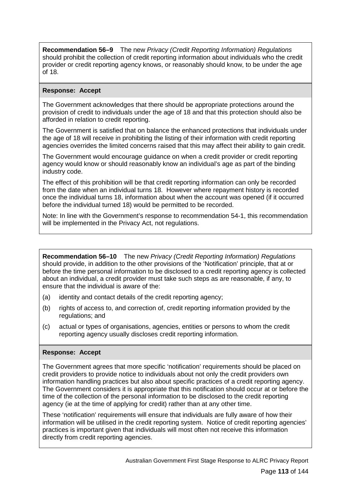**Recommendation 56–9** The new *Privacy (Credit Reporting Information) Regulations* should prohibit the collection of credit reporting information about individuals who the credit provider or credit reporting agency knows, or reasonably should know, to be under the age of 18.

#### **Response: Accept**

The Government acknowledges that there should be appropriate protections around the provision of credit to individuals under the age of 18 and that this protection should also be afforded in relation to credit reporting.

The Government is satisfied that on balance the enhanced protections that individuals under the age of 18 will receive in prohibiting the listing of their information with credit reporting agencies overrides the limited concerns raised that this may affect their ability to gain credit.

The Government would encourage guidance on when a credit provider or credit reporting agency would know or should reasonably know an individual's age as part of the binding industry code.

The effect of this prohibition will be that credit reporting information can only be recorded from the date when an individual turns 18. However where repayment history is recorded once the individual turns 18, information about when the account was opened (if it occurred before the individual turned 18) would be permitted to be recorded.

Note: In line with the Government's response to recommendation 54-1, this recommendation will be implemented in the Privacy Act, not regulations.

**Recommendation 56–10** The new *Privacy (Credit Reporting Information) Regulations* should provide, in addition to the other provisions of the 'Notification' principle, that at or before the time personal information to be disclosed to a credit reporting agency is collected about an individual, a credit provider must take such steps as are reasonable, if any, to ensure that the individual is aware of the:

- (a) identity and contact details of the credit reporting agency;
- (b) rights of access to, and correction of, credit reporting information provided by the regulations; and
- (c) actual or types of organisations, agencies, entities or persons to whom the credit reporting agency usually discloses credit reporting information.

#### **Response: Accept**

The Government agrees that more specific 'notification' requirements should be placed on credit providers to provide notice to individuals about not only the credit providers own information handling practices but also about specific practices of a credit reporting agency. The Government considers it is appropriate that this notification should occur at or before the time of the collection of the personal information to be disclosed to the credit reporting agency (ie at the time of applying for credit) rather than at any other time.

These 'notification' requirements will ensure that individuals are fully aware of how their information will be utilised in the credit reporting system. Notice of credit reporting agencies' practices is important given that individuals will most often not receive this information directly from credit reporting agencies.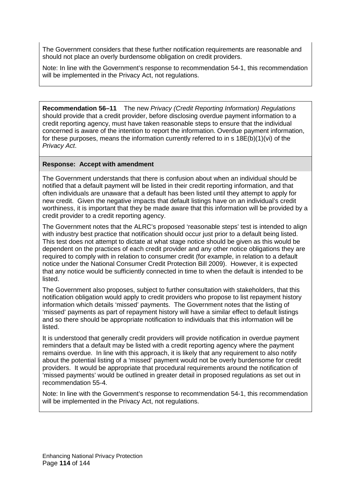The Government considers that these further notification requirements are reasonable and should not place an overly burdensome obligation on credit providers.

Note: In line with the Government's response to recommendation 54-1, this recommendation will be implemented in the Privacy Act, not regulations.

**Recommendation 56–11** The new *Privacy (Credit Reporting Information) Regulations* should provide that a credit provider, before disclosing overdue payment information to a credit reporting agency, must have taken reasonable steps to ensure that the individual concerned is aware of the intention to report the information. Overdue payment information, for these purposes, means the information currently referred to in s 18E(b)(1)(vi) of the *Privacy Act*.

#### **Response: Accept with amendment**

The Government understands that there is confusion about when an individual should be notified that a default payment will be listed in their credit reporting information, and that often individuals are unaware that a default has been listed until they attempt to apply for new credit. Given the negative impacts that default listings have on an individual's credit worthiness, it is important that they be made aware that this information will be provided by a credit provider to a credit reporting agency.

The Government notes that the ALRC's proposed 'reasonable steps' test is intended to align with industry best practice that notification should occur just prior to a default being listed. This test does not attempt to dictate at what stage notice should be given as this would be dependent on the practices of each credit provider and any other notice obligations they are required to comply with in relation to consumer credit (for example, in relation to a default notice under the National Consumer Credit Protection Bill 2009). However, it is expected that any notice would be sufficiently connected in time to when the default is intended to be listed.

The Government also proposes, subject to further consultation with stakeholders, that this notification obligation would apply to credit providers who propose to list repayment history information which details 'missed' payments. The Government notes that the listing of 'missed' payments as part of repayment history will have a similar effect to default listings and so there should be appropriate notification to individuals that this information will be listed.

It is understood that generally credit providers will provide notification in overdue payment reminders that a default may be listed with a credit reporting agency where the payment remains overdue. In line with this approach, it is likely that any requirement to also notify about the potential listing of a 'missed' payment would not be overly burdensome for credit providers. It would be appropriate that procedural requirements around the notification of 'missed payments' would be outlined in greater detail in proposed regulations as set out in recommendation 55-4.

Note: In line with the Government's response to recommendation 54-1, this recommendation will be implemented in the Privacy Act, not regulations.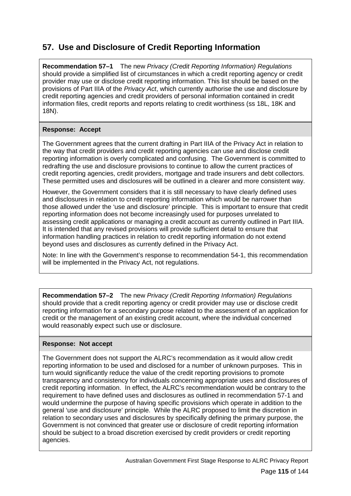# **57. Use and Disclosure of Credit Reporting Information**

**Recommendation 57–1** The new *Privacy (Credit Reporting Information) Regulations* should provide a simplified list of circumstances in which a credit reporting agency or credit provider may use or disclose credit reporting information. This list should be based on the provisions of Part IIIA of the *Privacy Act*, which currently authorise the use and disclosure by credit reporting agencies and credit providers of personal information contained in credit information files, credit reports and reports relating to credit worthiness (ss 18L, 18K and 18N).

## **Response: Accept**

The Government agrees that the current drafting in Part IIIA of the Privacy Act in relation to the way that credit providers and credit reporting agencies can use and disclose credit reporting information is overly complicated and confusing. The Government is committed to redrafting the use and disclosure provisions to continue to allow the current practices of credit reporting agencies, credit providers, mortgage and trade insurers and debt collectors. These permitted uses and disclosures will be outlined in a clearer and more consistent way.

However, the Government considers that it is still necessary to have clearly defined uses and disclosures in relation to credit reporting information which would be narrower than those allowed under the 'use and disclosure' principle. This is important to ensure that credit reporting information does not become increasingly used for purposes unrelated to assessing credit applications or managing a credit account as currently outlined in Part IIIA. It is intended that any revised provisions will provide sufficient detail to ensure that information handling practices in relation to credit reporting information do not extend beyond uses and disclosures as currently defined in the Privacy Act.

Note: In line with the Government's response to recommendation 54-1, this recommendation will be implemented in the Privacy Act, not regulations.

**Recommendation 57–2** The new *Privacy (Credit Reporting Information) Regulations* should provide that a credit reporting agency or credit provider may use or disclose credit reporting information for a secondary purpose related to the assessment of an application for credit or the management of an existing credit account, where the individual concerned would reasonably expect such use or disclosure.

## **Response: Not accept**

The Government does not support the ALRC's recommendation as it would allow credit reporting information to be used and disclosed for a number of unknown purposes. This in turn would significantly reduce the value of the credit reporting provisions to promote transparency and consistency for individuals concerning appropriate uses and disclosures of credit reporting information. In effect, the ALRC's recommendation would be contrary to the requirement to have defined uses and disclosures as outlined in recommendation 57-1 and would undermine the purpose of having specific provisions which operate in addition to the general 'use and disclosure' principle. While the ALRC proposed to limit the discretion in relation to secondary uses and disclosures by specifically defining the primary purpose, the Government is not convinced that greater use or disclosure of credit reporting information should be subject to a broad discretion exercised by credit providers or credit reporting agencies.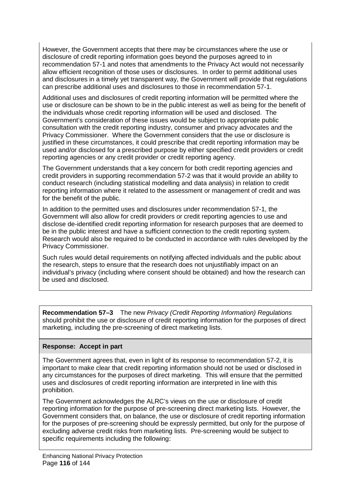However, the Government accepts that there may be circumstances where the use or disclosure of credit reporting information goes beyond the purposes agreed to in recommendation 57-1 and notes that amendments to the Privacy Act would not necessarily allow efficient recognition of those uses or disclosures. In order to permit additional uses and disclosures in a timely yet transparent way, the Government will provide that regulations can prescribe additional uses and disclosures to those in recommendation 57-1.

Additional uses and disclosures of credit reporting information will be permitted where the use or disclosure can be shown to be in the public interest as well as being for the benefit of the individuals whose credit reporting information will be used and disclosed. The Government's consideration of these issues would be subject to appropriate public consultation with the credit reporting industry, consumer and privacy advocates and the Privacy Commissioner. Where the Government considers that the use or disclosure is justified in these circumstances, it could prescribe that credit reporting information may be used and/or disclosed for a prescribed purpose by either specified credit providers or credit reporting agencies or any credit provider or credit reporting agency.

The Government understands that a key concern for both credit reporting agencies and credit providers in supporting recommendation 57-2 was that it would provide an ability to conduct research (including statistical modelling and data analysis) in relation to credit reporting information where it related to the assessment or management of credit and was for the benefit of the public.

In addition to the permitted uses and disclosures under recommendation 57-1, the Government will also allow for credit providers or credit reporting agencies to use and disclose de-identified credit reporting information for research purposes that are deemed to be in the public interest and have a sufficient connection to the credit reporting system. Research would also be required to be conducted in accordance with rules developed by the Privacy Commissioner.

Such rules would detail requirements on notifying affected individuals and the public about the research, steps to ensure that the research does not unjustifiably impact on an individual's privacy (including where consent should be obtained) and how the research can be used and disclosed.

**Recommendation 57–3** The new *Privacy (Credit Reporting Information) Regulations* should prohibit the use or disclosure of credit reporting information for the purposes of direct marketing, including the pre-screening of direct marketing lists.

## **Response: Accept in part**

The Government agrees that, even in light of its response to recommendation 57-2, it is important to make clear that credit reporting information should not be used or disclosed in any circumstances for the purposes of direct marketing. This will ensure that the permitted uses and disclosures of credit reporting information are interpreted in line with this prohibition.

The Government acknowledges the ALRC's views on the use or disclosure of credit reporting information for the purpose of pre-screening direct marketing lists. However, the Government considers that, on balance, the use or disclosure of credit reporting information for the purposes of pre-screening should be expressly permitted, but only for the purpose of excluding adverse credit risks from marketing lists. Pre-screening would be subject to specific requirements including the following: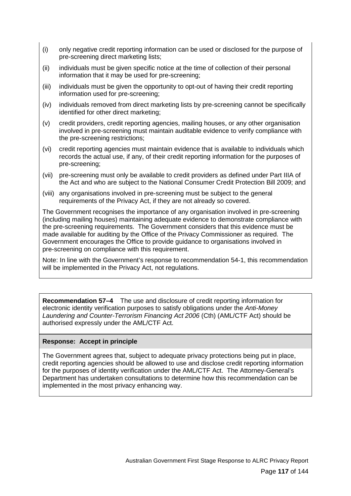- (i) only negative credit reporting information can be used or disclosed for the purpose of pre-screening direct marketing lists;
- (ii) individuals must be given specific notice at the time of collection of their personal information that it may be used for pre-screening;
- (iii) individuals must be given the opportunity to opt-out of having their credit reporting information used for pre-screening;
- (iv) individuals removed from direct marketing lists by pre-screening cannot be specifically identified for other direct marketing;
- (v) credit providers, credit reporting agencies, mailing houses, or any other organisation involved in pre-screening must maintain auditable evidence to verify compliance with the pre-screening restrictions;
- (vi) credit reporting agencies must maintain evidence that is available to individuals which records the actual use, if any, of their credit reporting information for the purposes of pre-screening;
- (vii) pre-screening must only be available to credit providers as defined under Part IIIA of the Act and who are subject to the National Consumer Credit Protection Bill 2009; and
- (viii) any organisations involved in pre-screening must be subject to the general requirements of the Privacy Act, if they are not already so covered.

The Government recognises the importance of any organisation involved in pre-screening (including mailing houses) maintaining adequate evidence to demonstrate compliance with the pre-screening requirements. The Government considers that this evidence must be made available for auditing by the Office of the Privacy Commissioner as required. The Government encourages the Office to provide guidance to organisations involved in pre-screening on compliance with this requirement.

Note: In line with the Government's response to recommendation 54-1, this recommendation will be implemented in the Privacy Act, not regulations.

**Recommendation 57–4** The use and disclosure of credit reporting information for electronic identity verification purposes to satisfy obligations under the *Anti-Money Laundering and Counter-Terrorism Financing Act 2006* (Cth) (AML/CTF Act) should be authorised expressly under the AML/CTF Act.

#### **Response: Accept in principle**

The Government agrees that, subject to adequate privacy protections being put in place, credit reporting agencies should be allowed to use and disclose credit reporting information for the purposes of identity verification under the AML/CTF Act. The Attorney-General's Department has undertaken consultations to determine how this recommendation can be implemented in the most privacy enhancing way.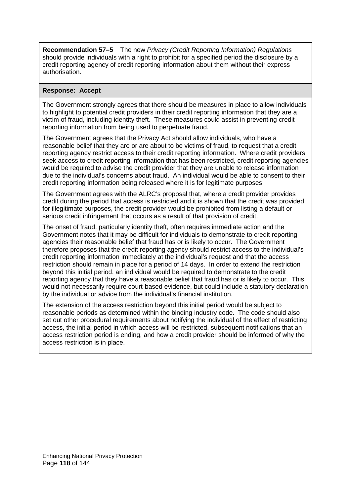**Recommendation 57–5** The new *Privacy (Credit Reporting Information) Regulations* should provide individuals with a right to prohibit for a specified period the disclosure by a credit reporting agency of credit reporting information about them without their express authorisation.

#### **Response: Accept**

The Government strongly agrees that there should be measures in place to allow individuals to highlight to potential credit providers in their credit reporting information that they are a victim of fraud, including identity theft. These measures could assist in preventing credit reporting information from being used to perpetuate fraud.

The Government agrees that the Privacy Act should allow individuals, who have a reasonable belief that they are or are about to be victims of fraud, to request that a credit reporting agency restrict access to their credit reporting information. Where credit providers seek access to credit reporting information that has been restricted, credit reporting agencies would be required to advise the credit provider that they are unable to release information due to the individual's concerns about fraud. An individual would be able to consent to their credit reporting information being released where it is for legitimate purposes.

The Government agrees with the ALRC's proposal that, where a credit provider provides credit during the period that access is restricted and it is shown that the credit was provided for illegitimate purposes, the credit provider would be prohibited from listing a default or serious credit infringement that occurs as a result of that provision of credit.

The onset of fraud, particularly identity theft, often requires immediate action and the Government notes that it may be difficult for individuals to demonstrate to credit reporting agencies their reasonable belief that fraud has or is likely to occur. The Government therefore proposes that the credit reporting agency should restrict access to the individual's credit reporting information immediately at the individual's request and that the access restriction should remain in place for a period of 14 days. In order to extend the restriction beyond this initial period, an individual would be required to demonstrate to the credit reporting agency that they have a reasonable belief that fraud has or is likely to occur. This would not necessarily require court-based evidence, but could include a statutory declaration by the individual or advice from the individual's financial institution.

The extension of the access restriction beyond this initial period would be subject to reasonable periods as determined within the binding industry code. The code should also set out other procedural requirements about notifying the individual of the effect of restricting access, the initial period in which access will be restricted, subsequent notifications that an access restriction period is ending, and how a credit provider should be informed of why the access restriction is in place.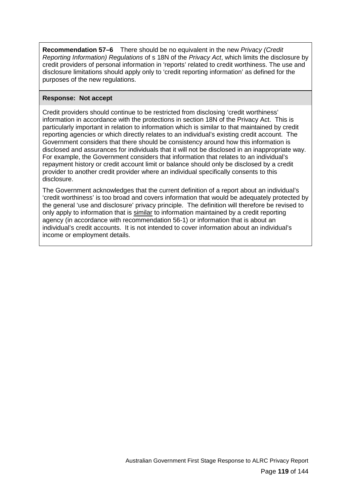**Recommendation 57–6** There should be no equivalent in the new *Privacy (Credit Reporting Information) Regulations* of s 18N of the *Privacy Act*, which limits the disclosure by credit providers of personal information in 'reports' related to credit worthiness. The use and disclosure limitations should apply only to 'credit reporting information' as defined for the purposes of the new regulations.

#### **Response: Not accept**

Credit providers should continue to be restricted from disclosing 'credit worthiness' information in accordance with the protections in section 18N of the Privacy Act. This is particularly important in relation to information which is similar to that maintained by credit reporting agencies or which directly relates to an individual's existing credit account. The Government considers that there should be consistency around how this information is disclosed and assurances for individuals that it will not be disclosed in an inappropriate way. For example, the Government considers that information that relates to an individual's repayment history or credit account limit or balance should only be disclosed by a credit provider to another credit provider where an individual specifically consents to this disclosure.

The Government acknowledges that the current definition of a report about an individual's 'credit worthiness' is too broad and covers information that would be adequately protected by the general 'use and disclosure' privacy principle. The definition will therefore be revised to only apply to information that is similar to information maintained by a credit reporting agency (in accordance with recommendation 56-1) or information that is about an individual's credit accounts. It is not intended to cover information about an individual's income or employment details.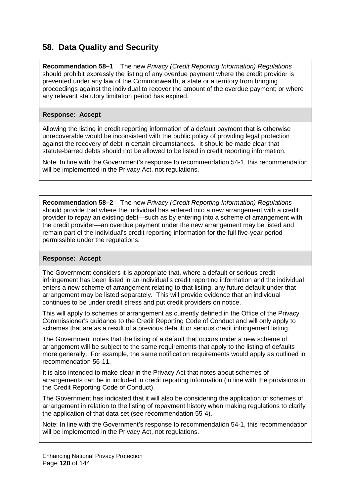# **58. Data Quality and Security**

**Recommendation 58–1** The new *Privacy (Credit Reporting Information) Regulations* should prohibit expressly the listing of any overdue payment where the credit provider is prevented under any law of the Commonwealth, a state or a territory from bringing proceedings against the individual to recover the amount of the overdue payment; or where any relevant statutory limitation period has expired.

#### **Response: Accept**

Allowing the listing in credit reporting information of a default payment that is otherwise unrecoverable would be inconsistent with the public policy of providing legal protection against the recovery of debt in certain circumstances. It should be made clear that statute-barred debts should not be allowed to be listed in credit reporting information.

Note: In line with the Government's response to recommendation 54-1, this recommendation will be implemented in the Privacy Act, not regulations.

**Recommendation 58–2** The new *Privacy (Credit Reporting Information) Regulations* should provide that where the individual has entered into a new arrangement with a credit provider to repay an existing debt—such as by entering into a scheme of arrangement with the credit provider—an overdue payment under the new arrangement may be listed and remain part of the individual's credit reporting information for the full five-year period permissible under the regulations.

## **Response: Accept**

The Government considers it is appropriate that, where a default or serious credit infringement has been listed in an individual's credit reporting information and the individual enters a new scheme of arrangement relating to that listing, any future default under that arrangement may be listed separately. This will provide evidence that an individual continues to be under credit stress and put credit providers on notice.

This will apply to schemes of arrangement as currently defined in the Office of the Privacy Commissioner's guidance to the Credit Reporting Code of Conduct and will only apply to schemes that are as a result of a previous default or serious credit infringement listing.

The Government notes that the listing of a default that occurs under a new scheme of arrangement will be subject to the same requirements that apply to the listing of defaults more generally. For example, the same notification requirements would apply as outlined in recommendation 56-11.

It is also intended to make clear in the Privacy Act that notes about schemes of arrangements can be in included in credit reporting information (in line with the provisions in the Credit Reporting Code of Conduct).

The Government has indicated that it will also be considering the application of schemes of arrangement in relation to the listing of repayment history when making regulations to clarify the application of that data set (see recommendation 55-4).

Note: In line with the Government's response to recommendation 54-1, this recommendation will be implemented in the Privacy Act, not regulations.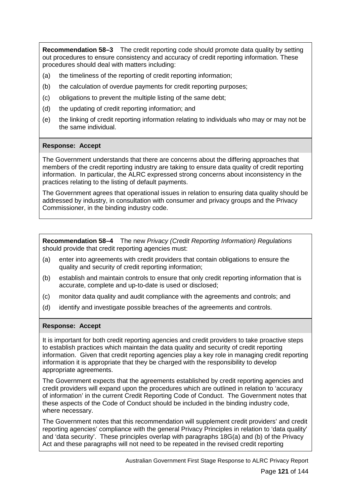**Recommendation 58–3** The credit reporting code should promote data quality by setting out procedures to ensure consistency and accuracy of credit reporting information. These procedures should deal with matters including:

- (a) the timeliness of the reporting of credit reporting information;
- (b) the calculation of overdue payments for credit reporting purposes;
- (c) obligations to prevent the multiple listing of the same debt;
- (d) the updating of credit reporting information; and
- (e) the linking of credit reporting information relating to individuals who may or may not be the same individual.

#### **Response: Accept**

The Government understands that there are concerns about the differing approaches that members of the credit reporting industry are taking to ensure data quality of credit reporting information. In particular, the ALRC expressed strong concerns about inconsistency in the practices relating to the listing of default payments.

The Government agrees that operational issues in relation to ensuring data quality should be addressed by industry, in consultation with consumer and privacy groups and the Privacy Commissioner, in the binding industry code.

**Recommendation 58–4** The new *Privacy (Credit Reporting Information) Regulations* should provide that credit reporting agencies must:

- (a) enter into agreements with credit providers that contain obligations to ensure the quality and security of credit reporting information;
- (b) establish and maintain controls to ensure that only credit reporting information that is accurate, complete and up-to-date is used or disclosed;
- (c) monitor data quality and audit compliance with the agreements and controls; and
- (d) identify and investigate possible breaches of the agreements and controls.

#### **Response: Accept**

It is important for both credit reporting agencies and credit providers to take proactive steps to establish practices which maintain the data quality and security of credit reporting information. Given that credit reporting agencies play a key role in managing credit reporting information it is appropriate that they be charged with the responsibility to develop appropriate agreements.

The Government expects that the agreements established by credit reporting agencies and credit providers will expand upon the procedures which are outlined in relation to 'accuracy of information' in the current Credit Reporting Code of Conduct. The Government notes that these aspects of the Code of Conduct should be included in the binding industry code, where necessary.

The Government notes that this recommendation will supplement credit providers' and credit reporting agencies' compliance with the general Privacy Principles in relation to 'data quality' and 'data security'. These principles overlap with paragraphs 18G(a) and (b) of the Privacy Act and these paragraphs will not need to be repeated in the revised credit reporting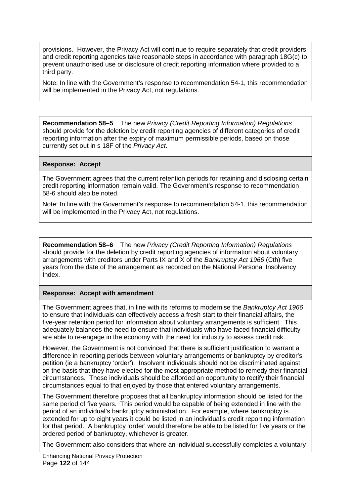provisions. However, the Privacy Act will continue to require separately that credit providers and credit reporting agencies take reasonable steps in accordance with paragraph 18G(c) to prevent unauthorised use or disclosure of credit reporting information where provided to a third party.

Note: In line with the Government's response to recommendation 54-1, this recommendation will be implemented in the Privacy Act, not regulations.

**Recommendation 58–5** The new *Privacy (Credit Reporting Information) Regulations* should provide for the deletion by credit reporting agencies of different categories of credit reporting information after the expiry of maximum permissible periods, based on those currently set out in s 18F of the *Privacy Act*.

## **Response: Accept**

The Government agrees that the current retention periods for retaining and disclosing certain credit reporting information remain valid. The Government's response to recommendation 58-6 should also be noted.

Note: In line with the Government's response to recommendation 54-1, this recommendation will be implemented in the Privacy Act, not regulations.

**Recommendation 58–6** The new *Privacy (Credit Reporting Information) Regulations* should provide for the deletion by credit reporting agencies of information about voluntary arrangements with creditors under Parts IX and X of the *Bankruptcy Act 1966* (Cth) five years from the date of the arrangement as recorded on the National Personal Insolvency Index.

## **Response: Accept with amendment**

The Government agrees that, in line with its reforms to modernise the *Bankruptcy Act 1966* to ensure that individuals can effectively access a fresh start to their financial affairs, the five-year retention period for information about voluntary arrangements is sufficient. This adequately balances the need to ensure that individuals who have faced financial difficulty are able to re-engage in the economy with the need for industry to assess credit risk.

However, the Government is not convinced that there is sufficient justification to warrant a difference in reporting periods between voluntary arrangements or bankruptcy by creditor's petition (ie a bankruptcy 'order'). Insolvent individuals should not be discriminated against on the basis that they have elected for the most appropriate method to remedy their financial circumstances. These individuals should be afforded an opportunity to rectify their financial circumstances equal to that enjoyed by those that entered voluntary arrangements.

The Government therefore proposes that all bankruptcy information should be listed for the same period of five years. This period would be capable of being extended in line with the period of an individual's bankruptcy administration. For example, where bankruptcy is extended for up to eight years it could be listed in an individual's credit reporting information for that period. A bankruptcy 'order' would therefore be able to be listed for five years or the ordered period of bankruptcy, whichever is greater.

The Government also considers that where an individual successfully completes a voluntary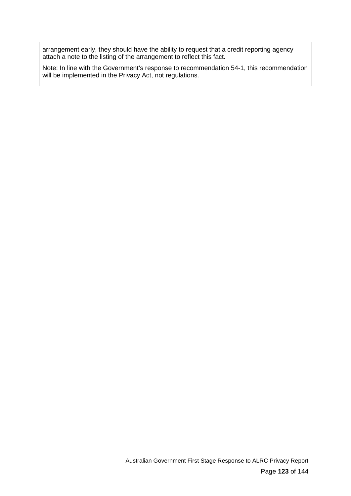arrangement early, they should have the ability to request that a credit reporting agency attach a note to the listing of the arrangement to reflect this fact.

Note: In line with the Government's response to recommendation 54-1, this recommendation will be implemented in the Privacy Act, not regulations.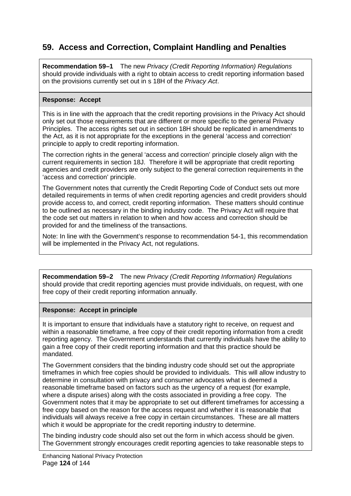# **59. Access and Correction, Complaint Handling and Penalties**

**Recommendation 59–1** The new *Privacy (Credit Reporting Information) Regulations* should provide individuals with a right to obtain access to credit reporting information based on the provisions currently set out in s 18H of the *Privacy Act*.

## **Response: Accept**

This is in line with the approach that the credit reporting provisions in the Privacy Act should only set out those requirements that are different or more specific to the general Privacy Principles. The access rights set out in section 18H should be replicated in amendments to the Act, as it is not appropriate for the exceptions in the general 'access and correction' principle to apply to credit reporting information.

The correction rights in the general 'access and correction' principle closely align with the current requirements in section 18J. Therefore it will be appropriate that credit reporting agencies and credit providers are only subject to the general correction requirements in the 'access and correction' principle.

The Government notes that currently the Credit Reporting Code of Conduct sets out more detailed requirements in terms of when credit reporting agencies and credit providers should provide access to, and correct, credit reporting information. These matters should continue to be outlined as necessary in the binding industry code. The Privacy Act will require that the code set out matters in relation to when and how access and correction should be provided for and the timeliness of the transactions.

Note: In line with the Government's response to recommendation 54-1, this recommendation will be implemented in the Privacy Act, not regulations.

**Recommendation 59–2** The new *Privacy (Credit Reporting Information) Regulations* should provide that credit reporting agencies must provide individuals, on request, with one free copy of their credit reporting information annually.

## **Response: Accept in principle**

It is important to ensure that individuals have a statutory right to receive, on request and within a reasonable timeframe, a free copy of their credit reporting information from a credit reporting agency. The Government understands that currently individuals have the ability to gain a free copy of their credit reporting information and that this practice should be mandated.

The Government considers that the binding industry code should set out the appropriate timeframes in which free copies should be provided to individuals. This will allow industry to determine in consultation with privacy and consumer advocates what is deemed a reasonable timeframe based on factors such as the urgency of a request (for example, where a dispute arises) along with the costs associated in providing a free copy. The Government notes that it may be appropriate to set out different timeframes for accessing a free copy based on the reason for the access request and whether it is reasonable that individuals will always receive a free copy in certain circumstances. These are all matters which it would be appropriate for the credit reporting industry to determine.

The binding industry code should also set out the form in which access should be given. The Government strongly encourages credit reporting agencies to take reasonable steps to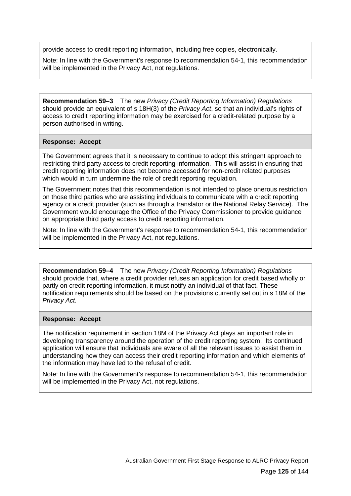provide access to credit reporting information, including free copies, electronically.

Note: In line with the Government's response to recommendation 54-1, this recommendation will be implemented in the Privacy Act, not regulations.

**Recommendation 59–3** The new *Privacy (Credit Reporting Information) Regulations* should provide an equivalent of s 18H(3) of the *Privacy Act*, so that an individual's rights of access to credit reporting information may be exercised for a credit-related purpose by a person authorised in writing.

#### **Response: Accept**

The Government agrees that it is necessary to continue to adopt this stringent approach to restricting third party access to credit reporting information. This will assist in ensuring that credit reporting information does not become accessed for non-credit related purposes which would in turn undermine the role of credit reporting regulation.

The Government notes that this recommendation is not intended to place onerous restriction on those third parties who are assisting individuals to communicate with a credit reporting agency or a credit provider (such as through a translator or the National Relay Service). The Government would encourage the Office of the Privacy Commissioner to provide guidance on appropriate third party access to credit reporting information.

Note: In line with the Government's response to recommendation 54-1, this recommendation will be implemented in the Privacy Act, not regulations.

**Recommendation 59–4** The new *Privacy (Credit Reporting Information) Regulations* should provide that, where a credit provider refuses an application for credit based wholly or partly on credit reporting information, it must notify an individual of that fact. These notification requirements should be based on the provisions currently set out in s 18M of the *Privacy Act*.

#### **Response: Accept**

The notification requirement in section 18M of the Privacy Act plays an important role in developing transparency around the operation of the credit reporting system. Its continued application will ensure that individuals are aware of all the relevant issues to assist them in understanding how they can access their credit reporting information and which elements of the information may have led to the refusal of credit.

Note: In line with the Government's response to recommendation 54-1, this recommendation will be implemented in the Privacy Act, not regulations.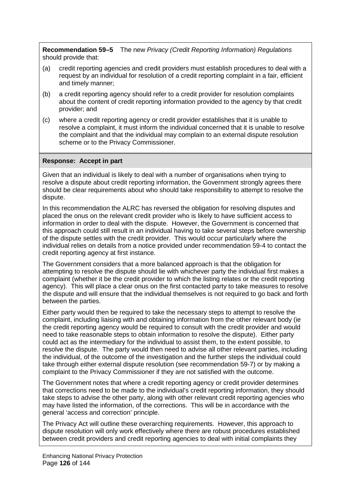**Recommendation 59–5** The new *Privacy (Credit Reporting Information) Regulations* should provide that:

- (a) credit reporting agencies and credit providers must establish procedures to deal with a request by an individual for resolution of a credit reporting complaint in a fair, efficient and timely manner;
- (b) a credit reporting agency should refer to a credit provider for resolution complaints about the content of credit reporting information provided to the agency by that credit provider; and
- (c) where a credit reporting agency or credit provider establishes that it is unable to resolve a complaint, it must inform the individual concerned that it is unable to resolve the complaint and that the individual may complain to an external dispute resolution scheme or to the Privacy Commissioner.

#### **Response: Accept in part**

Given that an individual is likely to deal with a number of organisations when trying to resolve a dispute about credit reporting information, the Government strongly agrees there should be clear requirements about who should take responsibility to attempt to resolve the dispute.

In this recommendation the ALRC has reversed the obligation for resolving disputes and placed the onus on the relevant credit provider who is likely to have sufficient access to information in order to deal with the dispute. However, the Government is concerned that this approach could still result in an individual having to take several steps before ownership of the dispute settles with the credit provider. This would occur particularly where the individual relies on details from a notice provided under recommendation 59-4 to contact the credit reporting agency at first instance.

The Government considers that a more balanced approach is that the obligation for attempting to resolve the dispute should lie with whichever party the individual first makes a complaint (whether it be the credit provider to which the listing relates or the credit reporting agency). This will place a clear onus on the first contacted party to take measures to resolve the dispute and will ensure that the individual themselves is not required to go back and forth between the parties.

Either party would then be required to take the necessary steps to attempt to resolve the complaint, including liaising with and obtaining information from the other relevant body (ie the credit reporting agency would be required to consult with the credit provider and would need to take reasonable steps to obtain information to resolve the dispute). Either party could act as the intermediary for the individual to assist them, to the extent possible, to resolve the dispute. The party would then need to advise all other relevant parties, including the individual, of the outcome of the investigation and the further steps the individual could take through either external dispute resolution (see recommendation 59-7) or by making a complaint to the Privacy Commissioner if they are not satisfied with the outcome.

The Government notes that where a credit reporting agency or credit provider determines that corrections need to be made to the individual's credit reporting information, they should take steps to advise the other party, along with other relevant credit reporting agencies who may have listed the information, of the corrections. This will be in accordance with the general 'access and correction' principle.

The Privacy Act will outline these overarching requirements. However, this approach to dispute resolution will only work effectively where there are robust procedures established between credit providers and credit reporting agencies to deal with initial complaints they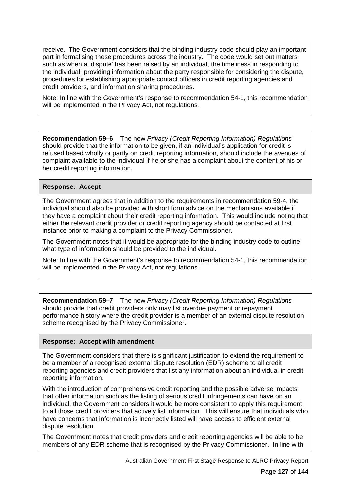receive. The Government considers that the binding industry code should play an important part in formalising these procedures across the industry. The code would set out matters such as when a 'dispute' has been raised by an individual, the timeliness in responding to the individual, providing information about the party responsible for considering the dispute, procedures for establishing appropriate contact officers in credit reporting agencies and credit providers, and information sharing procedures.

Note: In line with the Government's response to recommendation 54-1, this recommendation will be implemented in the Privacy Act, not regulations.

**Recommendation 59–6** The new *Privacy (Credit Reporting Information) Regulations* should provide that the information to be given, if an individual's application for credit is refused based wholly or partly on credit reporting information, should include the avenues of complaint available to the individual if he or she has a complaint about the content of his or her credit reporting information.

#### **Response: Accept**

The Government agrees that in addition to the requirements in recommendation 59-4, the individual should also be provided with short form advice on the mechanisms available if they have a complaint about their credit reporting information. This would include noting that either the relevant credit provider or credit reporting agency should be contacted at first instance prior to making a complaint to the Privacy Commissioner.

The Government notes that it would be appropriate for the binding industry code to outline what type of information should be provided to the individual.

Note: In line with the Government's response to recommendation 54-1, this recommendation will be implemented in the Privacy Act, not regulations.

**Recommendation 59–7** The new *Privacy (Credit Reporting Information) Regulations* should provide that credit providers only may list overdue payment or repayment performance history where the credit provider is a member of an external dispute resolution scheme recognised by the Privacy Commissioner.

#### **Response: Accept with amendment**

The Government considers that there is significant justification to extend the requirement to be a member of a recognised external dispute resolution (EDR) scheme to all credit reporting agencies and credit providers that list any information about an individual in credit reporting information.

With the introduction of comprehensive credit reporting and the possible adverse impacts that other information such as the listing of serious credit infringements can have on an individual, the Government considers it would be more consistent to apply this requirement to all those credit providers that actively list information. This will ensure that individuals who have concerns that information is incorrectly listed will have access to efficient external dispute resolution.

The Government notes that credit providers and credit reporting agencies will be able to be members of any EDR scheme that is recognised by the Privacy Commissioner. In line with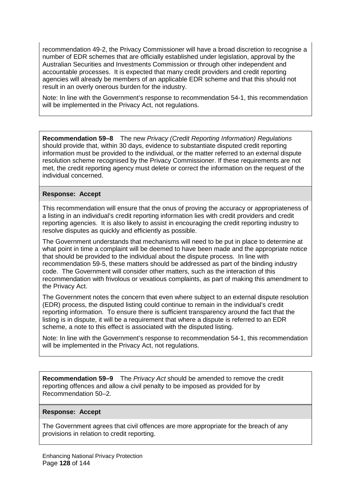recommendation 49-2, the Privacy Commissioner will have a broad discretion to recognise a number of EDR schemes that are officially established under legislation, approval by the Australian Securities and Investments Commission or through other independent and accountable processes. It is expected that many credit providers and credit reporting agencies will already be members of an applicable EDR scheme and that this should not result in an overly onerous burden for the industry.

Note: In line with the Government's response to recommendation 54-1, this recommendation will be implemented in the Privacy Act, not regulations.

**Recommendation 59–8** The new *Privacy (Credit Reporting Information) Regulations* should provide that, within 30 days, evidence to substantiate disputed credit reporting information must be provided to the individual, or the matter referred to an external dispute resolution scheme recognised by the Privacy Commissioner. If these requirements are not met, the credit reporting agency must delete or correct the information on the request of the individual concerned.

#### **Response: Accept**

This recommendation will ensure that the onus of proving the accuracy or appropriateness of a listing in an individual's credit reporting information lies with credit providers and credit reporting agencies. It is also likely to assist in encouraging the credit reporting industry to resolve disputes as quickly and efficiently as possible.

The Government understands that mechanisms will need to be put in place to determine at what point in time a complaint will be deemed to have been made and the appropriate notice that should be provided to the individual about the dispute process. In line with recommendation 59-5, these matters should be addressed as part of the binding industry code. The Government will consider other matters, such as the interaction of this recommendation with frivolous or vexatious complaints, as part of making this amendment to the Privacy Act.

The Government notes the concern that even where subject to an external dispute resolution (EDR) process, the disputed listing could continue to remain in the individual's credit reporting information. To ensure there is sufficient transparency around the fact that the listing is in dispute, it will be a requirement that where a dispute is referred to an EDR scheme, a note to this effect is associated with the disputed listing.

Note: In line with the Government's response to recommendation 54-1, this recommendation will be implemented in the Privacy Act, not regulations.

**Recommendation 59–9** The *Privacy Act* should be amended to remove the credit reporting offences and allow a civil penalty to be imposed as provided for by Recommendation 50–2.

#### **Response: Accept**

The Government agrees that civil offences are more appropriate for the breach of any provisions in relation to credit reporting.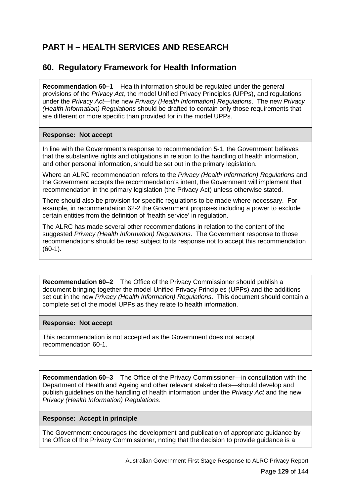# **PART H – HEALTH SERVICES AND RESEARCH**

# **60. Regulatory Framework for Health Information**

**Recommendation 60–1** Health information should be regulated under the general provisions of the *Privacy Act*, the model Unified Privacy Principles (UPPs), and regulations under the *Privacy Act*—the new *Privacy (Health Information) Regulations*. The new *Privacy (Health Information) Regulations* should be drafted to contain only those requirements that are different or more specific than provided for in the model UPPs.

#### **Response: Not accept**

In line with the Government's response to recommendation 5-1, the Government believes that the substantive rights and obligations in relation to the handling of health information, and other personal information, should be set out in the primary legislation.

Where an ALRC recommendation refers to the *Privacy (Health Information) Regulations* and the Government accepts the recommendation's intent, the Government will implement that recommendation in the primary legislation (the Privacy Act) unless otherwise stated.

There should also be provision for specific regulations to be made where necessary. For example, in recommendation 62-2 the Government proposes including a power to exclude certain entities from the definition of 'health service' in regulation.

The ALRC has made several other recommendations in relation to the content of the suggested *Privacy (Health Information) Regulations*. The Government response to those recommendations should be read subject to its response not to accept this recommendation (60-1).

**Recommendation 60–2** The Office of the Privacy Commissioner should publish a document bringing together the model Unified Privacy Principles (UPPs) and the additions set out in the new *Privacy (Health Information) Regulations*. This document should contain a complete set of the model UPPs as they relate to health information.

#### **Response: Not accept**

This recommendation is not accepted as the Government does not accept recommendation 60-1.

**Recommendation 60–3** The Office of the Privacy Commissioner—in consultation with the Department of Health and Ageing and other relevant stakeholders—should develop and publish guidelines on the handling of health information under the *Privacy Act* and the new *Privacy (Health Information) Regulations*.

## **Response: Accept in principle**

The Government encourages the development and publication of appropriate guidance by the Office of the Privacy Commissioner, noting that the decision to provide guidance is a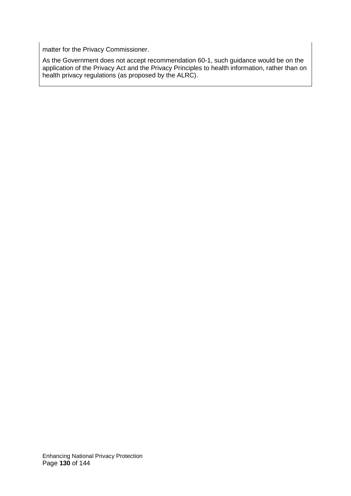matter for the Privacy Commissioner.

As the Government does not accept recommendation 60-1, such guidance would be on the application of the Privacy Act and the Privacy Principles to health information, rather than on health privacy regulations (as proposed by the ALRC).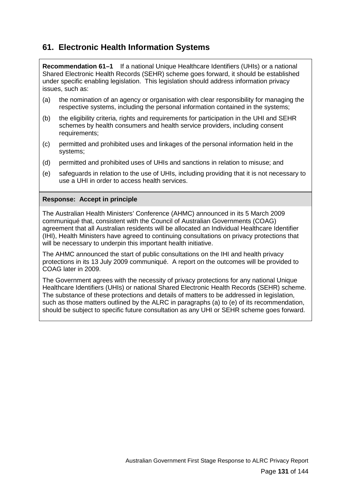# **61. Electronic Health Information Systems**

**Recommendation 61–1** If a national Unique Healthcare Identifiers (UHIs) or a national Shared Electronic Health Records (SEHR) scheme goes forward, it should be established under specific enabling legislation. This legislation should address information privacy issues, such as:

- (a) the nomination of an agency or organisation with clear responsibility for managing the respective systems, including the personal information contained in the systems;
- (b) the eligibility criteria, rights and requirements for participation in the UHI and SEHR schemes by health consumers and health service providers, including consent requirements;
- (c) permitted and prohibited uses and linkages of the personal information held in the systems;
- (d) permitted and prohibited uses of UHIs and sanctions in relation to misuse; and
- (e) safeguards in relation to the use of UHIs, including providing that it is not necessary to use a UHI in order to access health services.

#### **Response: Accept in principle**

The Australian Health Ministers' Conference (AHMC) announced in its 5 March 2009 communiqué that, consistent with the Council of Australian Governments (COAG) agreement that all Australian residents will be allocated an Individual Healthcare Identifier (IHI), Health Ministers have agreed to continuing consultations on privacy protections that will be necessary to underpin this important health initiative.

The AHMC announced the start of public consultations on the IHI and health privacy protections in its 13 July 2009 communiqué. A report on the outcomes will be provided to COAG later in 2009.

The Government agrees with the necessity of privacy protections for any national Unique Healthcare Identifiers (UHIs) or national Shared Electronic Health Records (SEHR) scheme. The substance of these protections and details of matters to be addressed in legislation, such as those matters outlined by the ALRC in paragraphs (a) to (e) of its recommendation, should be subject to specific future consultation as any UHI or SEHR scheme goes forward.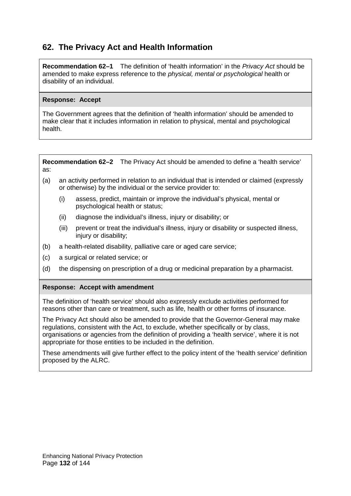# **62. The Privacy Act and Health Information**

**Recommendation 62–1** The definition of 'health information' in the *Privacy Act* should be amended to make express reference to the *physical, mental or psychological* health or disability of an individual.

### **Response: Accept**

The Government agrees that the definition of 'health information' should be amended to make clear that it includes information in relation to physical, mental and psychological health.

**Recommendation 62–2** The Privacy Act should be amended to define a 'health service' as:

- (a) an activity performed in relation to an individual that is intended or claimed (expressly or otherwise) by the individual or the service provider to:
	- (i) assess, predict, maintain or improve the individual's physical, mental or psychological health or status;
	- (ii) diagnose the individual's illness, injury or disability; or
	- (iii) prevent or treat the individual's illness, injury or disability or suspected illness, injury or disability;
- (b) a health-related disability, palliative care or aged care service;
- (c) a surgical or related service; or
- (d) the dispensing on prescription of a drug or medicinal preparation by a pharmacist.

#### **Response: Accept with amendment**

The definition of 'health service' should also expressly exclude activities performed for reasons other than care or treatment, such as life, health or other forms of insurance.

The Privacy Act should also be amended to provide that the Governor-General may make regulations, consistent with the Act, to exclude, whether specifically or by class, organisations or agencies from the definition of providing a 'health service', where it is not appropriate for those entities to be included in the definition.

These amendments will give further effect to the policy intent of the 'health service' definition proposed by the ALRC.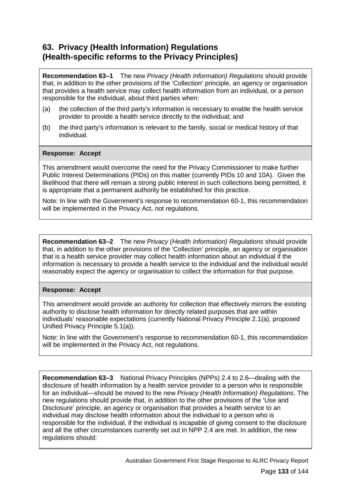# **63. Privacy (Health Information) Regulations (Health-specific reforms to the Privacy Principles)**

**Recommendation 63–1** The new *Privacy (Health Information) Regulations* should provide that, in addition to the other provisions of the 'Collection' principle, an agency or organisation that provides a health service may collect health information from an individual, or a person responsible for the individual, about third parties when:

- (a) the collection of the third party's information is necessary to enable the health service provider to provide a health service directly to the individual; and
- (b) the third party's information is relevant to the family, social or medical history of that individual.

#### **Response: Accept**

This amendment would overcome the need for the Privacy Commissioner to make further Public Interest Determinations (PIDs) on this matter (currently PIDs 10 and 10A). Given the likelihood that there will remain a strong public interest in such collections being permitted, it is appropriate that a permanent authority be established for this practice.

Note: In line with the Government's response to recommendation 60-1, this recommendation will be implemented in the Privacy Act, not regulations.

**Recommendation 63–2** The new *Privacy (Health Information) Regulations* should provide that, in addition to the other provisions of the 'Collection' principle, an agency or organisation that is a health service provider may collect health information about an individual if the information is necessary to provide a health service to the individual and the individual would reasonably expect the agency or organisation to collect the information for that purpose.

#### **Response: Accept**

This amendment would provide an authority for collection that effectively mirrors the existing authority to disclose health information for directly related purposes that are within individuals' reasonable expectations (currently National Privacy Principle 2.1(a), proposed Unified Privacy Principle 5.1(a)).

Note: In line with the Government's response to recommendation 60-1, this recommendation will be implemented in the Privacy Act, not regulations.

**Recommendation 63–3** National Privacy Principles (NPPs) 2.4 to 2.6—dealing with the disclosure of health information by a health service provider to a person who is responsible for an individual—should be moved to the new *Privacy (Health Information) Regulations*. The new regulations should provide that, in addition to the other provisions of the 'Use and Disclosure' principle, an agency or organisation that provides a health service to an individual may disclose health information about the individual to a person who is responsible for the individual, if the individual is incapable of giving consent to the disclosure and all the other circumstances currently set out in NPP 2.4 are met. In addition, the new regulations should: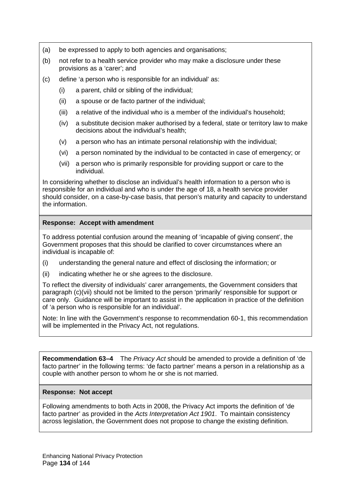- (a) be expressed to apply to both agencies and organisations;
- (b) not refer to a health service provider who may make a disclosure under these provisions as a 'carer'; and
- (c) define 'a person who is responsible for an individual' as:
	- (i) a parent, child or sibling of the individual;
	- (ii) a spouse or de facto partner of the individual;
	- (iii) a relative of the individual who is a member of the individual's household;
	- (iv) a substitute decision maker authorised by a federal, state or territory law to make decisions about the individual's health;
	- (v) a person who has an intimate personal relationship with the individual;
	- (vi) a person nominated by the individual to be contacted in case of emergency; or
	- (vii) a person who is primarily responsible for providing support or care to the individual.

In considering whether to disclose an individual's health information to a person who is responsible for an individual and who is under the age of 18, a health service provider should consider, on a case-by-case basis, that person's maturity and capacity to understand the information.

#### **Response: Accept with amendment**

To address potential confusion around the meaning of 'incapable of giving consent', the Government proposes that this should be clarified to cover circumstances where an individual is incapable of:

- (i) understanding the general nature and effect of disclosing the information; or
- (ii) indicating whether he or she agrees to the disclosure.

To reflect the diversity of individuals' carer arrangements, the Government considers that paragraph (c)(vii) should not be limited to the person 'primarily' responsible for support or care only. Guidance will be important to assist in the application in practice of the definition of 'a person who is responsible for an individual'.

Note: In line with the Government's response to recommendation 60-1, this recommendation will be implemented in the Privacy Act, not regulations.

**Recommendation 63–4** The *Privacy Act* should be amended to provide a definition of 'de facto partner' in the following terms: 'de facto partner' means a person in a relationship as a couple with another person to whom he or she is not married.

#### **Response: Not accept**

Following amendments to both Acts in 2008, the Privacy Act imports the definition of 'de facto partner' as provided in the *Acts Interpretation Act 1901*. To maintain consistency across legislation, the Government does not propose to change the existing definition.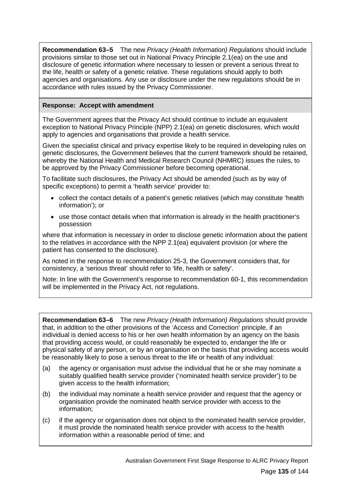**Recommendation 63–5** The new *Privacy (Health Information) Regulations* should include provisions similar to those set out in National Privacy Principle 2.1(ea) on the use and disclosure of genetic information where necessary to lessen or prevent a serious threat to the life, health or safety of a genetic relative. These regulations should apply to both agencies and organisations. Any use or disclosure under the new regulations should be in accordance with rules issued by the Privacy Commissioner.

## **Response: Accept with amendment**

The Government agrees that the Privacy Act should continue to include an equivalent exception to National Privacy Principle (NPP) 2.1(ea) on genetic disclosures, which would apply to agencies and organisations that provide a health service.

Given the specialist clinical and privacy expertise likely to be required in developing rules on genetic disclosures, the Government believes that the current framework should be retained, whereby the National Health and Medical Research Council (NHMRC) issues the rules, to be approved by the Privacy Commissioner before becoming operational.

To facilitate such disclosures, the Privacy Act should be amended (such as by way of specific exceptions) to permit a 'health service' provider to:

- collect the contact details of a patient's genetic relatives (which may constitute 'health information'); or
- use those contact details when that information is already in the health practitioner's possession

where that information is necessary in order to disclose genetic information about the patient to the relatives in accordance with the NPP 2.1(ea) equivalent provision (or where the patient has consented to the disclosure).

As noted in the response to recommendation 25-3, the Government considers that, for consistency, a 'serious threat' should refer to 'life, health or safety'.

Note: In line with the Government's response to recommendation 60-1, this recommendation will be implemented in the Privacy Act, not regulations.

**Recommendation 63–6** The new *Privacy (Health Information) Regulations* should provide that, in addition to the other provisions of the 'Access and Correction' principle, if an individual is denied access to his or her own health information by an agency on the basis that providing access would, or could reasonably be expected to, endanger the life or physical safety of any person, or by an organisation on the basis that providing access would be reasonably likely to pose a serious threat to the life or health of any individual:

- (a) the agency or organisation must advise the individual that he or she may nominate a suitably qualified health service provider ('nominated health service provider') to be given access to the health information;
- (b) the individual may nominate a health service provider and request that the agency or organisation provide the nominated health service provider with access to the information;
- (c) if the agency or organisation does not object to the nominated health service provider, it must provide the nominated health service provider with access to the health information within a reasonable period of time; and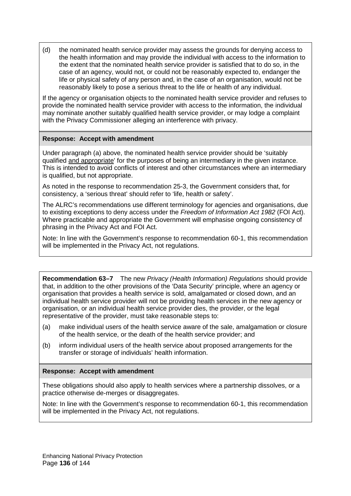(d) the nominated health service provider may assess the grounds for denying access to the health information and may provide the individual with access to the information to the extent that the nominated health service provider is satisfied that to do so, in the case of an agency, would not, or could not be reasonably expected to, endanger the life or physical safety of any person and, in the case of an organisation, would not be reasonably likely to pose a serious threat to the life or health of any individual.

If the agency or organisation objects to the nominated health service provider and refuses to provide the nominated health service provider with access to the information, the individual may nominate another suitably qualified health service provider, or may lodge a complaint with the Privacy Commissioner alleging an interference with privacy.

#### **Response: Accept with amendment**

Under paragraph (a) above, the nominated health service provider should be 'suitably qualified and appropriate' for the purposes of being an intermediary in the given instance. This is intended to avoid conflicts of interest and other circumstances where an intermediary is qualified, but not appropriate.

As noted in the response to recommendation 25-3, the Government considers that, for consistency, a 'serious threat' should refer to 'life, health or safety'.

The ALRC's recommendations use different terminology for agencies and organisations, due to existing exceptions to deny access under the *Freedom of Information Act 1982* (FOI Act). Where practicable and appropriate the Government will emphasise ongoing consistency of phrasing in the Privacy Act and FOI Act.

Note: In line with the Government's response to recommendation 60-1, this recommendation will be implemented in the Privacy Act, not regulations.

**Recommendation 63–7** The new *Privacy (Health Information) Regulations* should provide that, in addition to the other provisions of the 'Data Security' principle, where an agency or organisation that provides a health service is sold, amalgamated or closed down, and an individual health service provider will not be providing health services in the new agency or organisation, or an individual health service provider dies, the provider, or the legal representative of the provider, must take reasonable steps to:

- (a) make individual users of the health service aware of the sale, amalgamation or closure of the health service, or the death of the health service provider; and
- (b) inform individual users of the health service about proposed arrangements for the transfer or storage of individuals' health information.

## **Response: Accept with amendment**

These obligations should also apply to health services where a partnership dissolves, or a practice otherwise de-merges or disaggregates.

Note: In line with the Government's response to recommendation 60-1, this recommendation will be implemented in the Privacy Act, not regulations.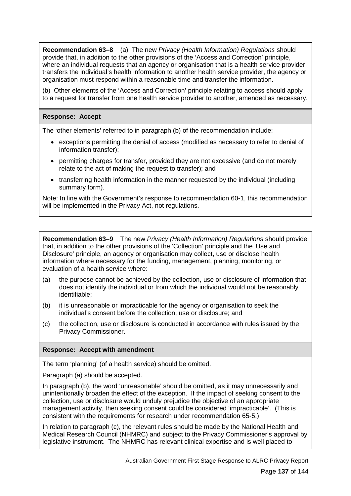**Recommendation 63–8** (a) The new *Privacy (Health Information) Regulations* should provide that, in addition to the other provisions of the 'Access and Correction' principle, where an individual requests that an agency or organisation that is a health service provider transfers the individual's health information to another health service provider, the agency or organisation must respond within a reasonable time and transfer the information.

(b) Other elements of the 'Access and Correction' principle relating to access should apply to a request for transfer from one health service provider to another, amended as necessary.

#### **Response: Accept**

The 'other elements' referred to in paragraph (b) of the recommendation include:

- exceptions permitting the denial of access (modified as necessary to refer to denial of information transfer);
- permitting charges for transfer, provided they are not excessive (and do not merely relate to the act of making the request to transfer); and
- transferring health information in the manner requested by the individual (including summary form).

Note: In line with the Government's response to recommendation 60-1, this recommendation will be implemented in the Privacy Act, not regulations.

**Recommendation 63–9** The new *Privacy (Health Information) Regulations* should provide that, in addition to the other provisions of the 'Collection' principle and the 'Use and Disclosure' principle, an agency or organisation may collect, use or disclose health information where necessary for the funding, management, planning, monitoring, or evaluation of a health service where:

- (a) the purpose cannot be achieved by the collection, use or disclosure of information that does not identify the individual or from which the individual would not be reasonably identifiable;
- (b) it is unreasonable or impracticable for the agency or organisation to seek the individual's consent before the collection, use or disclosure; and
- (c) the collection, use or disclosure is conducted in accordance with rules issued by the Privacy Commissioner.

#### **Response: Accept with amendment**

The term 'planning' (of a health service) should be omitted.

Paragraph (a) should be accepted.

In paragraph (b), the word 'unreasonable' should be omitted, as it may unnecessarily and unintentionally broaden the effect of the exception. If the impact of seeking consent to the collection, use or disclosure would unduly prejudice the objective of an appropriate management activity, then seeking consent could be considered 'impracticable'. (This is consistent with the requirements for research under recommendation 65-5.)

In relation to paragraph (c), the relevant rules should be made by the National Health and Medical Research Council (NHMRC) and subject to the Privacy Commissioner's approval by legislative instrument. The NHMRC has relevant clinical expertise and is well placed to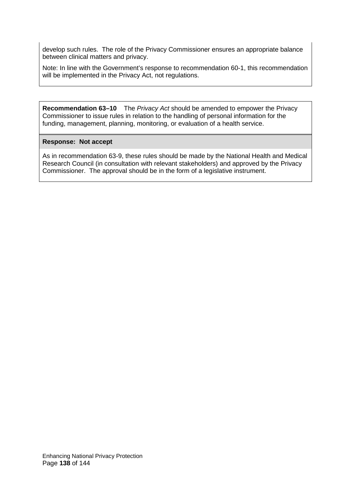develop such rules. The role of the Privacy Commissioner ensures an appropriate balance between clinical matters and privacy.

Note: In line with the Government's response to recommendation 60-1, this recommendation will be implemented in the Privacy Act, not regulations.

**Recommendation 63–10** The *Privacy Act* should be amended to empower the Privacy Commissioner to issue rules in relation to the handling of personal information for the funding, management, planning, monitoring, or evaluation of a health service.

#### **Response: Not accept**

As in recommendation 63-9, these rules should be made by the National Health and Medical Research Council (in consultation with relevant stakeholders) and approved by the Privacy Commissioner. The approval should be in the form of a legislative instrument.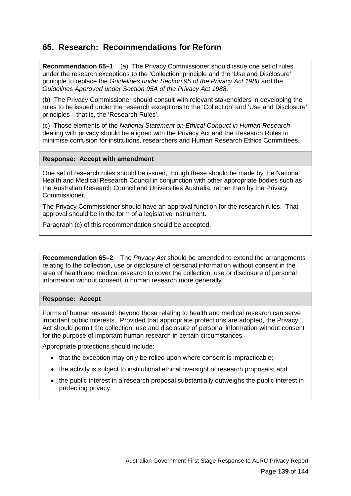## **65. Research: Recommendations for Reform**

**Recommendation 65–1** (a) The Privacy Commissioner should issue one set of rules under the research exceptions to the 'Collection' principle and the 'Use and Disclosure' principle to replace the *Guidelines under Section 95 of the Privacy Act 1988* and the *Guidelines Approved under Section 95A of the Privacy Act 1988*.

(b) The Privacy Commissioner should consult with relevant stakeholders in developing the rules to be issued under the research exceptions to the 'Collection' and 'Use and Disclosure' principles—that is, the 'Research Rules'.

(c) Those elements of the *National Statement on Ethical Conduct in Human Research* dealing with privacy should be aligned with the Privacy Act and the Research Rules to minimise confusion for institutions, researchers and Human Research Ethics Committees.

#### **Response: Accept with amendment**

One set of research rules should be issued, though these should be made by the National Health and Medical Research Council in conjunction with other appropriate bodies such as the Australian Research Council and Universities Australia, rather than by the Privacy Commissioner.

The Privacy Commissioner should have an approval function for the research rules. That approval should be in the form of a legislative instrument.

Paragraph (c) of this recommendation should be accepted.

**Recommendation 65–2** The *Privacy Act* should be amended to extend the arrangements relating to the collection, use or disclosure of personal information without consent in the area of health and medical research to cover the collection, use or disclosure of personal information without consent in human research more generally.

#### **Response: Accept**

Forms of human research beyond those relating to health and medical research can serve important public interests. Provided that appropriate protections are adopted, the Privacy Act should permit the collection, use and disclosure of personal information without consent for the purpose of important human research in certain circumstances.

Appropriate protections should include:

- that the exception may only be relied upon where consent is impracticable;
- the activity is subject to institutional ethical oversight of research proposals; and
- the public interest in a research proposal substantially outweighs the public interest in protecting privacy.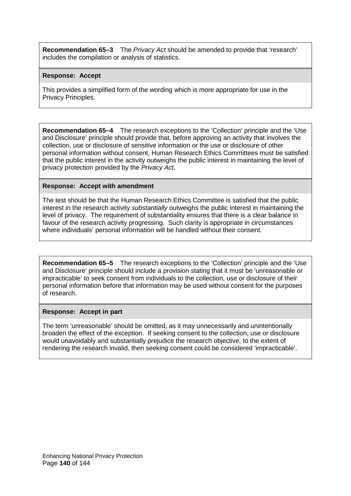**Recommendation 65–3** The *Privacy Act* should be amended to provide that 'research' includes the compilation or analysis of statistics.

#### **Response: Accept**

This provides a simplified form of the wording which is more appropriate for use in the Privacy Principles.

**Recommendation 65–4** The research exceptions to the 'Collection' principle and the 'Use and Disclosure' principle should provide that, before approving an activity that involves the collection, use or disclosure of sensitive information or the use or disclosure of other personal information without consent, Human Research Ethics Committees must be satisfied that the public interest in the activity outweighs the public interest in maintaining the level of privacy protection provided by the *Privacy Act*.

#### **Response: Accept with amendment**

The test should be that the Human Research Ethics Committee is satisfied that the public interest in the research activity *substantially* outweighs the public interest in maintaining the level of privacy. The requirement of substantiality ensures that there is a clear balance in favour of the research activity progressing. Such clarity is appropriate in circumstances where individuals' personal information will be handled without their consent.

**Recommendation 65–5** The research exceptions to the 'Collection' principle and the 'Use and Disclosure' principle should include a provision stating that it must be 'unreasonable or impracticable' to seek consent from individuals to the collection, use or disclosure of their personal information before that information may be used without consent for the purposes of research.

#### **Response: Accept in part**

The term 'unreasonable' should be omitted, as it may unnecessarily and unintentionally broaden the effect of the exception. If seeking consent to the collection, use or disclosure would unavoidably and substantially prejudice the research objective, to the extent of rendering the research invalid, then seeking consent could be considered 'impracticable'.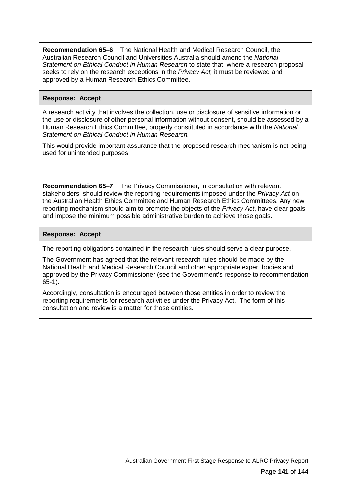**Recommendation 65–6** The National Health and Medical Research Council, the Australian Research Council and Universities Australia should amend the *National Statement on Ethical Conduct in Human Research* to state that, where a research proposal seeks to rely on the research exceptions in the *Privacy Act,* it must be reviewed and approved by a Human Research Ethics Committee.

#### **Response: Accept**

A research activity that involves the collection, use or disclosure of sensitive information or the use or disclosure of other personal information without consent, should be assessed by a Human Research Ethics Committee, properly constituted in accordance with the *National Statement on Ethical Conduct in Human Research.*

This would provide important assurance that the proposed research mechanism is not being used for unintended purposes.

**Recommendation 65–7** The Privacy Commissioner, in consultation with relevant stakeholders, should review the reporting requirements imposed under the *Privacy Act* on the Australian Health Ethics Committee and Human Research Ethics Committees. Any new reporting mechanism should aim to promote the objects of the *Privacy Act*, have clear goals and impose the minimum possible administrative burden to achieve those goals.

#### **Response: Accept**

The reporting obligations contained in the research rules should serve a clear purpose.

The Government has agreed that the relevant research rules should be made by the National Health and Medical Research Council and other appropriate expert bodies and approved by the Privacy Commissioner (see the Government's response to recommendation 65-1).

Accordingly, consultation is encouraged between those entities in order to review the reporting requirements for research activities under the Privacy Act. The form of this consultation and review is a matter for those entities.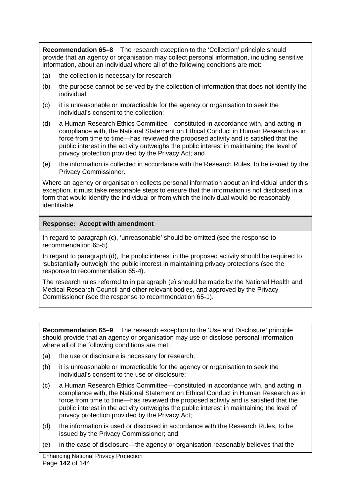**Recommendation 65–8** The research exception to the 'Collection' principle should provide that an agency or organisation may collect personal information, including sensitive information, about an individual where all of the following conditions are met:

- (a) the collection is necessary for research;
- (b) the purpose cannot be served by the collection of information that does not identify the individual;
- (c) it is unreasonable or impracticable for the agency or organisation to seek the individual's consent to the collection;
- (d) a Human Research Ethics Committee—constituted in accordance with, and acting in compliance with, the National Statement on Ethical Conduct in Human Research as in force from time to time—has reviewed the proposed activity and is satisfied that the public interest in the activity outweighs the public interest in maintaining the level of privacy protection provided by the Privacy Act; and
- (e) the information is collected in accordance with the Research Rules, to be issued by the Privacy Commissioner.

Where an agency or organisation collects personal information about an individual under this exception, it must take reasonable steps to ensure that the information is not disclosed in a form that would identify the individual or from which the individual would be reasonably identifiable.

## **Response: Accept with amendment**

In regard to paragraph (c), 'unreasonable' should be omitted (see the response to recommendation 65-5).

In regard to paragraph (d), the public interest in the proposed activity should be required to 'substantially outweigh' the public interest in maintaining privacy protections (see the response to recommendation 65-4).

The research rules referred to in paragraph (e) should be made by the National Health and Medical Research Council and other relevant bodies, and approved by the Privacy Commissioner (see the response to recommendation 65-1).

**Recommendation 65–9** The research exception to the 'Use and Disclosure' principle should provide that an agency or organisation may use or disclose personal information where all of the following conditions are met:

- (a) the use or disclosure is necessary for research;
- (b) it is unreasonable or impracticable for the agency or organisation to seek the individual's consent to the use or disclosure;
- (c) a Human Research Ethics Committee—constituted in accordance with, and acting in compliance with, the National Statement on Ethical Conduct in Human Research as in force from time to time—has reviewed the proposed activity and is satisfied that the public interest in the activity outweighs the public interest in maintaining the level of privacy protection provided by the Privacy Act;
- (d) the information is used or disclosed in accordance with the Research Rules, to be issued by the Privacy Commissioner; and
- (e) in the case of disclosure—the agency or organisation reasonably believes that the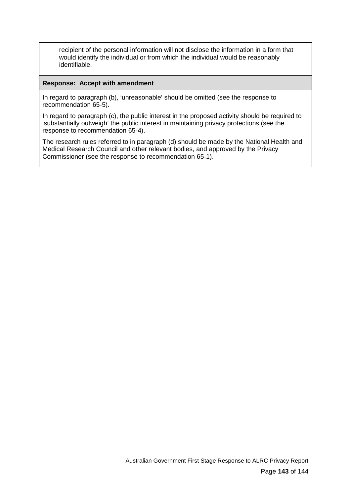recipient of the personal information will not disclose the information in a form that would identify the individual or from which the individual would be reasonably identifiable.

#### **Response: Accept with amendment**

In regard to paragraph (b), 'unreasonable' should be omitted (see the response to recommendation 65-5).

In regard to paragraph (c), the public interest in the proposed activity should be required to 'substantially outweigh' the public interest in maintaining privacy protections (see the response to recommendation 65-4).

The research rules referred to in paragraph (d) should be made by the National Health and Medical Research Council and other relevant bodies, and approved by the Privacy Commissioner (see the response to recommendation 65-1).